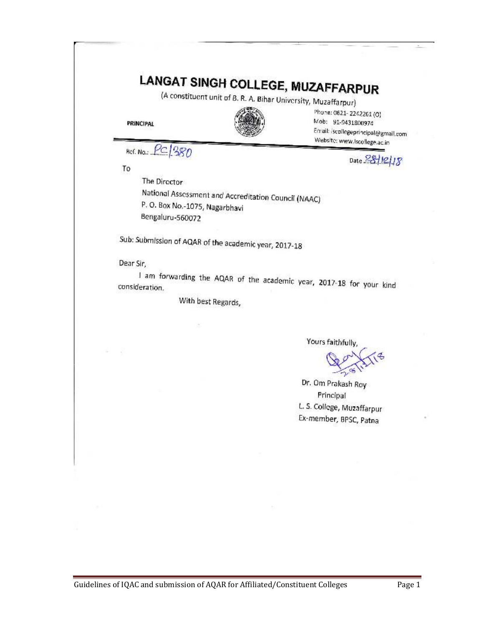|                                |                                                       | <b>LANGAT SINGH COLLEGE, MUZAFFARPUR</b><br>(A constituent unit of B. R. A. Bihar University, Muzaffarpur)           |
|--------------------------------|-------------------------------------------------------|----------------------------------------------------------------------------------------------------------------------|
| <b>PRINCIPAL</b>               |                                                       | Phone: 0621-2242261 (0)<br>Mob: 91-9431800974<br>Email: (scollegeprincipal@gmail.com<br>Website: www.lscollege.ac.in |
| Ref. No.: PC 380               |                                                       | Date $28/12/18$                                                                                                      |
| To                             |                                                       |                                                                                                                      |
| The Director                   |                                                       |                                                                                                                      |
|                                | National Assessment and Accreditation Council (NAAC)  |                                                                                                                      |
| P. O. Box No.-1075, Nagarbhavi |                                                       |                                                                                                                      |
| Bengaluru-560072               |                                                       |                                                                                                                      |
|                                | Sub: Submission of AQAR of the academic year, 2017-18 |                                                                                                                      |
| Dear Sir,                      |                                                       |                                                                                                                      |
| consideration.                 |                                                       | I am forwarding the AQAR of the academic year, 2017-18 for your kind                                                 |
|                                | With best Regards,                                    |                                                                                                                      |
|                                |                                                       |                                                                                                                      |
|                                |                                                       | Yours faithfully,                                                                                                    |
|                                |                                                       |                                                                                                                      |
|                                |                                                       | Dr. Om Prakash Roy                                                                                                   |
|                                |                                                       | Principal                                                                                                            |
|                                |                                                       | L. S. College, Muzaffarpur                                                                                           |
|                                |                                                       | Ex-member, BPSC, Patna                                                                                               |
|                                |                                                       |                                                                                                                      |
|                                |                                                       |                                                                                                                      |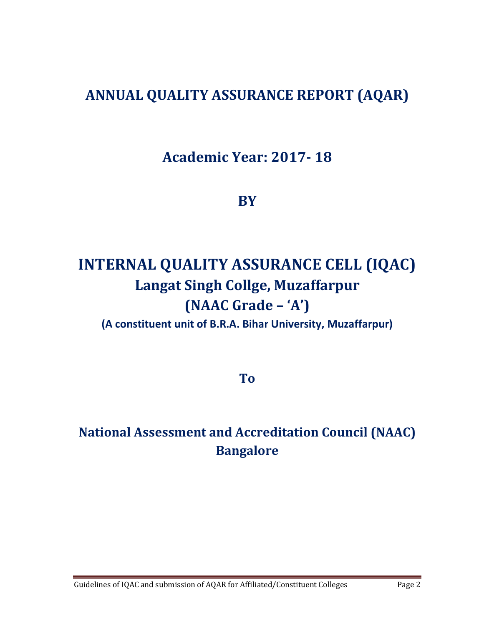# **ANNUAL QUALITY ASSURANCE REPORT (AQAR)**

**Academic Year: 2017- 18**

**BY** 

# **INTERNAL QUALITY ASSURANCE CELL (IQAC) Langat Singh Collge, Muzaffarpur (NAAC Grade – 'A')**

**(A constituent unit of B.R.A. Bihar University, Muzaffarpur)** 

**To** 

# **National Assessment and Accreditation Council (NAAC) Bangalore**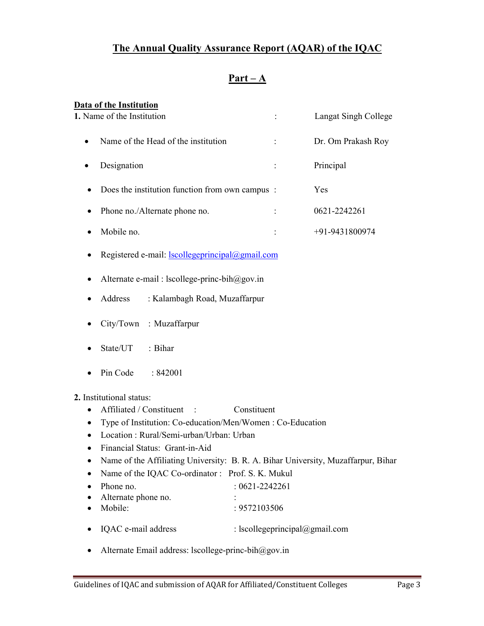# **The Annual Quality Assurance Report (AQAR) of the IQAC**

# **Part – A**

| Data of the Institution                                      |                      |
|--------------------------------------------------------------|----------------------|
| 1. Name of the Institution                                   | Langat Singh College |
| Name of the Head of the institution                          | Dr. Om Prakash Roy   |
| Designation                                                  | Principal            |
| Does the institution function from own campus :<br>$\bullet$ | Yes                  |
| Phone no./Alternate phone no.                                | 0621-2242261         |
| Mobile no.                                                   | $+91-9431800974$     |
| Registered e-mail: $lscollegeprincipal(\omega)$ gmail.com    |                      |

- Alternate e-mail : lscollege-princ-bih@gov.in
- Address : Kalambagh Road, Muzaffarpur
- City/Town : Muzaffarpur
- State/UT : Bihar
- Pin Code : 842001

**2.** Institutional status:

- Affiliated / Constituent : Constituent
- Type of Institution: Co-education/Men/Women : Co-Education
- Location : Rural/Semi-urban/Urban: Urban
- Financial Status: Grant-in-Aid
- Name of the Affiliating University: B. R. A. Bihar University, Muzaffarpur, Bihar
- Name of the IQAC Co-ordinator : Prof. S. K. Mukul
- Phone no.  $: 0621 2242261$
- Alternate phone no.
- Mobile: : 9572103506
- IQAC e-mail address : lscollegeprincipal@gmail.com
- Alternate Email address: lscollege-princ-bih $@gov.in$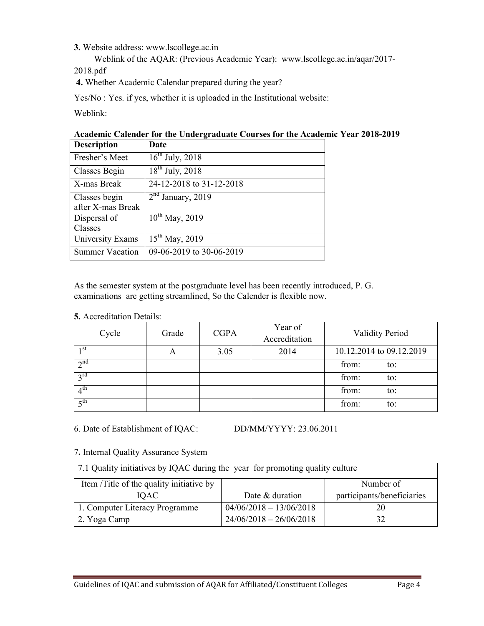**3.** Website address: www.lscollege.ac.in

 Weblink of the AQAR: (Previous Academic Year): www.lscollege.ac.in/aqar/2017- 2018.pdf

**4.** Whether Academic Calendar prepared during the year?

Yes/No : Yes. if yes, whether it is uploaded in the Institutional website:

Weblink:

|                                                     | Academic Calender for the Undergraduate Courses for the Academic Year 2018-2019 |
|-----------------------------------------------------|---------------------------------------------------------------------------------|
| $\mathbf{r}$ $\mathbf{r}$ $\mathbf{r}$ $\mathbf{r}$ |                                                                                 |

| <b>Description</b>     | Date                     |
|------------------------|--------------------------|
| Fresher's Meet         | $16^{th}$ July, 2018     |
| Classes Begin          | $18^{th}$ July, 2018     |
| X-mas Break            | 24-12-2018 to 31-12-2018 |
| Classes begin          | $2nd$ January, 2019      |
| after X-mas Break      |                          |
| Dispersal of           | $10^{th}$ May, 2019      |
| Classes                |                          |
| University Exams       | $15^{th}$ May, 2019      |
| <b>Summer Vacation</b> | 09-06-2019 to 30-06-2019 |

As the semester system at the postgraduate level has been recently introduced, P. G. examinations are getting streamlined, So the Calender is flexible now.

|  | <b>5.</b> Accreditation Details: |  |
|--|----------------------------------|--|
|--|----------------------------------|--|

| Cycle                 | Grade | <b>CGPA</b> | Year of<br>Accreditation | <b>Validity Period</b>   |
|-----------------------|-------|-------------|--------------------------|--------------------------|
| 1 <sup>st</sup>       | A     | 3.05        | 2014                     | 10.12.2014 to 09.12.2019 |
| 2 <sup>nd</sup>       |       |             |                          | from:<br>to:             |
| $2^{\text{rd}}$       |       |             |                          | from:<br>to:             |
| 4 <sup>th</sup>       |       |             |                          | from:<br>to:             |
| $\zeta$ <sup>th</sup> |       |             |                          | from:<br>to:             |

6. Date of Establishment of IQAC: DD/MM/YYYY: 23.06.2011

7**.** Internal Quality Assurance System

| 7.1 Quality initiatives by IQAC during the year for promoting quality culture |                           |                            |  |  |  |
|-------------------------------------------------------------------------------|---------------------------|----------------------------|--|--|--|
| Item /Title of the quality initiative by                                      |                           | Number of                  |  |  |  |
| <b>IOAC</b>                                                                   | Date & duration           | participants/beneficiaries |  |  |  |
| 1. Computer Literacy Programme                                                | $04/06/2018 - 13/06/2018$ | 20                         |  |  |  |
| 2. Yoga Camp                                                                  | $24/06/2018 - 26/06/2018$ | 32                         |  |  |  |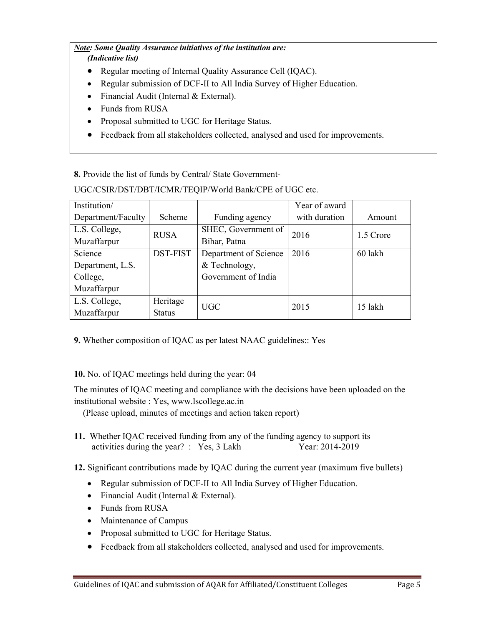#### *Note: Some Quality Assurance initiatives of the institution are: (Indicative list)*

# • Regular meeting of Internal Quality Assurance Cell (IQAC).

- Regular submission of DCF-II to All India Survey of Higher Education.
- Financial Audit (Internal & External).
- Funds from RUSA
- Proposal submitted to UGC for Heritage Status.
- Feedback from all stakeholders collected, analysed and used for improvements.

**8.** Provide the list of funds by Central/ State Government-

UGC/CSIR/DST/DBT/ICMR/TEQIP/World Bank/CPE of UGC etc.

| Institution/       |                 |                       | Year of award |           |  |
|--------------------|-----------------|-----------------------|---------------|-----------|--|
| Department/Faculty | Scheme          | Funding agency        | with duration | Amount    |  |
| L.S. College,      | <b>RUSA</b>     | SHEC, Government of   | 2016          | 1.5 Crore |  |
| Muzaffarpur        |                 | Bihar, Patna          |               |           |  |
| Science            | <b>DST-FIST</b> | Department of Science | 2016          | 60 lakh   |  |
| Department, L.S.   |                 | & Technology,         |               |           |  |
| College,           |                 | Government of India   |               |           |  |
| Muzaffarpur        |                 |                       |               |           |  |
| L.S. College,      | Heritage        | UGC                   | 2015          | 15 lakh   |  |
| Muzaffarpur        | <b>Status</b>   |                       |               |           |  |

**9.** Whether composition of IQAC as per latest NAAC guidelines:: Yes

# **10.** No. of IQAC meetings held during the year: 04

The minutes of IQAC meeting and compliance with the decisions have been uploaded on the institutional website : Yes, www.lscollege.ac.in

(Please upload, minutes of meetings and action taken report)

**11.** Whether IQAC received funding from any of the funding agency to support its activities during the year? : Yes, 3 Lakh Year: 2014-2019

**12.** Significant contributions made by IQAC during the current year (maximum five bullets)

- Regular submission of DCF-II to All India Survey of Higher Education.
- Financial Audit (Internal & External).
- Funds from RUSA
- Maintenance of Campus
- Proposal submitted to UGC for Heritage Status.
- Feedback from all stakeholders collected, analysed and used for improvements.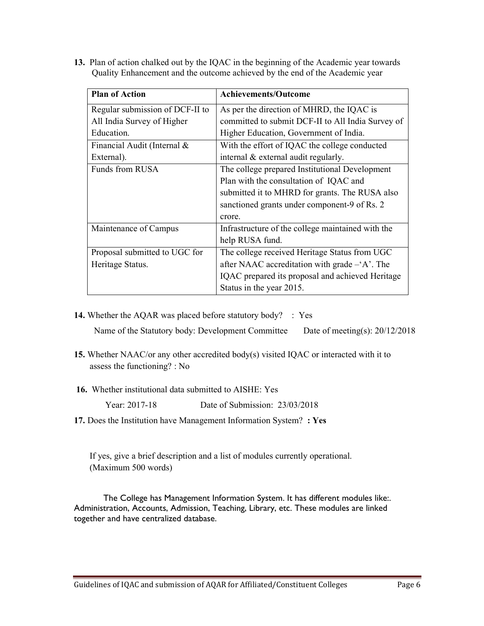**13.** Plan of action chalked out by the IQAC in the beginning of the Academic year towards Quality Enhancement and the outcome achieved by the end of the Academic year

| <b>Plan of Action</b>           | <b>Achievements/Outcome</b>                             |
|---------------------------------|---------------------------------------------------------|
| Regular submission of DCF-II to | As per the direction of MHRD, the IQAC is               |
| All India Survey of Higher      | committed to submit DCF-II to All India Survey of       |
| Education.                      | Higher Education, Government of India.                  |
| Financial Audit (Internal &     | With the effort of IQAC the college conducted           |
| External).                      | internal & external audit regularly.                    |
| Funds from RUSA                 | The college prepared Institutional Development          |
|                                 | Plan with the consultation of IQAC and                  |
|                                 | submitted it to MHRD for grants. The RUSA also          |
|                                 | sanctioned grants under component-9 of Rs. 2            |
|                                 | crore.                                                  |
| Maintenance of Campus           | Infrastructure of the college maintained with the       |
|                                 | help RUSA fund.                                         |
| Proposal submitted to UGC for   | The college received Heritage Status from UGC           |
| Heritage Status.                | after NAAC accreditation with grade $-A^{\prime}$ . The |
|                                 | IQAC prepared its proposal and achieved Heritage        |
|                                 | Status in the year 2015.                                |

**14.** Whether the AQAR was placed before statutory body? : Yes

Name of the Statutory body: Development Committee Date of meeting(s): 20/12/2018

- **15.** Whether NAAC/or any other accredited body(s) visited IQAC or interacted with it to assess the functioning? : No
- **16.** Whether institutional data submitted to AISHE: Yes

Year: 2017-18 Date of Submission: 23/03/2018

**17.** Does the Institution have Management Information System? **: Yes** 

 If yes, give a brief description and a list of modules currently operational. (Maximum 500 words)

The College has Management Information System. It has different modules like:. Administration, Accounts, Admission, Teaching, Library, etc. These modules are linked together and have centralized database.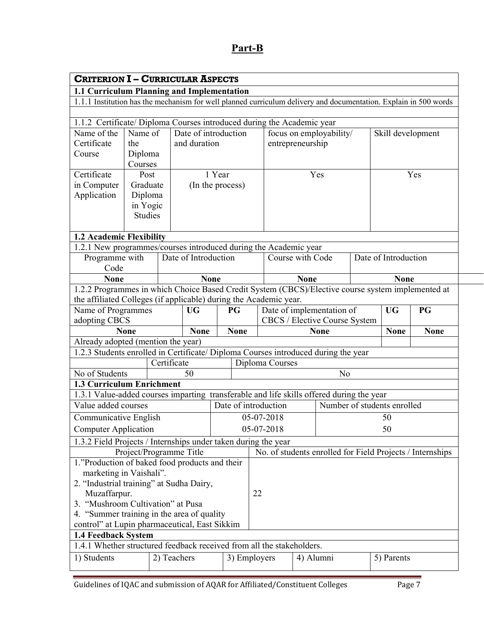# **Part-B**

| <b>CRITERION I - CURRICULAR ASPECTS</b>                                                                                                                                |                         |             |                                      |                  |                                                            |             |                         |                             |                      |                                                           |
|------------------------------------------------------------------------------------------------------------------------------------------------------------------------|-------------------------|-------------|--------------------------------------|------------------|------------------------------------------------------------|-------------|-------------------------|-----------------------------|----------------------|-----------------------------------------------------------|
| 1.1 Curriculum Planning and Implementation                                                                                                                             |                         |             |                                      |                  |                                                            |             |                         |                             |                      |                                                           |
| 1.1.1 Institution has the mechanism for well planned curriculum delivery and documentation. Explain in 500 words                                                       |                         |             |                                      |                  |                                                            |             |                         |                             |                      |                                                           |
|                                                                                                                                                                        |                         |             |                                      |                  |                                                            |             |                         |                             |                      |                                                           |
| 1.1.2 Certificate/ Diploma Courses introduced during the Academic year                                                                                                 |                         |             |                                      |                  |                                                            |             |                         |                             |                      |                                                           |
| Name of the<br>Certificate                                                                                                                                             | Name of                 |             | Date of introduction<br>and duration |                  |                                                            |             | focus on employability/ |                             | Skill development    |                                                           |
| Course                                                                                                                                                                 | the                     |             |                                      |                  | entrepreneurship                                           |             |                         |                             |                      |                                                           |
|                                                                                                                                                                        | Diploma<br>Courses      |             |                                      |                  |                                                            |             |                         |                             |                      |                                                           |
| Certificate                                                                                                                                                            | Post                    |             |                                      | 1 Year           |                                                            |             | Yes                     |                             |                      | Yes                                                       |
| in Computer                                                                                                                                                            | Graduate                |             |                                      | (In the process) |                                                            |             |                         |                             |                      |                                                           |
| Application                                                                                                                                                            | Diploma                 |             |                                      |                  |                                                            |             |                         |                             |                      |                                                           |
|                                                                                                                                                                        | in Yogic                |             |                                      |                  |                                                            |             |                         |                             |                      |                                                           |
|                                                                                                                                                                        | <b>Studies</b>          |             |                                      |                  |                                                            |             |                         |                             |                      |                                                           |
|                                                                                                                                                                        |                         |             |                                      |                  |                                                            |             |                         |                             |                      |                                                           |
| 1.2 Academic Flexibility                                                                                                                                               |                         |             |                                      |                  |                                                            |             |                         |                             |                      |                                                           |
| 1.2.1 New programmes/courses introduced during the Academic year                                                                                                       |                         |             |                                      |                  |                                                            |             |                         |                             |                      |                                                           |
| Programme with                                                                                                                                                         |                         |             | Date of Introduction                 |                  | Course with Code                                           |             |                         |                             | Date of Introduction |                                                           |
| Code                                                                                                                                                                   |                         |             |                                      |                  |                                                            |             |                         |                             |                      |                                                           |
| <b>None</b>                                                                                                                                                            |                         |             | <b>None</b>                          |                  |                                                            | <b>None</b> |                         |                             | <b>None</b>          |                                                           |
| 1.2.2 Programmes in which Choice Based Credit System (CBCS)/Elective course system implemented at<br>the affiliated Colleges (if applicable) during the Academic year. |                         |             |                                      |                  |                                                            |             |                         |                             |                      |                                                           |
| Name of Programmes                                                                                                                                                     |                         |             | <b>UG</b>                            | PG               |                                                            |             |                         |                             | <b>UG</b>            | PG                                                        |
| adopting CBCS                                                                                                                                                          |                         |             |                                      |                  | Date of implementation of<br>CBCS / Elective Course System |             |                         |                             |                      |                                                           |
|                                                                                                                                                                        | <b>None</b>             |             | <b>None</b>                          | <b>None</b>      |                                                            |             | <b>None</b>             |                             | <b>None</b>          | <b>None</b>                                               |
| Already adopted (mention the year)                                                                                                                                     |                         |             |                                      |                  |                                                            |             |                         |                             |                      |                                                           |
| 1.2.3 Students enrolled in Certificate/ Diploma Courses introduced during the year                                                                                     |                         |             |                                      |                  |                                                            |             |                         |                             |                      |                                                           |
|                                                                                                                                                                        |                         | Certificate |                                      |                  | Diploma Courses                                            |             |                         |                             |                      |                                                           |
| No of Students                                                                                                                                                         |                         |             | 50                                   |                  |                                                            |             | N <sub>o</sub>          |                             |                      |                                                           |
| 1.3 Curriculum Enrichment                                                                                                                                              |                         |             |                                      |                  |                                                            |             |                         |                             |                      |                                                           |
| 1.3.1 Value-added courses imparting transferable and life skills offered during the year                                                                               |                         |             |                                      |                  |                                                            |             |                         |                             |                      |                                                           |
| Value added courses                                                                                                                                                    |                         |             |                                      |                  | Date of introduction                                       |             |                         | Number of students enrolled |                      |                                                           |
| Communicative English                                                                                                                                                  |                         |             |                                      |                  | 05-07-2018                                                 |             |                         |                             | 50                   |                                                           |
| <b>Computer Application</b>                                                                                                                                            |                         |             |                                      |                  | 05-07-2018                                                 |             |                         |                             | 50                   |                                                           |
| 1.3.2 Field Projects / Internships under taken during the year                                                                                                         |                         |             |                                      |                  |                                                            |             |                         |                             |                      |                                                           |
|                                                                                                                                                                        | Project/Programme Title |             |                                      |                  |                                                            |             |                         |                             |                      | No. of students enrolled for Field Projects / Internships |
| 1."Production of baked food products and their                                                                                                                         |                         |             |                                      |                  |                                                            |             |                         |                             |                      |                                                           |
| marketing in Vaishali".                                                                                                                                                |                         |             |                                      |                  |                                                            |             |                         |                             |                      |                                                           |
| 2. "Industrial training" at Sudha Dairy,                                                                                                                               |                         |             |                                      |                  |                                                            |             |                         |                             |                      |                                                           |
| Muzaffarpur.                                                                                                                                                           |                         |             |                                      |                  | 22                                                         |             |                         |                             |                      |                                                           |
| 3. "Mushroom Cultivation" at Pusa                                                                                                                                      |                         |             |                                      |                  |                                                            |             |                         |                             |                      |                                                           |
| 4. "Summer training in the area of quality                                                                                                                             |                         |             |                                      |                  |                                                            |             |                         |                             |                      |                                                           |
| control" at Lupin pharmaceutical, East Sikkim                                                                                                                          |                         |             |                                      |                  |                                                            |             |                         |                             |                      |                                                           |
| 1.4 Feedback System<br>1.4.1 Whether structured feedback received from all the stakeholders.                                                                           |                         |             |                                      |                  |                                                            |             |                         |                             |                      |                                                           |
| 1) Students                                                                                                                                                            |                         | 2) Teachers |                                      |                  | 3) Employers                                               |             | 4) Alumni               |                             | 5) Parents           |                                                           |
|                                                                                                                                                                        |                         |             |                                      |                  |                                                            |             |                         |                             |                      |                                                           |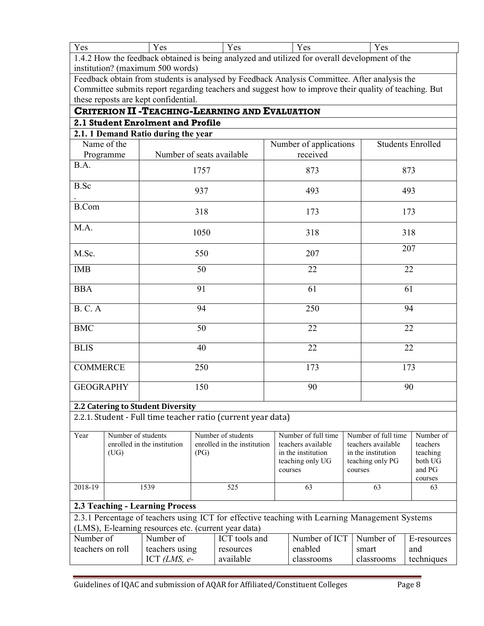| - -<br>∨ ac<br>1 <sub>0</sub> | v an<br>$1 \cup 3$ | - -<br>v oo<br>⊥ ∪∪ | v an<br>ັບປ<br>- - - | ' ചെ<br>1 V V |
|-------------------------------|--------------------|---------------------|----------------------|---------------|
| $\sqrt{2}$                    |                    | .                   |                      |               |

1.4.2 How the feedback obtained is being analyzed and utilized for overall development of the institution? (maximum 500 words)

Feedback obtain from students is analysed by Feedback Analysis Committee. After analysis the Committee submits report regarding teachers and suggest how to improve their quality of teaching. But these reposts are kept confidential.

## **CRITERION II -TEACHING-LEARNING AND EVALUATION 2.1 Student Enrolment and Profile**

|                                   | 2.1. 1 Demand Ratio during the year                          |                        |                          |
|-----------------------------------|--------------------------------------------------------------|------------------------|--------------------------|
| Name of the                       |                                                              | Number of applications | <b>Students Enrolled</b> |
| Programme                         | Number of seats available                                    | received               |                          |
| B.A.                              | 1757                                                         | 873                    | 873                      |
| <b>B.Sc</b>                       | 937                                                          | 493                    | 493                      |
| <b>B.Com</b>                      | 318                                                          | 173                    | 173                      |
| M.A.                              | 1050                                                         | 318                    | 318                      |
| M.Sc.                             | 550                                                          | 207                    | 207                      |
| <b>IMB</b>                        | 50                                                           | 22                     | 22                       |
| <b>BBA</b>                        | 91                                                           | 61                     | 61                       |
| <b>B. C. A</b>                    | 94                                                           | 250                    | 94                       |
| ${\rm BMC}$                       | 50                                                           | 22                     | 22                       |
| <b>BLIS</b>                       | 40                                                           | 22                     | 22                       |
| <b>COMMERCE</b>                   | 250                                                          | 173                    | 173                      |
| <b>GEOGRAPHY</b>                  | 150                                                          | 90                     | 90                       |
| 2.2 Catering to Student Diversity |                                                              |                        |                          |
|                                   | 2.2.1. Student - Full time teacher ratio (current year data) |                        |                          |

| Year             | Number of students |                                                      |      | Number of students          | Number of full time                                                                            | Number of full time | Number of   |
|------------------|--------------------|------------------------------------------------------|------|-----------------------------|------------------------------------------------------------------------------------------------|---------------------|-------------|
|                  |                    | enrolled in the institution                          |      | enrolled in the institution | teachers available                                                                             | teachers available  | teachers    |
|                  | (UG)               |                                                      | (PG) |                             | in the institution                                                                             | in the institution  | teaching    |
|                  |                    |                                                      |      |                             | teaching only UG                                                                               | teaching only PG    | both UG     |
|                  |                    |                                                      |      |                             | courses                                                                                        | courses             | and PG      |
|                  |                    |                                                      |      |                             |                                                                                                |                     | courses     |
| 2018-19          |                    | 1539                                                 |      | 525                         | 63                                                                                             | 63                  | 63          |
|                  |                    |                                                      |      |                             |                                                                                                |                     |             |
|                  |                    | <b>2.3 Teaching - Learning Process</b>               |      |                             |                                                                                                |                     |             |
|                  |                    |                                                      |      |                             | 2.3.1 Percentage of teachers using ICT for effective teaching with Learning Management Systems |                     |             |
|                  |                    | (LMS), E-learning resources etc. (current year data) |      |                             |                                                                                                |                     |             |
| Number of        |                    | Number of                                            |      | ICT tools and               | Number of ICT                                                                                  | Number of           | E-resources |
| teachers on roll |                    | teachers using                                       |      | resources                   | enabled                                                                                        | smart               | and         |
|                  |                    | ICT $(LMS, e-$                                       |      | available                   | classrooms                                                                                     | classrooms          | techniques  |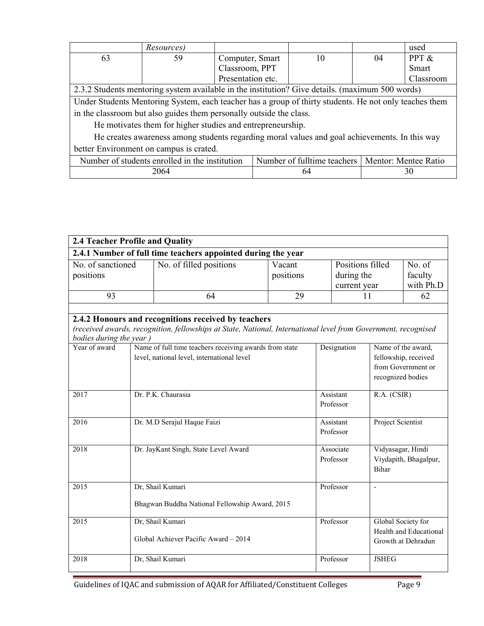|                                                                                                 | Resources) |                   |  |    | used      |  |  |  |
|-------------------------------------------------------------------------------------------------|------------|-------------------|--|----|-----------|--|--|--|
| 63                                                                                              | 59         | Computer, Smart   |  | 04 | PPT &     |  |  |  |
|                                                                                                 |            | Classroom, PPT    |  |    | Smart     |  |  |  |
|                                                                                                 |            | Presentation etc. |  |    | Classroom |  |  |  |
| 2.3.2 Students mentoring system available in the institution? Give details. (maximum 500 words) |            |                   |  |    |           |  |  |  |

Under Students Mentoring System, each teacher has a group of thirty students. He not only teaches them in the classroom but also guides them personally outside the class.

He motivates them for higher studies and entrepreneurship.

 He creates awareness among students regarding moral values and goal achievements. In this way better Environment on campus is crated.

| Number of students enrolled in the institution | Number of fulltime teachers | Mentor: Mentee Ratio |
|------------------------------------------------|-----------------------------|----------------------|
| 2064                                           |                             | οv                   |

| 2.4 Teacher Profile and Quality                                                                                                                                                                  |  |                                                                                                      |                     |                        |                                                                                       |                                                                    |  |  |  |  |
|--------------------------------------------------------------------------------------------------------------------------------------------------------------------------------------------------|--|------------------------------------------------------------------------------------------------------|---------------------|------------------------|---------------------------------------------------------------------------------------|--------------------------------------------------------------------|--|--|--|--|
| 2.4.1 Number of full time teachers appointed during the year                                                                                                                                     |  |                                                                                                      |                     |                        |                                                                                       |                                                                    |  |  |  |  |
| No. of sanctioned<br>positions                                                                                                                                                                   |  | No. of filled positions                                                                              | Vacant<br>positions |                        | Positions filled<br>during the<br>current year                                        |                                                                    |  |  |  |  |
| 93                                                                                                                                                                                               |  | 64                                                                                                   | 29                  |                        | 11                                                                                    | with Ph.D<br>62                                                    |  |  |  |  |
|                                                                                                                                                                                                  |  |                                                                                                      |                     |                        |                                                                                       |                                                                    |  |  |  |  |
| 2.4.2 Honours and recognitions received by teachers<br>(received awards, recognition, fellowships at State, National, International level from Government, recognised<br>bodies during the year) |  |                                                                                                      |                     |                        |                                                                                       |                                                                    |  |  |  |  |
| Year of award                                                                                                                                                                                    |  | Name of full time teachers receiving awards from state<br>level, national level, international level |                     | Designation            | Name of the award,<br>fellowship, received<br>from Government or<br>recognized bodies |                                                                    |  |  |  |  |
| 2017                                                                                                                                                                                             |  | Dr. P.K. Chaurasia                                                                                   |                     | Assistant<br>Professor |                                                                                       | R.A. (CSIR)                                                        |  |  |  |  |
| 2016                                                                                                                                                                                             |  | Dr. M.D Serajul Haque Faizi                                                                          |                     | Assistant<br>Professor | Project Scientist                                                                     |                                                                    |  |  |  |  |
| 2018                                                                                                                                                                                             |  | Dr. JayKant Singh, State Level Award                                                                 |                     | Associate<br>Professor | Vidyasagar, Hindi<br><b>Bihar</b>                                                     | Viydapith, Bhagalpur,                                              |  |  |  |  |
| 2015                                                                                                                                                                                             |  | Dr, Shail Kumari                                                                                     |                     | Professor              | $\overline{a}$                                                                        |                                                                    |  |  |  |  |
|                                                                                                                                                                                                  |  | Bhagwan Buddha National Fellowship Award, 2015                                                       |                     |                        |                                                                                       |                                                                    |  |  |  |  |
| $\overline{2015}$                                                                                                                                                                                |  | Dr, Shail Kumari<br>Global Achiever Pacific Award - 2014                                             |                     | Professor              |                                                                                       | Global Society for<br>Health and Educational<br>Growth at Dehradun |  |  |  |  |
| 2018                                                                                                                                                                                             |  | Dr, Shail Kumari                                                                                     |                     | Professor              | <b>JSHEG</b>                                                                          |                                                                    |  |  |  |  |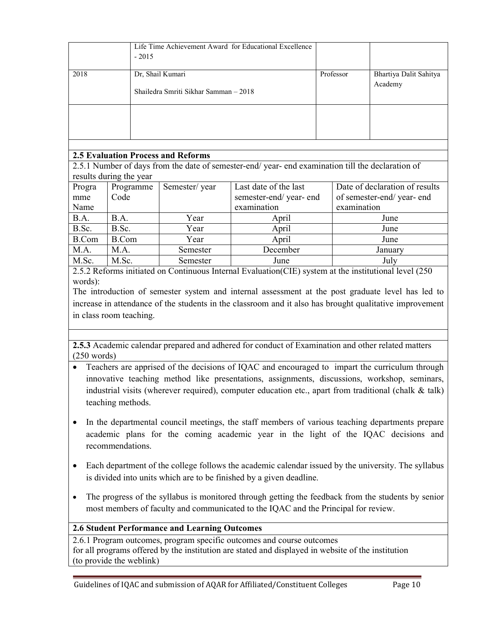|      | Life Time Achievement Award for Educational Excellence<br>$-2015$ |           |                                   |
|------|-------------------------------------------------------------------|-----------|-----------------------------------|
| 2018 | Dr, Shail Kumari<br>Shailedra Smriti Sikhar Samman – 2018         | Professor | Bhartiya Dalit Sahitya<br>Academy |
|      |                                                                   |           |                                   |

# **2.5 Evaluation Process and Reforms**

2.5.1 Number of days from the date of semester-end/ year- end examination till the declaration of results during the year

| Progra | Programme    | Semester/year | Last date of the last | Date of declaration of results |
|--------|--------------|---------------|-----------------------|--------------------------------|
| mme    | Code         |               | semester-end/year-end | of semester-end/year-end       |
| Name   |              |               | examination           | examination                    |
| B.A.   | B.A.         | Year          | April                 | June                           |
| B.Sc.  | B.Sc.        | Year          | April                 | June                           |
| B.Com  | <b>B.Com</b> | Year          | April                 | June                           |
| M.A.   | M.A.         | Semester      | December              | January                        |
| M.Sc.  | M.Sc.        | Semester      | June                  | July                           |

2.5.2 Reforms initiated on Continuous Internal Evaluation(CIE) system at the institutional level (250 words):

The introduction of semester system and internal assessment at the post graduate level has led to increase in attendance of the students in the classroom and it also has brought qualitative improvement in class room teaching.

**2.5.3** Academic calendar prepared and adhered for conduct of Examination and other related matters (250 words)

- Teachers are apprised of the decisions of IQAC and encouraged to impart the curriculum through innovative teaching method like presentations, assignments, discussions, workshop, seminars, industrial visits (wherever required), computer education etc., apart from traditional (chalk & talk) teaching methods.
- In the departmental council meetings, the staff members of various teaching departments prepare academic plans for the coming academic year in the light of the IQAC decisions and recommendations.
- Each department of the college follows the academic calendar issued by the university. The syllabus is divided into units which are to be finished by a given deadline.
- The progress of the syllabus is monitored through getting the feedback from the students by senior most members of faculty and communicated to the IQAC and the Principal for review.

# **2.6 Student Performance and Learning Outcomes**

2.6.1 Program outcomes, program specific outcomes and course outcomes for all programs offered by the institution are stated and displayed in website of the institution (to provide the weblink)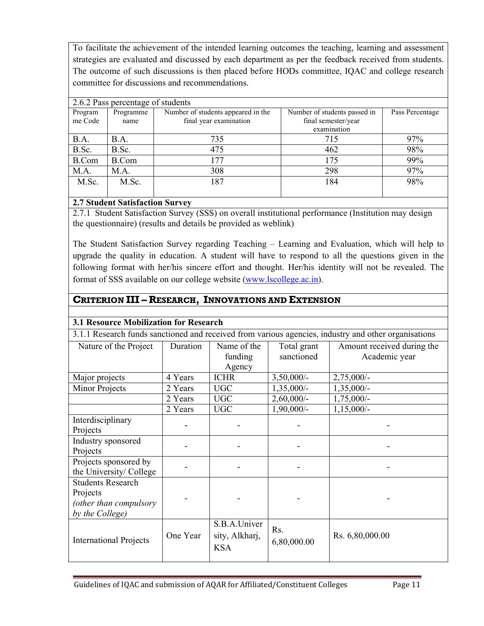To facilitate the achievement of the intended learning outcomes the teaching, learning and assessment strategies are evaluated and discussed by each department as per the feedback received from students. The outcome of such discussions is then placed before HODs committee, IQAC and college research committee for discussions and recommendations.

| 2.6.2 Pass percentage of students |              |                                    |                     |     |  |  |  |  |  |  |
|-----------------------------------|--------------|------------------------------------|---------------------|-----|--|--|--|--|--|--|
| Program                           | Programme    | Number of students appeared in the | Pass Percentage     |     |  |  |  |  |  |  |
| me Code                           | name         | final year examination             | final semester/year |     |  |  |  |  |  |  |
|                                   |              |                                    | examination         |     |  |  |  |  |  |  |
| B.A.                              | <b>B.A.</b>  | 735                                | 715                 | 97% |  |  |  |  |  |  |
| B.Sc.                             | B.Sc.        | 475                                | 462                 | 98% |  |  |  |  |  |  |
| <b>B.Com</b>                      | <b>B.Com</b> | 177                                | 175                 | 99% |  |  |  |  |  |  |
| M.A.                              | M.A.         | 308                                | 298                 | 97% |  |  |  |  |  |  |
| M.Sc.                             | M.Sc.        | 187                                | 184                 | 98% |  |  |  |  |  |  |
|                                   |              |                                    |                     |     |  |  |  |  |  |  |

# **2.7 Student Satisfaction Survey**

2.7.1 Student Satisfaction Survey (SSS) on overall institutional performance (Institution may design the questionnaire) (results and details be provided as weblink)

The Student Satisfaction Survey regarding Teaching – Learning and Evaluation, which will help to upgrade the quality in education. A student will have to respond to all the questions given in the following format with her/his sincere effort and thought. Her/his identity will not be revealed. The format of SSS available on our college website (www.lscollege.ac.in).

# **CRITERION III – RESEARCH, INNOVATIONS AND EXTENSION**

# **3.1 Resource Mobilization for Research**

3.1.1 Research funds sanctioned and received from various agencies, industry and other organisations

| 9.1.1 KGSCATCH TUNUS SANCHONCU ANU TCCCTVCU ITONI VALIOUS AGCHCICS, MUUSU Y ANU OINCI OLGANISANONS |          |                |               |                            |  |  |  |  |  |
|----------------------------------------------------------------------------------------------------|----------|----------------|---------------|----------------------------|--|--|--|--|--|
| Nature of the Project                                                                              | Duration | Name of the    | Total grant   | Amount received during the |  |  |  |  |  |
|                                                                                                    |          | funding        | sanctioned    | Academic year              |  |  |  |  |  |
|                                                                                                    |          | Agency         |               |                            |  |  |  |  |  |
| Major projects                                                                                     | 4 Years  | <b>ICHR</b>    | $3,50,000/-$  | $2,75,000/-$               |  |  |  |  |  |
| Minor Projects                                                                                     | 2 Years  | <b>UGC</b>     | $1,35,000/-$  | $1,35,000/-$               |  |  |  |  |  |
|                                                                                                    | 2 Years  | <b>UGC</b>     | $2,60,000/$ - | 1,75,000/-                 |  |  |  |  |  |
|                                                                                                    | 2 Years  | <b>UGC</b>     | $1,90,000/-$  | $1,15,000/-$               |  |  |  |  |  |
| Interdisciplinary                                                                                  |          |                |               |                            |  |  |  |  |  |
| Projects                                                                                           |          |                |               |                            |  |  |  |  |  |
| Industry sponsored                                                                                 |          |                |               |                            |  |  |  |  |  |
| Projects                                                                                           |          |                |               |                            |  |  |  |  |  |
| Projects sponsored by                                                                              |          |                |               |                            |  |  |  |  |  |
| the University/College                                                                             |          |                |               |                            |  |  |  |  |  |
| <b>Students Research</b>                                                                           |          |                |               |                            |  |  |  |  |  |
| Projects                                                                                           |          |                |               |                            |  |  |  |  |  |
| (other than compulsory                                                                             |          |                |               |                            |  |  |  |  |  |
| by the College)                                                                                    |          |                |               |                            |  |  |  |  |  |
|                                                                                                    |          | S.B.A.Univer   | Rs.           |                            |  |  |  |  |  |
| <b>International Projects</b>                                                                      | One Year | sity, Alkharj, |               | Rs. 6,80,000.00            |  |  |  |  |  |
|                                                                                                    |          | <b>KSA</b>     | 6,80,000.00   |                            |  |  |  |  |  |
|                                                                                                    |          |                |               |                            |  |  |  |  |  |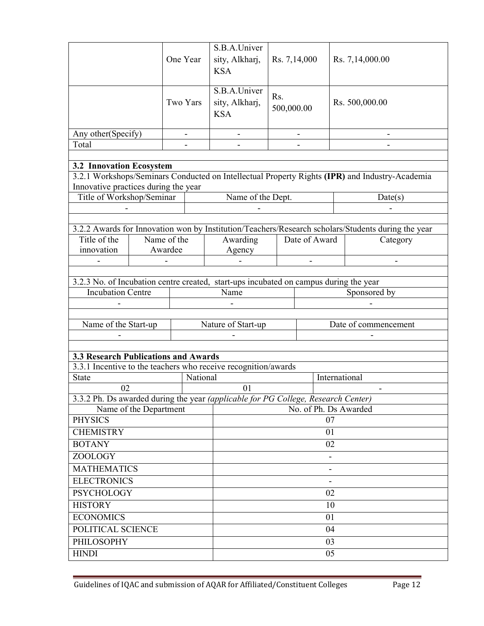|                                                                                       |                        |          | S.B.A.Univer                                 |                                |                       |                      |                                                                                                    |  |
|---------------------------------------------------------------------------------------|------------------------|----------|----------------------------------------------|--------------------------------|-----------------------|----------------------|----------------------------------------------------------------------------------------------------|--|
|                                                                                       |                        | One Year | sity, Alkharj,<br><b>KSA</b>                 | Rs. 7,14,000                   |                       |                      | Rs. 7,14,000.00                                                                                    |  |
|                                                                                       |                        | Two Yars | S.B.A.Univer<br>sity, Alkharj,<br><b>KSA</b> | R <sub>s</sub> .<br>500,000.00 |                       |                      | Rs. 500,000.00                                                                                     |  |
| Any other(Specify)                                                                    |                        |          |                                              |                                |                       |                      |                                                                                                    |  |
| Total                                                                                 |                        |          |                                              |                                |                       |                      |                                                                                                    |  |
|                                                                                       |                        |          |                                              |                                |                       |                      |                                                                                                    |  |
| <b>3.2 Innovation Ecosystem</b>                                                       |                        |          |                                              |                                |                       |                      | 3.2.1 Workshops/Seminars Conducted on Intellectual Property Rights (IPR) and Industry-Academia     |  |
| Innovative practices during the year                                                  |                        |          |                                              |                                |                       |                      |                                                                                                    |  |
| Title of Workshop/Seminar                                                             |                        |          | Name of the Dept.                            |                                |                       |                      | Date(s)                                                                                            |  |
|                                                                                       |                        |          |                                              |                                |                       |                      |                                                                                                    |  |
|                                                                                       |                        |          |                                              |                                |                       |                      |                                                                                                    |  |
|                                                                                       |                        |          |                                              |                                |                       |                      | 3.2.2 Awards for Innovation won by Institution/Teachers/Research scholars/Students during the year |  |
| Title of the<br>innovation                                                            | Name of the<br>Awardee |          | Awarding                                     |                                | Date of Award         |                      | Category                                                                                           |  |
|                                                                                       |                        |          | Agency                                       |                                |                       |                      |                                                                                                    |  |
|                                                                                       |                        |          |                                              |                                |                       |                      |                                                                                                    |  |
| 3.2.3 No. of Incubation centre created, start-ups incubated on campus during the year |                        |          |                                              |                                |                       |                      |                                                                                                    |  |
| <b>Incubation Centre</b>                                                              |                        |          | Name                                         |                                |                       |                      | Sponsored by                                                                                       |  |
|                                                                                       |                        |          |                                              |                                |                       |                      |                                                                                                    |  |
|                                                                                       |                        |          |                                              |                                |                       |                      |                                                                                                    |  |
| Name of the Start-up                                                                  |                        |          | Nature of Start-up                           |                                |                       | Date of commencement |                                                                                                    |  |
|                                                                                       |                        |          |                                              |                                |                       |                      |                                                                                                    |  |
| <b>3.3 Research Publications and Awards</b>                                           |                        |          |                                              |                                |                       |                      |                                                                                                    |  |
| 3.3.1 Incentive to the teachers who receive recognition/awards                        |                        |          |                                              |                                |                       |                      |                                                                                                    |  |
| <b>State</b>                                                                          |                        | National |                                              | International                  |                       |                      |                                                                                                    |  |
| 02                                                                                    |                        |          | 01                                           |                                |                       |                      |                                                                                                    |  |
| 3.3.2 Ph. Ds awarded during the year (applicable for PG College, Research Center)     |                        |          |                                              |                                |                       |                      |                                                                                                    |  |
| Name of the Department<br><b>PHYSICS</b>                                              |                        |          |                                              |                                | No. of Ph. Ds Awarded | 07                   |                                                                                                    |  |
| <b>CHEMISTRY</b>                                                                      |                        |          |                                              | 01                             |                       |                      |                                                                                                    |  |
| <b>BOTANY</b>                                                                         |                        |          |                                              | 02                             |                       |                      |                                                                                                    |  |
| ZOOLOGY                                                                               |                        |          |                                              |                                |                       |                      |                                                                                                    |  |
| <b>MATHEMATICS</b>                                                                    |                        |          |                                              |                                |                       |                      |                                                                                                    |  |
| <b>ELECTRONICS</b>                                                                    |                        |          |                                              |                                |                       |                      |                                                                                                    |  |
| <b>PSYCHOLOGY</b>                                                                     |                        |          |                                              |                                |                       | 02                   |                                                                                                    |  |
| <b>HISTORY</b>                                                                        |                        |          |                                              |                                |                       | 10                   |                                                                                                    |  |
| <b>ECONOMICS</b>                                                                      |                        |          |                                              | 01                             |                       |                      |                                                                                                    |  |
| POLITICAL SCIENCE                                                                     |                        |          |                                              |                                |                       | 04                   |                                                                                                    |  |
| PHILOSOPHY                                                                            |                        |          |                                              |                                |                       | 03                   |                                                                                                    |  |
| <b>HINDI</b>                                                                          |                        |          | 05                                           |                                |                       |                      |                                                                                                    |  |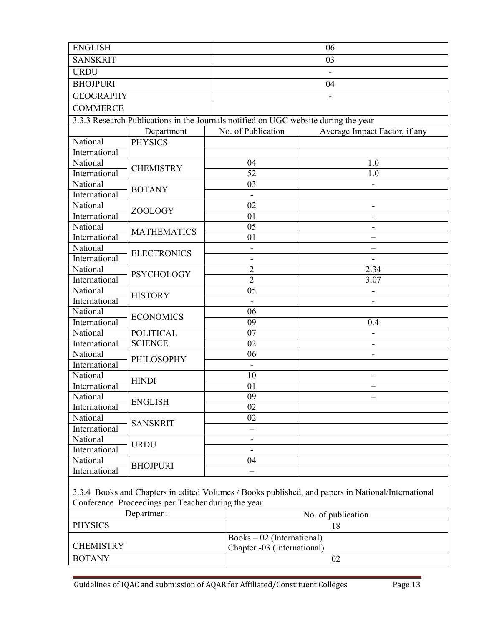| <b>ENGLISH</b>   |                                                                                                   |  | 06                          |                                                                                                    |  |  |  |
|------------------|---------------------------------------------------------------------------------------------------|--|-----------------------------|----------------------------------------------------------------------------------------------------|--|--|--|
| <b>SANSKRIT</b>  |                                                                                                   |  | 03                          |                                                                                                    |  |  |  |
| <b>URDU</b>      |                                                                                                   |  | $\blacksquare$              |                                                                                                    |  |  |  |
| <b>BHOJPURI</b>  |                                                                                                   |  | 04                          |                                                                                                    |  |  |  |
| <b>GEOGRAPHY</b> |                                                                                                   |  |                             |                                                                                                    |  |  |  |
| <b>COMMERCE</b>  |                                                                                                   |  |                             |                                                                                                    |  |  |  |
|                  |                                                                                                   |  |                             |                                                                                                    |  |  |  |
|                  | 3.3.3 Research Publications in the Journals notified on UGC website during the year<br>Department |  | No. of Publication          | Average Impact Factor, if any                                                                      |  |  |  |
| National         |                                                                                                   |  |                             |                                                                                                    |  |  |  |
| International    | <b>PHYSICS</b>                                                                                    |  |                             |                                                                                                    |  |  |  |
| National         |                                                                                                   |  | 04                          | 1.0                                                                                                |  |  |  |
| International    | <b>CHEMISTRY</b>                                                                                  |  | 52                          | 1.0                                                                                                |  |  |  |
| National         |                                                                                                   |  | 03                          |                                                                                                    |  |  |  |
| International    | <b>BOTANY</b>                                                                                     |  | $\blacksquare$              |                                                                                                    |  |  |  |
| National         |                                                                                                   |  | 02                          | $\overline{\phantom{0}}$                                                                           |  |  |  |
| International    | ZOOLOGY                                                                                           |  | 01                          |                                                                                                    |  |  |  |
| National         |                                                                                                   |  | 05                          |                                                                                                    |  |  |  |
| International    | <b>MATHEMATICS</b>                                                                                |  | 01                          |                                                                                                    |  |  |  |
| National         |                                                                                                   |  | -                           |                                                                                                    |  |  |  |
| International    | <b>ELECTRONICS</b>                                                                                |  | $\overline{\phantom{0}}$    |                                                                                                    |  |  |  |
| National         |                                                                                                   |  | $\overline{2}$              | 2.34                                                                                               |  |  |  |
| International    | <b>PSYCHOLOGY</b>                                                                                 |  | $\overline{2}$              | 3.07                                                                                               |  |  |  |
| National         |                                                                                                   |  | 05                          |                                                                                                    |  |  |  |
| International    | <b>HISTORY</b>                                                                                    |  |                             |                                                                                                    |  |  |  |
| National         |                                                                                                   |  | 06                          |                                                                                                    |  |  |  |
| International    | <b>ECONOMICS</b>                                                                                  |  | 09                          | 0.4                                                                                                |  |  |  |
| National         | <b>POLITICAL</b>                                                                                  |  | 07                          |                                                                                                    |  |  |  |
| International    | <b>SCIENCE</b>                                                                                    |  | 02                          |                                                                                                    |  |  |  |
| National         | PHILOSOPHY                                                                                        |  | 06                          |                                                                                                    |  |  |  |
| International    |                                                                                                   |  | $\overline{\phantom{0}}$    |                                                                                                    |  |  |  |
| National         | <b>HINDI</b>                                                                                      |  | 10                          | $\qquad \qquad \blacksquare$                                                                       |  |  |  |
| International    |                                                                                                   |  | 01                          | $\overline{\phantom{0}}$                                                                           |  |  |  |
| National         | <b>ENGLISH</b>                                                                                    |  | 09                          |                                                                                                    |  |  |  |
| International    |                                                                                                   |  | 02                          |                                                                                                    |  |  |  |
| National         | <b>SANSKRIT</b>                                                                                   |  | 02                          |                                                                                                    |  |  |  |
| International    |                                                                                                   |  |                             |                                                                                                    |  |  |  |
| National         | <b>URDU</b>                                                                                       |  |                             |                                                                                                    |  |  |  |
| International    |                                                                                                   |  |                             |                                                                                                    |  |  |  |
| National         | <b>BHOJPURI</b>                                                                                   |  | 04                          |                                                                                                    |  |  |  |
| International    |                                                                                                   |  |                             |                                                                                                    |  |  |  |
|                  |                                                                                                   |  |                             |                                                                                                    |  |  |  |
|                  |                                                                                                   |  |                             | 3.3.4 Books and Chapters in edited Volumes / Books published, and papers in National/International |  |  |  |
|                  | Conference Proceedings per Teacher during the year                                                |  |                             |                                                                                                    |  |  |  |
|                  | Department                                                                                        |  |                             | No. of publication                                                                                 |  |  |  |
| <b>PHYSICS</b>   |                                                                                                   |  |                             | 18                                                                                                 |  |  |  |
|                  |                                                                                                   |  | Books - 02 (International)  |                                                                                                    |  |  |  |
| <b>CHEMISTRY</b> |                                                                                                   |  | Chapter -03 (International) |                                                                                                    |  |  |  |
| <b>BOTANY</b>    |                                                                                                   |  | 02                          |                                                                                                    |  |  |  |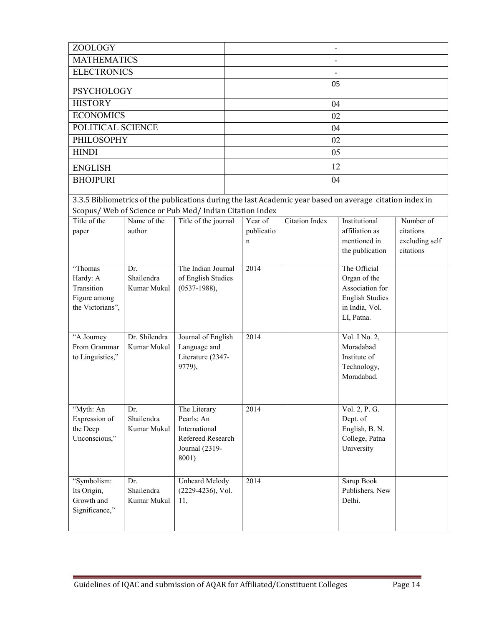| ZOOLOGY                                                  |                           |                                      |  |                 |                       |                                                                                                          |                             |  |
|----------------------------------------------------------|---------------------------|--------------------------------------|--|-----------------|-----------------------|----------------------------------------------------------------------------------------------------------|-----------------------------|--|
| <b>MATHEMATICS</b>                                       |                           |                                      |  |                 |                       |                                                                                                          |                             |  |
| <b>ELECTRONICS</b>                                       |                           |                                      |  |                 |                       |                                                                                                          |                             |  |
| <b>PSYCHOLOGY</b>                                        |                           |                                      |  |                 | 05                    |                                                                                                          |                             |  |
| <b>HISTORY</b>                                           |                           |                                      |  |                 | 04                    |                                                                                                          |                             |  |
| <b>ECONOMICS</b>                                         |                           |                                      |  |                 | 02                    |                                                                                                          |                             |  |
| POLITICAL SCIENCE                                        |                           |                                      |  |                 | 04                    |                                                                                                          |                             |  |
| <b>PHILOSOPHY</b>                                        |                           |                                      |  |                 | 02                    |                                                                                                          |                             |  |
| <b>HINDI</b>                                             |                           |                                      |  |                 | 05                    |                                                                                                          |                             |  |
| <b>ENGLISH</b>                                           |                           |                                      |  |                 | 12                    |                                                                                                          |                             |  |
| <b>BHOJPURI</b>                                          |                           |                                      |  |                 | 04                    |                                                                                                          |                             |  |
|                                                          |                           |                                      |  |                 |                       | 3.3.5 Bibliometrics of the publications during the last Academic year based on average citation index in |                             |  |
| Scopus/ Web of Science or Pub Med/ Indian Citation Index |                           |                                      |  |                 |                       |                                                                                                          |                             |  |
| Title of the                                             | Name of the               | Title of the journal                 |  | Year of         | <b>Citation Index</b> | Institutional                                                                                            | Number of                   |  |
| paper                                                    | author                    |                                      |  | publicatio<br>n |                       | affiliation as<br>mentioned in                                                                           | citations<br>excluding self |  |
|                                                          |                           |                                      |  |                 |                       | the publication                                                                                          | citations                   |  |
|                                                          |                           |                                      |  |                 |                       |                                                                                                          |                             |  |
| "Thomas                                                  | Dr.<br>Shailendra         | The Indian Journal                   |  | 2014            |                       | The Official<br>Organ of the                                                                             |                             |  |
| Hardy: A<br>Transition                                   | Kumar Mukul               | of English Studies<br>$(0537-1988),$ |  |                 |                       | Association for                                                                                          |                             |  |
| Figure among                                             |                           |                                      |  |                 |                       | <b>English Studies</b>                                                                                   |                             |  |
| the Victorians",                                         |                           |                                      |  |                 |                       | in India, Vol.                                                                                           |                             |  |
|                                                          |                           |                                      |  |                 |                       | LI, Patna.                                                                                               |                             |  |
| "A Journey                                               | Dr. Shilendra             | Journal of English                   |  | 2014            |                       | Vol. I No. 2,                                                                                            |                             |  |
| From Grammar                                             | Kumar Mukul               | Language and                         |  |                 |                       | Moradabad                                                                                                |                             |  |
| to Linguistics,"                                         |                           | Literature (2347-                    |  |                 |                       | Institute of                                                                                             |                             |  |
|                                                          |                           | 9779),                               |  |                 |                       | Technology,                                                                                              |                             |  |
|                                                          |                           |                                      |  |                 |                       | Moradabad.                                                                                               |                             |  |
|                                                          |                           |                                      |  |                 |                       |                                                                                                          |                             |  |
| "Myth: An                                                | Dr.                       | The Literary                         |  | 2014            |                       | Vol. 2, P. G.                                                                                            |                             |  |
| Expression of<br>the Deep                                | Shailendra<br>Kumar Mukul | Pearls: An<br>International          |  |                 |                       | Dept. of<br>English, B. N.                                                                               |                             |  |
| Unconscious,"                                            |                           | Refereed Research                    |  |                 |                       | College, Patna                                                                                           |                             |  |
|                                                          |                           | Journal (2319-                       |  |                 |                       | University                                                                                               |                             |  |
|                                                          |                           | 8001)                                |  |                 |                       |                                                                                                          |                             |  |
|                                                          |                           |                                      |  |                 |                       |                                                                                                          |                             |  |
| "Symbolism:                                              | Dr.                       | Unheard Melody                       |  | 2014            |                       | Sarup Book                                                                                               |                             |  |
| Its Origin,                                              | Shailendra                | $(2229-4236)$ , Vol.                 |  |                 |                       | Publishers, New                                                                                          |                             |  |
| Growth and<br>Significance,"                             | Kumar Mukul               | 11,                                  |  |                 |                       | Delhi.                                                                                                   |                             |  |
|                                                          |                           |                                      |  |                 |                       |                                                                                                          |                             |  |
|                                                          |                           |                                      |  |                 |                       |                                                                                                          |                             |  |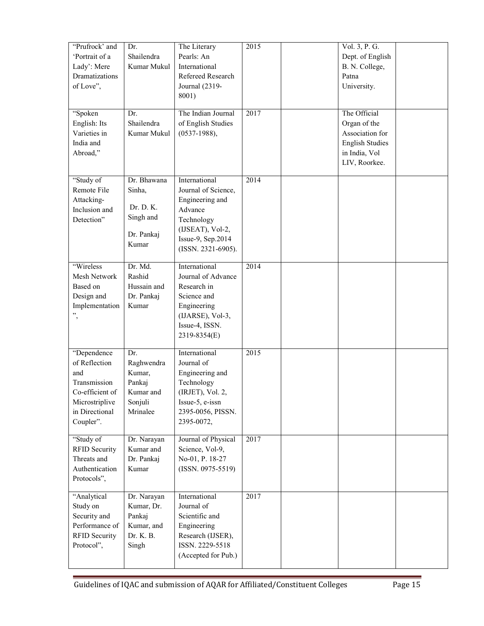| "Prufrock' and<br>'Portrait of a<br>Lady': Mere<br>Dramatizations<br>of Love",<br>"Spoken                               | Dr.<br>Shailendra<br>Kumar Mukul<br>Dr.                                   | The Literary<br>Pearls: An<br>International<br>Refereed Research<br>Journal (2319-<br>8001)<br>The Indian Journal                               | 2015<br>2017 | Vol. 3, P. G.<br>Dept. of English<br>B. N. College,<br>Patna<br>University.<br>The Official |  |
|-------------------------------------------------------------------------------------------------------------------------|---------------------------------------------------------------------------|-------------------------------------------------------------------------------------------------------------------------------------------------|--------------|---------------------------------------------------------------------------------------------|--|
| English: Its<br>Varieties in<br>India and<br>Abroad,"                                                                   | Shailendra<br>Kumar Mukul                                                 | of English Studies<br>$(0537-1988),$                                                                                                            |              | Organ of the<br>Association for<br><b>English Studies</b><br>in India, Vol<br>LIV, Roorkee. |  |
| "Study of<br>Remote File<br>Attacking-<br>Inclusion and<br>Detection"                                                   | Dr. Bhawana<br>Sinha,<br>Dr. D. K.<br>Singh and<br>Dr. Pankaj<br>Kumar    | International<br>Journal of Science,<br>Engineering and<br>Advance<br>Technology<br>(IJSEAT), Vol-2,<br>Issue-9, Sep.2014<br>(ISSN. 2321-6905). | 2014         |                                                                                             |  |
| "Wireless<br>Mesh Network<br>Based on<br>Design and<br>Implementation<br>,,<br>$\,$                                     | Dr. Md.<br>Rashid<br>Hussain and<br>Dr. Pankaj<br>Kumar                   | International<br>Journal of Advance<br>Research in<br>Science and<br>Engineering<br>(IJARSE), Vol-3,<br>Issue-4, ISSN.<br>2319-8354(E)          | 2014         |                                                                                             |  |
| "Dependence<br>of Reflection<br>and<br>Transmission<br>Co-efficient of<br>Microstriplive<br>in Directional<br>Coupler". | Dr.<br>Raghwendra<br>Kumar,<br>Pankaj<br>Kumar and<br>Sonjuli<br>Mrinalee | International<br>Journal of<br>Engineering and<br>Technology<br>(IRJET), Vol. 2,<br>Issue-5, e-issn<br>2395-0056, PISSN.<br>2395-0072,          | 2015         |                                                                                             |  |
| "Study of<br><b>RFID Security</b><br>Threats and<br>Authentication<br>Protocols",                                       | Dr. Narayan<br>Kumar and<br>Dr. Pankaj<br>Kumar                           | Journal of Physical<br>Science, Vol-9,<br>No-01, P. 18-27<br>$(ISSN. 0975-5519)$                                                                | 2017         |                                                                                             |  |
| "Analytical<br>Study on<br>Security and<br>Performance of<br><b>RFID Security</b><br>Protocol",                         | Dr. Narayan<br>Kumar, Dr.<br>Pankaj<br>Kumar, and<br>Dr. K. B.<br>Singh   | International<br>Journal of<br>Scientific and<br>Engineering<br>Research (IJSER),<br>ISSN. 2229-5518<br>(Accepted for Pub.)                     | 2017         |                                                                                             |  |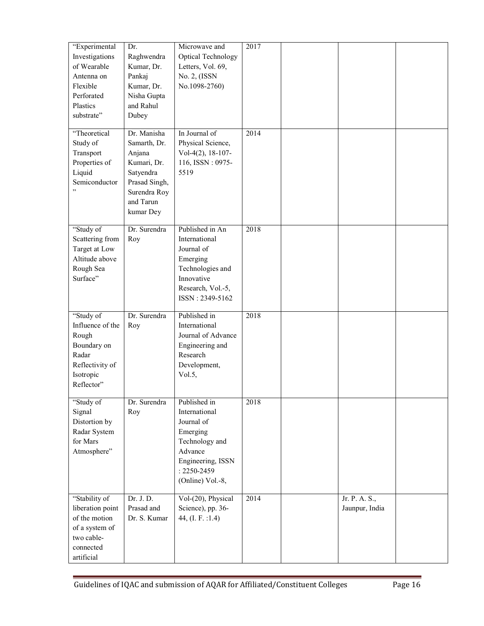| "Experimental<br>Investigations<br>of Wearable<br>Antenna on<br>Flexible<br>Perforated<br>Plastics<br>substrate" | Dr.<br>Raghwendra<br>Kumar, Dr.<br>Pankaj<br>Kumar, Dr.<br>Nisha Gupta<br>and Rahul<br>Dubey                                 | Microwave and<br><b>Optical Technology</b><br>Letters, Vol. 69,<br>No. 2, (ISSN<br>No.1098-2760)                                                 | 2017 |                                 |  |
|------------------------------------------------------------------------------------------------------------------|------------------------------------------------------------------------------------------------------------------------------|--------------------------------------------------------------------------------------------------------------------------------------------------|------|---------------------------------|--|
| "Theoretical<br>Study of<br>Transport<br>Properties of<br>Liquid<br>Semiconductor                                | Dr. Manisha<br>Samarth, Dr.<br>Anjana<br>Kumari, Dr.<br>Satyendra<br>Prasad Singh,<br>Surendra Roy<br>and Tarun<br>kumar Dey | In Journal of<br>Physical Science,<br>Vol-4(2), $18-107-$<br>116, ISSN: 0975-<br>5519                                                            | 2014 |                                 |  |
| "Study of<br>Scattering from<br>Target at Low<br>Altitude above<br>Rough Sea<br>Surface"                         | Dr. Surendra<br>Roy                                                                                                          | Published in An<br>International<br>Journal of<br>Emerging<br>Technologies and<br>Innovative<br>Research, Vol.-5,<br>ISSN: 2349-5162             | 2018 |                                 |  |
| "Study of<br>Influence of the<br>Rough<br>Boundary on<br>Radar<br>Reflectivity of<br>Isotropic<br>Reflector"     | Dr. Surendra<br>Roy                                                                                                          | Published in<br>International<br>Journal of Advance<br>Engineering and<br>Research<br>Development,<br>Vol.5,                                     | 2018 |                                 |  |
| "Study of<br>Signal<br>Distortion by<br>Radar System<br>for Mars<br>Atmosphere"                                  | Dr. Surendra<br>Roy                                                                                                          | Published in<br>International<br>Journal of<br>Emerging<br>Technology and<br>Advance<br>Engineering, ISSN<br>$: 2250 - 2459$<br>(Online) Vol.-8, | 2018 |                                 |  |
| "Stability of<br>liberation point<br>of the motion<br>of a system of<br>two cable-<br>connected<br>artificial    | Dr. J. D.<br>Prasad and<br>Dr. S. Kumar                                                                                      | Vol-(20), Physical<br>Science), pp. 36-<br>44, (I. F. : 1.4)                                                                                     | 2014 | Jr. P. A. S.,<br>Jaunpur, India |  |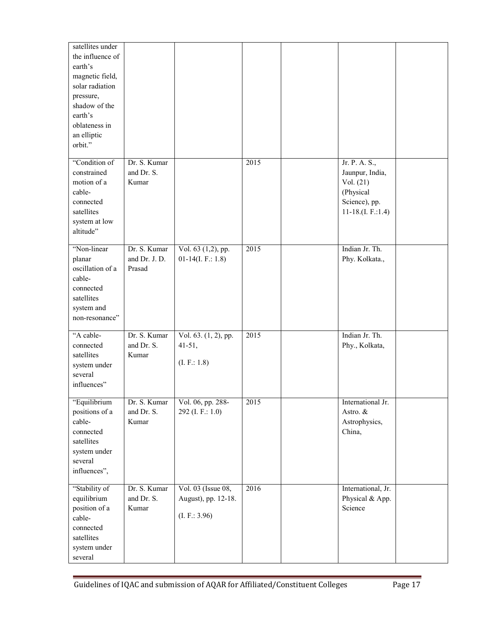| satellites under<br>the influence of<br>earth's<br>magnetic field,<br>solar radiation<br>pressure,<br>shadow of the<br>earth's<br>oblateness in<br>an elliptic<br>orbit." |                                         |                                                           |      |                                                                                                     |  |
|---------------------------------------------------------------------------------------------------------------------------------------------------------------------------|-----------------------------------------|-----------------------------------------------------------|------|-----------------------------------------------------------------------------------------------------|--|
| "Condition of<br>constrained<br>motion of a<br>cable-<br>connected<br>satellites<br>system at low<br>altitude"                                                            | Dr. S. Kumar<br>and Dr. S.<br>Kumar     |                                                           | 2015 | Jr. P. A. S.,<br>Jaunpur, India,<br>Vol. (21)<br>(Physical<br>Science), pp.<br>11-18. $(L F.: 1.4)$ |  |
| "Non-linear<br>planar<br>oscillation of a<br>cable-<br>connected<br>satellites<br>system and<br>non-resonance"                                                            | Dr. S. Kumar<br>and Dr. J. D.<br>Prasad | Vol. 63 (1,2), pp.<br>$01-14(I. F.: 1.8)$                 | 2015 | Indian Jr. Th.<br>Phy. Kolkata.,                                                                    |  |
| "A cable-<br>connected<br>satellites<br>system under<br>several<br>influences"                                                                                            | Dr. S. Kumar<br>and Dr. S.<br>Kumar     | Vol. $63. (1, 2)$ , pp.<br>$41 - 51,$<br>(L F.: 1.8)      | 2015 | Indian Jr. Th.<br>Phy., Kolkata,                                                                    |  |
| "Equilibrium<br>positions of a<br>cable-<br>connected<br>satellites<br>system under<br>several<br>influences",                                                            | Dr. S. Kumar<br>and Dr. S.<br>Kumar     | Vol. 06, pp. 288-<br>292 (I. F.: 1.0)                     | 2015 | International Jr.<br>Astro. &<br>Astrophysics,<br>China,                                            |  |
| "Stability of<br>equilibrium<br>position of a<br>cable-<br>connected<br>satellites<br>system under<br>several                                                             | Dr. S. Kumar<br>and Dr. S.<br>Kumar     | Vol. 03 (Issue 08,<br>August), pp. 12-18.<br>(L F.: 3.96) | 2016 | International, Jr.<br>Physical & App.<br>Science                                                    |  |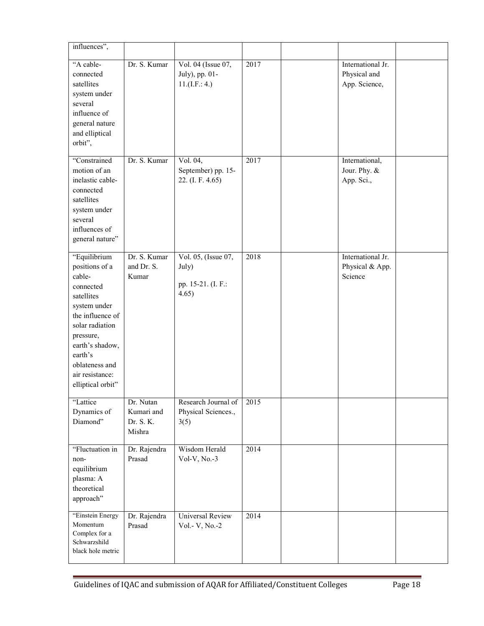| influences",                                                                                                                                                                                                                    |                                                |                                                             |      |                                                    |  |
|---------------------------------------------------------------------------------------------------------------------------------------------------------------------------------------------------------------------------------|------------------------------------------------|-------------------------------------------------------------|------|----------------------------------------------------|--|
| "A cable-<br>connected<br>satellites<br>system under<br>several<br>influence of<br>general nature<br>and elliptical<br>orbit",                                                                                                  | Dr. S. Kumar                                   | Vol. 04 (Issue 07,<br>July), pp. 01-<br>11.(I.F.: 4.)       | 2017 | International Jr.<br>Physical and<br>App. Science, |  |
| "Constrained<br>motion of an<br>inelastic cable-<br>connected<br>satellites<br>system under<br>several<br>influences of<br>general nature"                                                                                      | Dr. S. Kumar                                   | Vol. 04,<br>September) pp. 15-<br>22. (I. F. 4.65)          | 2017 | International,<br>Jour. Phy. &<br>App. Sci.,       |  |
| "Equilibrium<br>positions of a<br>cable-<br>connected<br>satellites<br>system under<br>the influence of<br>solar radiation<br>pressure,<br>earth's shadow,<br>earth's<br>oblateness and<br>air resistance:<br>elliptical orbit" | Dr. S. Kumar<br>and Dr. S.<br>Kumar            | Vol. 05, (Issue 07,<br>July)<br>pp. 15-21. (I. F.:<br>4.65) | 2018 | International Jr.<br>Physical & App.<br>Science    |  |
| "Lattice<br>Dynamics of<br>Diamond"                                                                                                                                                                                             | Dr. Nutan<br>Kumari and<br>Dr. S. K.<br>Mishra | Research Journal of<br>Physical Sciences.,<br>3(5)          | 2015 |                                                    |  |
| "Fluctuation in<br>non-<br>equilibrium<br>plasma: A<br>theoretical<br>approach"                                                                                                                                                 | Dr. Rajendra<br>Prasad                         | Wisdom Herald<br>Vol-V, $No.-3$                             | 2014 |                                                    |  |
| "Einstein Energy<br>Momentum<br>Complex for a<br>Schwarzshild<br>black hole metric                                                                                                                                              | Dr. Rajendra<br>Prasad                         | Universal Review<br>Vol.- V, No.-2                          | 2014 |                                                    |  |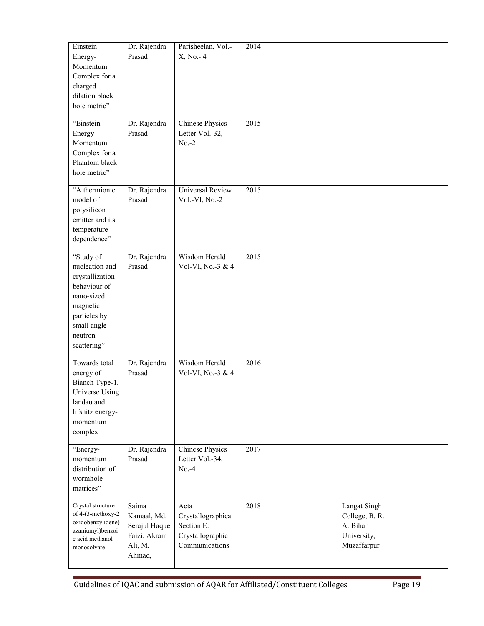| Einstein<br>Energy-<br>Momentum<br>Complex for a<br>charged<br>dilation black<br>hole metric"                                                     | Dr. Rajendra<br>Prasad                                                     | Parisheelan, Vol.-<br>X, No. - 4                                              | 2014 |                                                                          |  |
|---------------------------------------------------------------------------------------------------------------------------------------------------|----------------------------------------------------------------------------|-------------------------------------------------------------------------------|------|--------------------------------------------------------------------------|--|
| "Einstein<br>Energy-<br>Momentum<br>Complex for a<br>Phantom black<br>hole metric"                                                                | Dr. Rajendra<br>Prasad                                                     | <b>Chinese Physics</b><br>Letter Vol.-32,<br>$No.-2$                          | 2015 |                                                                          |  |
| "A thermionic<br>model of<br>polysilicon<br>emitter and its<br>temperature<br>dependence"                                                         | Dr. Rajendra<br>Prasad                                                     | <b>Universal Review</b><br>Vol.-VI, No.-2                                     | 2015 |                                                                          |  |
| "Study of<br>nucleation and<br>crystallization<br>behaviour of<br>nano-sized<br>magnetic<br>particles by<br>small angle<br>neutron<br>scattering" | Dr. Rajendra<br>Prasad                                                     | Wisdom Herald<br>Vol-VI, No.-3 & 4                                            | 2015 |                                                                          |  |
| Towards total<br>energy of<br>Bianch Type-1,<br>Universe Using<br>landau and<br>lifshitz energy-<br>momentum<br>complex                           | Dr. Rajendra<br>Prasad                                                     | Wisdom Herald<br>Vol-VI, No.-3 & 4                                            | 2016 |                                                                          |  |
| "Energy-<br>momentum<br>distribution of<br>wormhole<br>matrices"                                                                                  | Dr. Rajendra<br>Prasad                                                     | <b>Chinese Physics</b><br>Letter Vol.-34,<br>$No.-4$                          | 2017 |                                                                          |  |
| Crystal structure<br>of 4-(3-methoxy-2<br>oxidobenzylidene)<br>azaniumyl)benzoi<br>c acid methanol<br>monosolvate                                 | Saima<br>Kamaal, Md.<br>Serajul Haque<br>Faizi, Akram<br>Ali, M.<br>Ahmad, | Acta<br>Crystallographica<br>Section E:<br>Crystallographic<br>Communications | 2018 | Langat Singh<br>College, B. R.<br>A. Bihar<br>University,<br>Muzaffarpur |  |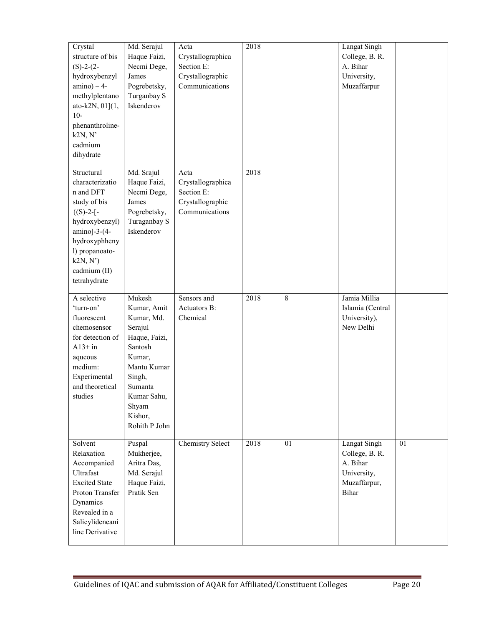| Crystal<br>structure of bis<br>$(S)-2-(2-$<br>hydroxybenzyl<br>$amino$ ) – 4-<br>methylplentano<br>ato-k2N, 01](1,<br>$10-$<br>phenanthroline-<br>k2N, N'<br>cadmium<br>dihydrate               | Md. Serajul<br>Haque Faizi,<br>Necmi Dege,<br>James<br>Pogrebetsky,<br>Turganbay S<br>Iskenderov                                                                             | Acta<br>Crystallographica<br>Section E:<br>Crystallographic<br>Communications | 2018 |                | Langat Singh<br>College, B. R.<br>A. Bihar<br>University,<br>Muzaffarpur           |    |
|-------------------------------------------------------------------------------------------------------------------------------------------------------------------------------------------------|------------------------------------------------------------------------------------------------------------------------------------------------------------------------------|-------------------------------------------------------------------------------|------|----------------|------------------------------------------------------------------------------------|----|
| Structural<br>characterizatio<br>n and DFT<br>study of bis<br>$\{(S)-2-[$<br>hydroxybenzyl)<br>$amino$ ]-3- $(4-$<br>hydroxyphheny<br>l) propanoato-<br>k2N, N'<br>cadmium (II)<br>tetrahydrate | Md. Srajul<br>Haque Faizi,<br>Necmi Dege,<br>James<br>Pogrebetsky,<br>Turaganbay S<br>Iskenderov                                                                             | Acta<br>Crystallographica<br>Section E:<br>Crystallographic<br>Communications | 2018 |                |                                                                                    |    |
| A selective<br>'turn-on'<br>fluorescent<br>chemosensor<br>for detection of<br>$A13+$ in<br>aqueous<br>medium:<br>Experimental<br>and theoretical<br>studies                                     | Mukesh<br>Kumar, Amit<br>Kumar, Md.<br>Serajul<br>Haque, Faizi,<br>Santosh<br>Kumar,<br>Mantu Kumar<br>Singh,<br>Sumanta<br>Kumar Sahu,<br>Shyam<br>Kishor,<br>Rohith P John | Sensors and<br>Actuators B:<br>Chemical                                       | 2018 | $\overline{8}$ | Jamia Millia<br>Islamia (Central<br>University),<br>New Delhi                      |    |
| Solvent<br>Relaxation<br>Accompanied<br>Ultrafast<br><b>Excited State</b><br>Proton Transfer<br>Dynamics<br>Revealed in a<br>Salicylideneani<br>line Derivative                                 | Puspal<br>Mukherjee,<br>Aritra Das,<br>Md. Serajul<br>Haque Faizi,<br>Pratik Sen                                                                                             | <b>Chemistry Select</b>                                                       | 2018 | 01             | Langat Singh<br>College, B. R.<br>A. Bihar<br>University,<br>Muzaffarpur,<br>Bihar | 01 |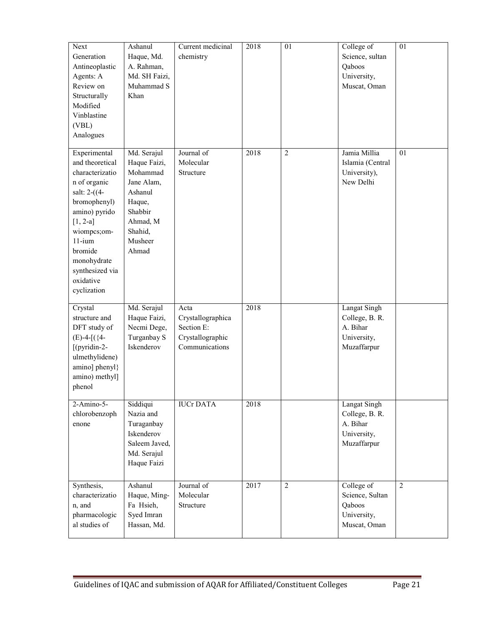| Next<br>Generation<br>Antineoplastic<br>Agents: A<br>Review on<br>Structurally<br>Modified<br>Vinblastine<br>(VBL)<br>Analogues                                                                                                         | Ashanul<br>Haque, Md.<br>A. Rahman,<br>Md. SH Faizi,<br>Muhammad S<br>Khan                                                       | Current medicinal<br>chemistry                                                | 2018 | 01             | College of<br>Science, sultan<br>Qaboos<br>University,<br>Muscat, Oman          | 01              |
|-----------------------------------------------------------------------------------------------------------------------------------------------------------------------------------------------------------------------------------------|----------------------------------------------------------------------------------------------------------------------------------|-------------------------------------------------------------------------------|------|----------------|---------------------------------------------------------------------------------|-----------------|
| Experimental<br>and theoretical<br>characterizatio<br>n of organic<br>salt: $2-(4-$<br>bromophenyl)<br>amino) pyrido<br>$[1, 2-a]$<br>wiompcs;om-<br>$11-i$ um<br>bromide<br>monohydrate<br>synthesized via<br>oxidative<br>cyclization | Md. Serajul<br>Haque Faizi,<br>Mohammad<br>Jane Alam,<br>Ashanul<br>Haque,<br>Shabbir<br>Ahmad, M<br>Shahid,<br>Musheer<br>Ahmad | Journal of<br>Molecular<br>Structure                                          | 2018 | $\overline{2}$ | Jamia Millia<br>Islamia (Central<br>University),<br>New Delhi                   | $\overline{01}$ |
| Crystal<br>structure and<br>DFT study of<br>$(E)$ -4- $[(4-$<br>[(pyridin-2-<br>ulmethylidene)<br>amino] phenyl}<br>amino) methyl]<br>phenol                                                                                            | Md. Serajul<br>Haque Faizi,<br>Necmi Dege,<br>Turganbay S<br>Iskenderov                                                          | Acta<br>Crystallographica<br>Section E:<br>Crystallographic<br>Communications | 2018 |                | <b>Langat Singh</b><br>College, B. R.<br>A. Bihar<br>University,<br>Muzaffarpur |                 |
| 2-Amino-5-<br>chlorobenzoph<br>enone                                                                                                                                                                                                    | Siddiqui<br>Nazia and<br>Turaganbay<br>Iskenderov<br>Saleem Javed,<br>Md. Serajul<br>Haque Faizi                                 | <b>IUCr DATA</b>                                                              | 2018 |                | <b>Langat Singh</b><br>College, B. R.<br>A. Bihar<br>University,<br>Muzaffarpur |                 |
| Synthesis,<br>characterizatio<br>n, and<br>pharmacologic<br>al studies of                                                                                                                                                               | Ashanul<br>Haque, Ming-<br>Fa Hsieh,<br>Syed Imran<br>Hassan, Md.                                                                | Journal of<br>Molecular<br>Structure                                          | 2017 | $\overline{2}$ | College of<br>Science, Sultan<br>Qaboos<br>University,<br>Muscat, Oman          | $\overline{2}$  |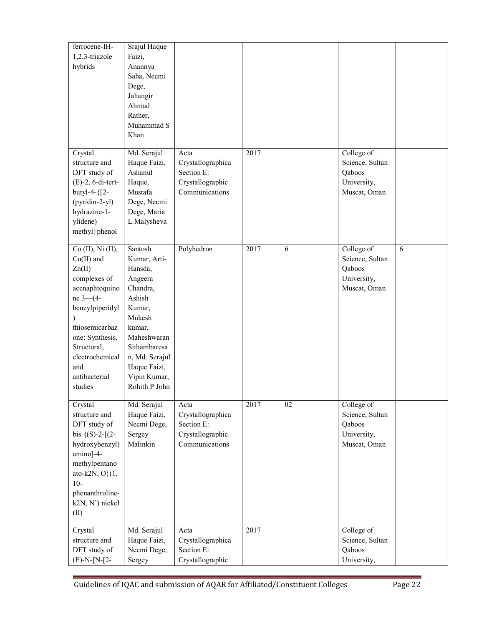| ferrocene-IH-<br>1,2,3-triazole<br>hybrids                                                                                                                                                                                         | Srajul Haque<br>Faizi,<br>Anannya<br>Saha, Necmi<br>Dege,<br>Jahangir<br>Ahmad<br>Rather,<br>Muhammad S<br>Khan                                                                                     |                                                                               |      |    |                                                                        |   |
|------------------------------------------------------------------------------------------------------------------------------------------------------------------------------------------------------------------------------------|-----------------------------------------------------------------------------------------------------------------------------------------------------------------------------------------------------|-------------------------------------------------------------------------------|------|----|------------------------------------------------------------------------|---|
| Crystal<br>structure and<br>DFT study of<br>$(E)$ -2, 6-di-tert-<br>butyl-4-{[2-<br>(pyridin-2-yl)<br>hydrazine-1-<br>ylidene)<br>methyl}phenol                                                                                    | Md. Serajul<br>Haque Faizi,<br>Ashanul<br>Haque,<br>Mustafa<br>Dege, Necmi<br>Dege, Maria<br>L Malysheva                                                                                            | Acta<br>Crystallographica<br>Section E:<br>Crystallographic<br>Communications | 2017 |    | College of<br>Science, Sultan<br>Qaboos<br>University,<br>Muscat, Oman |   |
| Co (II), Ni (II),<br>$Cu(II)$ and<br>Zn(II)<br>complexes of<br>acenaphtoquino<br>ne 3-4-<br>benzylpiperidyl<br>$\lambda$<br>thiosemicarbaz<br>one: Synthesis,<br>Structural,<br>electrochemical<br>and<br>antibacterial<br>studies | Santosh<br>Kumar, Arti-<br>Hansda,<br>Angeera<br>Chandra,<br>Ashish<br>Kumar,<br>Mukesh<br>kumar,<br>Maheshwaran<br>Sithambaresa<br>n, Md. Serajul<br>Haque Faizi,<br>Vipin Kumar,<br>Rohith P John | Polyhedron                                                                    | 2017 | 6  | College of<br>Science, Sultan<br>Qaboos<br>University,<br>Muscat, Oman | 6 |
| Crystal<br>structure and<br>DFT study of<br>bis $\{(S)-2-[2-$<br>hydroxybenzyl)<br>amino]-4-<br>methylpentano<br>ato-k2N, $O(1,$<br>$10-$<br>phenanthroline-<br>k2N, N') nickel<br>(II)                                            | Md. Serajul<br>Haque Faizi,<br>Necmi Dege,<br>Sergey<br>Malinkin                                                                                                                                    | Acta<br>Crystallographica<br>Section E:<br>Crystallographic<br>Communications | 2017 | 02 | College of<br>Science, Sultan<br>Qaboos<br>University,<br>Muscat, Oman |   |
| Crystal<br>structure and<br>DFT study of<br>$(E)-N-[N-[2-$                                                                                                                                                                         | Md. Serajul<br>Haque Faizi,<br>Necmi Dege,<br>Sergey                                                                                                                                                | Acta<br>Crystallographica<br>Section E:<br>Crystallographic                   | 2017 |    | College of<br>Science, Sultan<br>Qaboos<br>University,                 |   |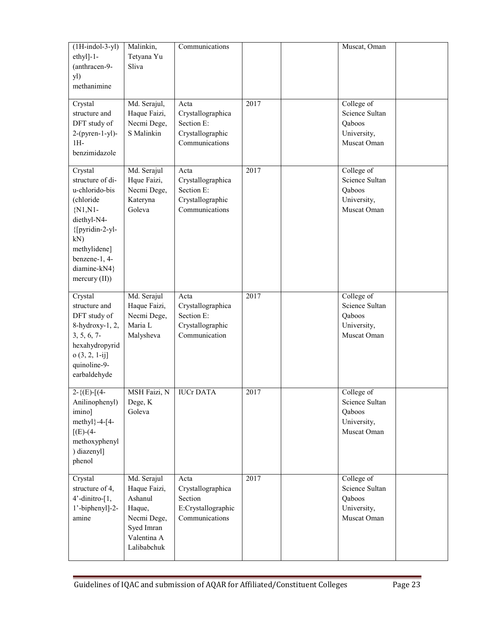| $(1H-indol-3-yl)$<br>$ethyl]-1-$<br>(anthracen-9-<br>yl)<br>methanimine                                                                                                                 | Malinkin,<br>Tetyana Yu<br>Sliva                                                                            | Communications                                                                |      | Muscat, Oman                                                         |  |
|-----------------------------------------------------------------------------------------------------------------------------------------------------------------------------------------|-------------------------------------------------------------------------------------------------------------|-------------------------------------------------------------------------------|------|----------------------------------------------------------------------|--|
| Crystal<br>structure and<br>DFT study of<br>$2-(pyren-1-yl)$ -<br>$1H-$<br>benzimidazole                                                                                                | Md. Serajul,<br>Haque Faizi,<br>Necmi Dege,<br>S Malinkin                                                   | Acta<br>Crystallographica<br>Section E:<br>Crystallographic<br>Communications | 2017 | College of<br>Science Sultan<br>Qaboos<br>University,<br>Muscat Oman |  |
| Crystal<br>structure of di-<br>u-chlorido-bis<br>(chloride<br>$\{N1,N1\}$<br>diethyl-N4-<br>{[pyridin-2-yl-<br>kN)<br>methylidene]<br>benzene-1, 4-<br>diamine-kN4}<br>mercury $(II)$ ) | Md. Serajul<br>Hque Faizi,<br>Necmi Dege,<br>Kateryna<br>Goleva                                             | Acta<br>Crystallographica<br>Section E:<br>Crystallographic<br>Communications | 2017 | College of<br>Science Sultan<br>Qaboos<br>University,<br>Muscat Oman |  |
| Crystal<br>structure and<br>DFT study of<br>8-hydroxy-1, 2,<br>$3, 5, 6, 7$ -<br>hexahydropyrid<br>$o(3, 2, 1-ij]$<br>quinoline-9-<br>earbaldehyde                                      | Md. Serajul<br>Haque Faizi,<br>Necmi Dege,<br>Maria L<br>Malysheva                                          | Acta<br>Crystallographica<br>Section E:<br>Crystallographic<br>Communication  | 2017 | College of<br>Science Sultan<br>Qaboos<br>University,<br>Muscat Oman |  |
| $2-\{ (E) - [(4-$<br>Anilinophenyl)<br>imino]<br>methyl $}-4-[4-$<br>$[(E)-(4-$<br>methoxyphenyl<br>) diazenyl]<br>phenol                                                               | MSH Faizi, N   IUCr DATA<br>Dege, K<br>Goleva                                                               |                                                                               | 2017 | College of<br>Science Sultan<br>Qaboos<br>University,<br>Muscat Oman |  |
| Crystal<br>structure of 4,<br>$4'$ -dinitro- $[1,$<br>1'-biphenyl]-2-<br>amine                                                                                                          | Md. Serajul<br>Haque Faizi,<br>Ashanul<br>Haque,<br>Necmi Dege,<br>Syed Imran<br>Valentina A<br>Lalibabchuk | Acta<br>Crystallographica<br>Section<br>E:Crystallographic<br>Communications  | 2017 | College of<br>Science Sultan<br>Qaboos<br>University,<br>Muscat Oman |  |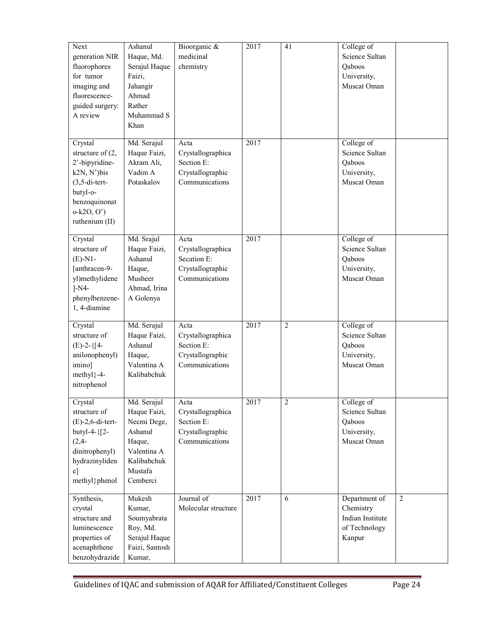| Next<br>generation NIR<br>fluorophores<br>for tumor<br>imaging and<br>fluorescence-<br>guided surgery:<br>A review                                | Ashanul<br>Haque, Md.<br>Serajul Haque<br>Faizi,<br>Jahangir<br>Ahmad<br>Rather<br>Muhammad S<br>Khan                | Bioorganic &<br>medicinal<br>chemistry                                         | 2017 | 41             | College of<br>Science Sultan<br>Qaboos<br>University,<br>Muscat Oman                        |  |
|---------------------------------------------------------------------------------------------------------------------------------------------------|----------------------------------------------------------------------------------------------------------------------|--------------------------------------------------------------------------------|------|----------------|---------------------------------------------------------------------------------------------|--|
| Crystal<br>structure of $(2,$<br>2'-bipyridine-<br>k2N, N')bis<br>$(3, 5$ -di-tert-<br>butyl-o-<br>benzoquinonat<br>$o-k2O, O'$<br>ruthenium (II) | Md. Serajul<br>Haque Faizi,<br>Akram Ali,<br>Vadim A<br>Potaskalov                                                   | Acta<br>Crystallographica<br>Section E:<br>Crystallographic<br>Communications  | 2017 |                | College of<br>Science Sultan<br>Qaboos<br>University,<br>Muscat Oman                        |  |
| Crystal<br>structure of<br>$(E)$ -N1-<br>[anthracen-9-<br>yl)methylidene<br>$l-N4-$<br>phenylbenzene-<br>1, 4-diamine                             | Md. Srajul<br>Haque Faizi,<br>Ashanul<br>Haque,<br>Musheer<br>Ahmad, Irina<br>A Golenya                              | Acta<br>Crystallographica<br>Secation E:<br>Crystallographic<br>Communications | 2017 |                | College of<br>Science Sultan<br>Qaboos<br>University,<br>Muscat Oman                        |  |
| Crystal<br>structure of<br>$(E)$ -2-{[4-<br>anilonophenyl)<br>imino]<br>$methyl$ }-4-<br>nitrophenol                                              | Md. Serajul<br>Haque Faizi,<br>Ashanul<br>Haque,<br>Valentina A<br>Kalibabchuk                                       | Acta<br>Crystallographica<br>Section E:<br>Crystallographic<br>Communications  | 2017 | $\overline{2}$ | College of<br>Science Sultan<br>Qaboos<br>University,<br>Muscat Oman                        |  |
| Crystal<br>structure of<br>$(E)$ -2,6-di-tert-<br>butyl-4- ${2-}$<br>$(2, 4 -$<br>dinitrophenyl)<br>hydrazinyliden<br>$e$ ]<br>methyl}phenol      | Md. Serajul<br>Haque Faizi,<br>Necmi Dege,<br>Ashanul<br>Haque,<br>Valentina A<br>Kalibabchuk<br>Mustafa<br>Cemberci | Acta<br>Crystallographica<br>Section E:<br>Crystallographic<br>Communications  | 2017 | $\overline{2}$ | College of<br>Science Sultan<br>Qaboos<br>University,<br>Muscat Oman                        |  |
| Synthesis,<br>crystal<br>structure and<br>luminescence<br>properties of<br>acenaphthene<br>benzohydrazide                                         | Mukesh<br>Kumar,<br>Soumyabrata<br>Roy, Md.<br>Serajul Haque<br>Faizi, Santosh<br>Kumar,                             | Journal of<br>Molecular structure                                              | 2017 | 6              | $\overline{2}$<br>Department of<br>Chemistry<br>Indian Institute<br>of Technology<br>Kanpur |  |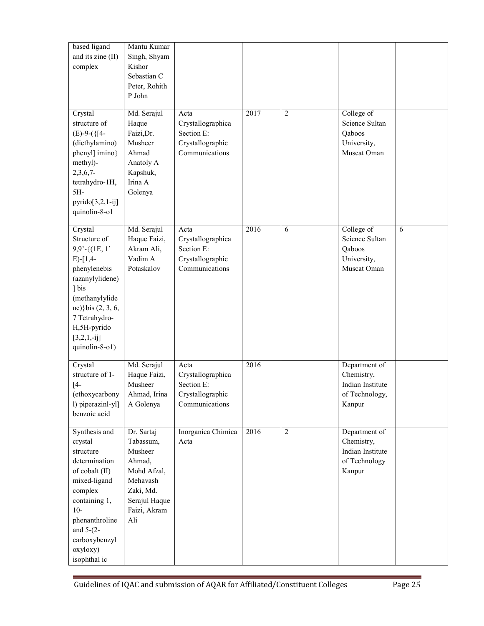| based ligand<br>and its zine (II)<br>complex                                                                                                                                                                         | Mantu Kumar<br>Singh, Shyam<br>Kishor<br>Sebastian C<br>Peter, Rohith<br>P John                                              |                                                                               |      |                |                                                                             |   |
|----------------------------------------------------------------------------------------------------------------------------------------------------------------------------------------------------------------------|------------------------------------------------------------------------------------------------------------------------------|-------------------------------------------------------------------------------|------|----------------|-----------------------------------------------------------------------------|---|
| Crystal<br>structure of<br>$(E)$ -9- $({[4-$<br>(diethylamino)<br>phenyl] imino}<br>methyl)-<br>$2,3,6,7$ -<br>tetrahydro-1H,<br>5H-<br>$pyrido[3,2,1-ij]$<br>quinolin-8-o1                                          | Md. Serajul<br>Haque<br>Faizi, Dr.<br>Musheer<br>Ahmad<br>Anatoly A<br>Kapshuk,<br>Irina A<br>Golenya                        | Acta<br>Crystallographica<br>Section E:<br>Crystallographic<br>Communications | 2017 | $\overline{2}$ | College of<br>Science Sultan<br>Qaboos<br>University,<br>Muscat Oman        |   |
| Crystal<br>Structure of<br>$9,9'$ -{ $(1E, 1')$<br>$E$ -[1,4-<br>phenylenebis<br>(azanylylidene)<br>1 bis<br>(methanylylide<br>ne)} bis (2, 3, 6,<br>7 Tetrahydro-<br>H,5H-pyrido<br>$[3,2,1,-ij]$<br>quinolin-8-o1) | Md. Serajul<br>Haque Faizi,<br>Akram Ali,<br>Vadim A<br>Potaskalov                                                           | Acta<br>Crystallographica<br>Section E:<br>Crystallographic<br>Communications | 2016 | 6              | College of<br>Science Sultan<br>Qaboos<br>University,<br>Muscat Oman        | 6 |
| Crystal<br>structure of 1-<br>$[4-$<br>(ethoxycarbony<br>l) piperazinl-yl]<br>benzoic acid                                                                                                                           | Md. Serajul<br>Haque Faizi,<br>Musheer<br>Ahmad, Irina<br>A Golenya                                                          | Acta<br>Crystallographica<br>Section E:<br>Crystallographic<br>Communications | 2016 |                | Department of<br>Chemistry,<br>Indian Institute<br>of Technology,<br>Kanpur |   |
| Synthesis and<br>crystal<br>structure<br>determination<br>of cobalt (II)<br>mixed-ligand<br>complex<br>containing 1,<br>$10-$<br>phenanthroline<br>and $5-(2-)$<br>carboxybenzyl<br>oxyloxy)<br>isophthal ic         | Dr. Sartaj<br>Tabassum,<br>Musheer<br>Ahmad,<br>Mohd Afzal,<br>Mehavash<br>Zaki, Md.<br>Serajul Haque<br>Faizi, Akram<br>Ali | Inorganica Chimica<br>Acta                                                    | 2016 | $\overline{2}$ | Department of<br>Chemistry,<br>Indian Institute<br>of Technology<br>Kanpur  |   |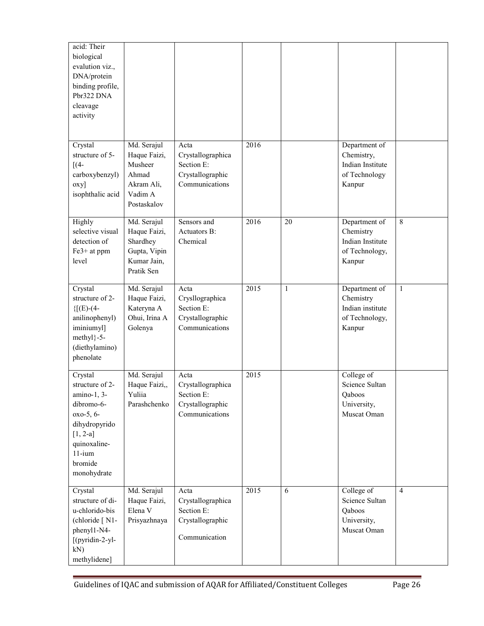| acid: Their<br>biological<br>evalution viz.,<br>DNA/protein<br>binding profile,<br>Pbr322 DNA<br>cleavage<br>activity                                      |                                                                                         |                                                                               |      |    |                                                                            |                |
|------------------------------------------------------------------------------------------------------------------------------------------------------------|-----------------------------------------------------------------------------------------|-------------------------------------------------------------------------------|------|----|----------------------------------------------------------------------------|----------------|
| Crystal<br>structure of 5-<br>$[(4-$<br>carboxybenzyl)<br>$oxy$ ]<br>isophthalic acid                                                                      | Md. Serajul<br>Haque Faizi,<br>Musheer<br>Ahmad<br>Akram Ali,<br>Vadim A<br>Postaskalov | Acta<br>Crystallographica<br>Section E:<br>Crystallographic<br>Communications | 2016 |    | Department of<br>Chemistry,<br>Indian Institute<br>of Technology<br>Kanpur |                |
| Highly<br>selective visual<br>detection of<br>Fe3+ at ppm<br>level                                                                                         | Md. Serajul<br>Haque Faizi,<br>Shardhey<br>Gupta, Vipin<br>Kumar Jain,<br>Pratik Sen    | Sensors and<br>Actuators B:<br>Chemical                                       | 2016 | 20 | Department of<br>Chemistry<br>Indian Institute<br>of Technology,<br>Kanpur | $\overline{8}$ |
| Crystal<br>structure of 2-<br>${[E)-(4-$<br>anilinophenyl)<br>iminiumyl]<br>methyl}-5-<br>(diethylamino)<br>phenolate                                      | Md. Serajul<br>Haque Faizi,<br>Kateryna A<br>Ohui, Irina A<br>Golenya                   | Acta<br>Crysllographica<br>Section E:<br>Crystallographic<br>Communications   | 2015 | 1  | Department of<br>Chemistry<br>Indian institute<br>of Technology,<br>Kanpur | $\mathbf{1}$   |
| Crystal<br>structure of 2-<br>amino-1, 3-<br>dibromo-6-<br>oxo-5, 6-<br>dihydropyrido<br>$[1, 2-a]$<br>quinoxaline-<br>$11-i$ um<br>bromide<br>monohydrate | Md. Serajul<br>Haque Faizi,,<br>Yuliia<br>Parashchenko                                  | Acta<br>Crystallographica<br>Section E:<br>Crystallographic<br>Communications | 2015 |    | College of<br>Science Sultan<br>Qaboos<br>University,<br>Muscat Oman       |                |
| Crystal<br>structure of di-<br>u-chlorido-bis<br>(chloride [N1-<br>phenyl1-N4-<br>[(pyridin-2-yl-<br>$kN$ )<br>methylidene]                                | Md. Serajul<br>Haque Faizi,<br>Elena V<br>Prisyazhnaya                                  | Acta<br>Crystallographica<br>Section E:<br>Crystallographic<br>Communication  | 2015 | 6  | College of<br>Science Sultan<br>Qaboos<br>University,<br>Muscat Oman       | $\overline{4}$ |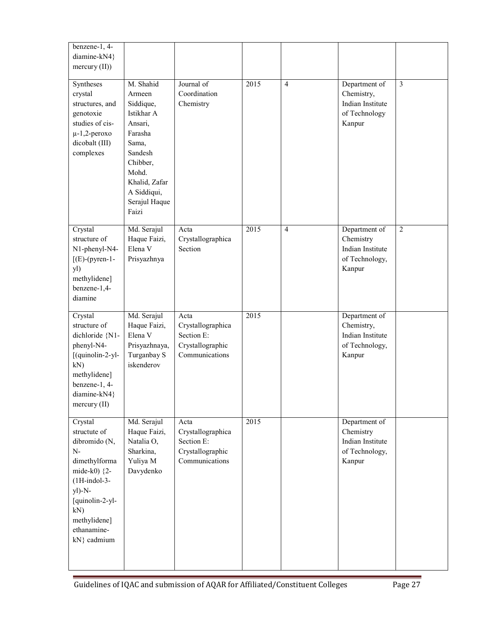| benzene-1, 4-<br>diamine-kN4}<br>mercury $(II)$ )                                                                                                                                                  |                                                                                                                                                                         |                                                                               |      |                |                                                                             |                |
|----------------------------------------------------------------------------------------------------------------------------------------------------------------------------------------------------|-------------------------------------------------------------------------------------------------------------------------------------------------------------------------|-------------------------------------------------------------------------------|------|----------------|-----------------------------------------------------------------------------|----------------|
| Syntheses<br>crystal<br>structures, and<br>genotoxie<br>studies of cis-<br>$\mu$ -1,2-peroxo<br>dicobalt (III)<br>complexes                                                                        | M. Shahid<br>Armeen<br>Siddique,<br>Istikhar A<br>Ansari,<br>Farasha<br>Sama,<br>Sandesh<br>Chibber,<br>Mohd.<br>Khalid, Zafar<br>A Siddiqui,<br>Serajul Haque<br>Faizi | Journal of<br>Coordination<br>Chemistry                                       | 2015 | $\overline{4}$ | Department of<br>Chemistry,<br>Indian Institute<br>of Technology<br>Kanpur  | $\overline{3}$ |
| Crystal<br>structure of<br>N1-phenyl-N4-<br>$[$ (E)-(pyren-1-<br>yl)<br>methylidene]<br>benzene-1,4-<br>diamine                                                                                    | Md. Serajul<br>Haque Faizi,<br>Elena V<br>Prisyazhnya                                                                                                                   | Acta<br>Crystallographica<br>Section                                          | 2015 | $\overline{4}$ | Department of<br>Chemistry<br>Indian Institute<br>of Technology,<br>Kanpur  | $\overline{2}$ |
| Crystal<br>structure of<br>dichloride {N1-<br>phenyl-N4-<br>[(quinolin-2-yl-<br>kN)<br>methylidene]<br>benzene-1, 4-<br>$diamine-kN4$<br>$\text{mercury}$ (II)                                     | Md. Serajul<br>Haque Faizi,<br>Elena V<br>Prisyazhnaya,<br>Turganbay S<br>iskenderov                                                                                    | Acta<br>Crystallographica<br>Section E:<br>Crystallographic<br>Communications | 2015 |                | Department of<br>Chemistry,<br>Indian Institute<br>of Technology,<br>Kanpur |                |
| Crystal<br>structute of<br>dibromido (N,<br>$N-$<br>dimethylforma<br>mide-k0) $\{2 -$<br>$(1H-indol-3-$<br>$y$ ])- $N-$<br>[quinolin-2-yl-<br>$kN$ )<br>methylidene]<br>ethanamine-<br>kN} cadmium | Md. Serajul<br>Haque Faizi,<br>Natalia O,<br>Sharkina,<br>Yuliya M<br>Davydenko                                                                                         | Acta<br>Crystallographica<br>Section E:<br>Crystallographic<br>Communications | 2015 |                | Department of<br>Chemistry<br>Indian Institute<br>of Technology,<br>Kanpur  |                |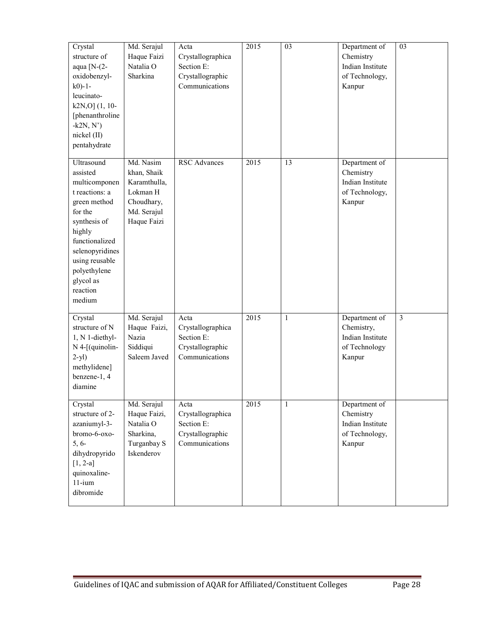| Crystal<br>structure of<br>aqua $[N-(2-$<br>oxidobenzyl-<br>$k0$ -1-<br>leucinato-<br>$k2N,0$ ] $(1, 10-$<br>[phenanthroline]<br>$-k2N, N'$<br>nickel (II)<br>pentahydrate                                               | Md. Serajul<br>Haque Faizi<br>Natalia O<br>Sharkina                                              | Acta<br>Crystallographica<br>Section E:<br>Crystallographic<br>Communications | 2015              | 03           | Department of<br>Chemistry<br>Indian Institute<br>of Technology,<br>Kanpur | 03             |
|--------------------------------------------------------------------------------------------------------------------------------------------------------------------------------------------------------------------------|--------------------------------------------------------------------------------------------------|-------------------------------------------------------------------------------|-------------------|--------------|----------------------------------------------------------------------------|----------------|
| Ultrasound<br>assisted<br>multicomponen<br>t reactions: a<br>green method<br>for the<br>synthesis of<br>highly<br>functionalized<br>selenopyridines<br>using reusable<br>polyethylene<br>glycol as<br>reaction<br>medium | Md. Nasim<br>khan, Shaik<br>Karamthulla,<br>Lokman H<br>Choudhary,<br>Md. Serajul<br>Haque Faizi | <b>RSC</b> Advances                                                           | $\overline{2015}$ | 13           | Department of<br>Chemistry<br>Indian Institute<br>of Technology,<br>Kanpur |                |
| Crystal<br>structure of N<br>1, N 1-diethyl-<br>$N$ 4-[(quinolin-<br>$2-yl$ )<br>methylidene]<br>benzene-1, 4<br>diamine                                                                                                 | Md. Serajul<br>Haque Faizi,<br>Nazia<br>Siddiqui<br>Saleem Javed                                 | Acta<br>Crystallographica<br>Section E:<br>Crystallographic<br>Communications | 2015              | $\mathbf{1}$ | Department of<br>Chemistry,<br>Indian Institute<br>of Technology<br>Kanpur | $\overline{3}$ |
| Crystal<br>structure of 2-<br>azaniumyl-3-<br>bromo-6-oxo-<br>$5, 6-$<br>dihydropyrido<br>$[1, 2-a]$<br>quinoxaline-<br>$11-i$ um<br>dibromide                                                                           | Md. Serajul<br>Haque Faizi,<br>Natalia O<br>Sharkina,<br>Turganbay S<br>Iskenderov               | Acta<br>Crystallographica<br>Section E:<br>Crystallographic<br>Communications | 2015              | 1            | Department of<br>Chemistry<br>Indian Institute<br>of Technology,<br>Kanpur |                |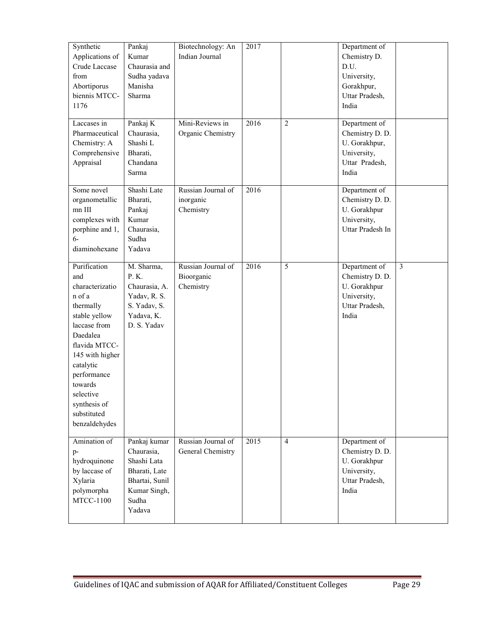| Synthetic<br>Applications of<br>Crude Laccase<br>from<br>Abortiporus<br>biennis MTCC-<br>1176                                                                                                                                                      | Pankaj<br>Kumar<br>Chaurasia and<br>Sudha yadava<br>Manisha<br>Sharma                                           | Biotechnology: An<br>Indian Journal           | 2017 |                | Department of<br>Chemistry D.<br>D.U.<br>University,<br>Gorakhpur,<br>Uttar Pradesh,<br>India |                |
|----------------------------------------------------------------------------------------------------------------------------------------------------------------------------------------------------------------------------------------------------|-----------------------------------------------------------------------------------------------------------------|-----------------------------------------------|------|----------------|-----------------------------------------------------------------------------------------------|----------------|
| Laccases in<br>Pharmaceutical<br>Chemistry: A<br>Comprehensive<br>Appraisal                                                                                                                                                                        | Pankaj K<br>Chaurasia,<br>Shashi L<br>Bharati,<br>Chandana<br>Sarma                                             | Mini-Reviews in<br>Organic Chemistry          | 2016 | $\overline{2}$ | Department of<br>Chemistry D. D.<br>U. Gorakhpur,<br>University,<br>Uttar Pradesh,<br>India   |                |
| Some novel<br>organometallic<br>mn III<br>complexes with<br>porphine and 1,<br>$6-$<br>diaminohexane                                                                                                                                               | Shashi Late<br>Bharati,<br>Pankaj<br>Kumar<br>Chaurasia,<br>Sudha<br>Yadava                                     | Russian Journal of<br>inorganic<br>Chemistry  | 2016 |                | Department of<br>Chemistry D. D.<br>U. Gorakhpur<br>University,<br>Uttar Pradesh In           |                |
| Purification<br>and<br>characterizatio<br>n of a<br>thermally<br>stable yellow<br>laccase from<br>Daedalea<br>flavida MTCC-<br>145 with higher<br>catalytic<br>performance<br>towards<br>selective<br>synthesis of<br>substituted<br>benzaldehydes | M. Sharma,<br>P. K.<br>Chaurasia, A.<br>Yadav, R. S.<br>S. Yadav, S.<br>Yadava, K.<br>D. S. Yadav               | Russian Journal of<br>Bioorganic<br>Chemistry | 2016 | 5              | Department of<br>Chemistry D. D.<br>U. Gorakhpur<br>University,<br>Uttar Pradesh,<br>India    | $\overline{3}$ |
| Amination of<br>$p-$<br>hydroquinone<br>by laccase of<br>Xylaria<br>polymorpha<br><b>MTCC-1100</b>                                                                                                                                                 | Pankaj kumar<br>Chaurasia,<br>Shashi Lata<br>Bharati, Late<br>Bhartai, Sunil<br>Kumar Singh,<br>Sudha<br>Yadava | Russian Journal of<br>General Chemistry       | 2015 | $\overline{4}$ | Department of<br>Chemistry D. D.<br>U. Gorakhpur<br>University,<br>Uttar Pradesh,<br>India    |                |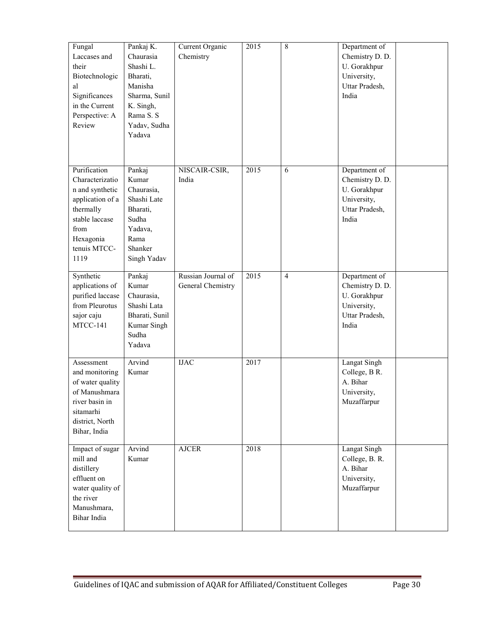| Fungal<br>Laccases and<br>their<br>Biotechnologic<br>al<br>Significances<br>in the Current<br>Perspective: A<br>Review                             | Pankaj K.<br>Chaurasia<br>Shashi L.<br>Bharati,<br>Manisha<br>Sharma, Sunil<br>K. Singh,<br>Rama S. S<br>Yadav, Sudha<br>Yadava | Current Organic<br>Chemistry            | 2015 | 8              | Department of<br>Chemistry D. D.<br>U. Gorakhpur<br>University,<br>Uttar Pradesh,<br>India |
|----------------------------------------------------------------------------------------------------------------------------------------------------|---------------------------------------------------------------------------------------------------------------------------------|-----------------------------------------|------|----------------|--------------------------------------------------------------------------------------------|
| Purification<br>Characterizatio<br>n and synthetic<br>application of a<br>thermally<br>stable laccase<br>from<br>Hexagonia<br>tenuis MTCC-<br>1119 | Pankaj<br>Kumar<br>Chaurasia,<br>Shashi Late<br>Bharati,<br>Sudha<br>Yadava,<br>Rama<br>Shanker<br>Singh Yadav                  | NISCAIR-CSIR,<br>India                  | 2015 | 6              | Department of<br>Chemistry D. D.<br>U. Gorakhpur<br>University,<br>Uttar Pradesh,<br>India |
| Synthetic<br>applications of<br>purified laccase<br>from Pleurotus<br>sajor caju<br>MTCC-141                                                       | Pankaj<br>Kumar<br>Chaurasia,<br>Shashi Lata<br>Bharati, Sunil<br>Kumar Singh<br>Sudha<br>Yadava                                | Russian Journal of<br>General Chemistry | 2015 | $\overline{4}$ | Department of<br>Chemistry D. D.<br>U. Gorakhpur<br>University,<br>Uttar Pradesh,<br>India |
| Assessment<br>and monitoring<br>of water quality<br>of Manushmara<br>river basin in<br>sitamarhi<br>district, North<br>Bihar, India                | Arvind<br>Kumar                                                                                                                 | <b>IJAC</b>                             | 2017 |                | <b>Langat Singh</b><br>College, B R.<br>A. Bihar<br>University,<br>Muzaffarpur             |
| Impact of sugar<br>mill and<br>distillery<br>effluent on<br>water quality of<br>the river<br>Manushmara,<br>Bihar India                            | Arvind<br>Kumar                                                                                                                 | <b>AJCER</b>                            | 2018 |                | Langat Singh<br>College, B. R.<br>A. Bihar<br>University,<br>Muzaffarpur                   |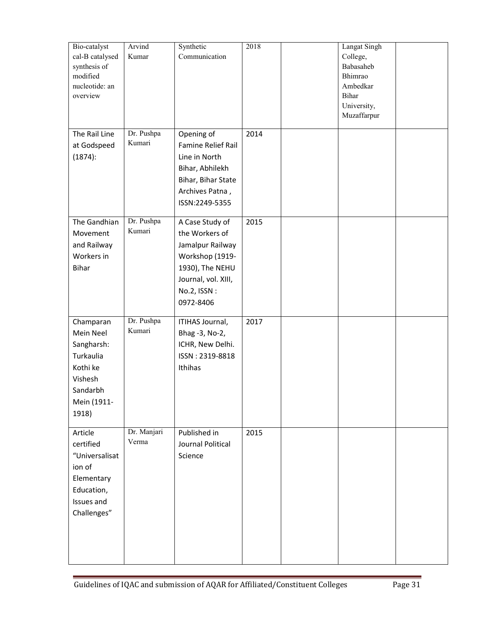| Bio-catalyst<br>cal-B catalysed<br>synthesis of<br>modified<br>nucleotide: an<br>overview                    | Arvind<br>Kumar      | Synthetic<br>Communication                                                                                                                     | 2018 | Langat Singh<br>College,<br>Babasaheb<br>Bhimrao<br>Ambedkar<br>Bihar<br>University,<br>Muzaffarpur |  |
|--------------------------------------------------------------------------------------------------------------|----------------------|------------------------------------------------------------------------------------------------------------------------------------------------|------|-----------------------------------------------------------------------------------------------------|--|
| The Rail Line<br>at Godspeed<br>(1874):                                                                      | Dr. Pushpa<br>Kumari | Opening of<br><b>Famine Relief Rail</b><br>Line in North<br>Bihar, Abhilekh<br>Bihar, Bihar State<br>Archives Patna,<br>ISSN:2249-5355         | 2014 |                                                                                                     |  |
| The Gandhian<br>Movement<br>and Railway<br>Workers in<br><b>Bihar</b>                                        | Dr. Pushpa<br>Kumari | A Case Study of<br>the Workers of<br>Jamalpur Railway<br>Workshop (1919-<br>1930), The NEHU<br>Journal, vol. XIII,<br>No.2, ISSN:<br>0972-8406 | 2015 |                                                                                                     |  |
| Champaran<br>Mein Neel<br>Sangharsh:<br>Turkaulia<br>Kothi ke<br>Vishesh<br>Sandarbh<br>Mein (1911-<br>1918) | Dr. Pushpa<br>Kumari | ITIHAS Journal,<br>Bhag -3, No-2,<br>ICHR, New Delhi.<br>ISSN: 2319-8818<br>Ithihas                                                            | 2017 |                                                                                                     |  |
| Article<br>certified<br>"Universalisat<br>ion of<br>Elementary<br>Education,<br>Issues and<br>Challenges"    | Dr. Manjari<br>Verma | Published in<br>Journal Political<br>Science                                                                                                   | 2015 |                                                                                                     |  |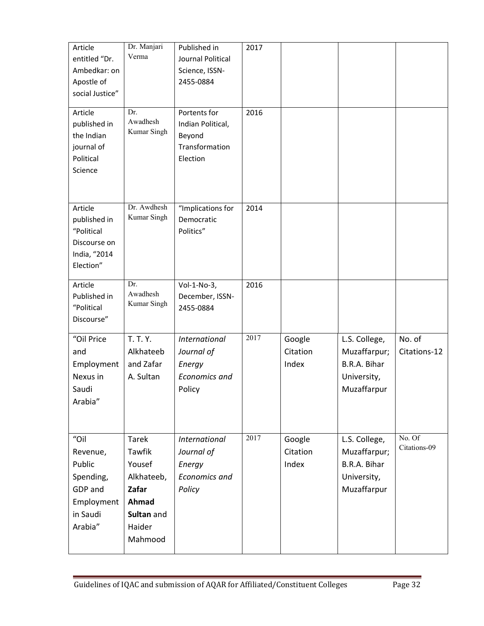| Article<br>entitled "Dr.<br>Ambedkar: on<br>Apostle of<br>social Justice"<br>Article<br>published in<br>the Indian<br>journal of<br>Political<br>Science | Dr. Manjari<br>Verma<br>Dr.<br>Awadhesh<br>Kumar Singh                                              | Published in<br>Journal Political<br>Science, ISSN-<br>2455-0884<br>Portents for<br>Indian Political,<br>Beyond<br>Transformation<br>Election | 2017<br>2016 |                             |                                                                             |                        |
|----------------------------------------------------------------------------------------------------------------------------------------------------------|-----------------------------------------------------------------------------------------------------|-----------------------------------------------------------------------------------------------------------------------------------------------|--------------|-----------------------------|-----------------------------------------------------------------------------|------------------------|
| Article<br>published in<br>"Political<br>Discourse on<br>India, "2014<br>Election"                                                                       | Dr. Awdhesh<br>Kumar Singh                                                                          | "Implications for<br>Democratic<br>Politics"                                                                                                  | 2014         |                             |                                                                             |                        |
| Article<br>Published in<br>"Political<br>Discourse"                                                                                                      | Dr.<br>Awadhesh<br>Kumar Singh                                                                      | Vol-1-No-3,<br>December, ISSN-<br>2455-0884                                                                                                   | 2016         |                             |                                                                             |                        |
| "Oil Price<br>and<br>Employment<br>Nexus in<br>Saudi<br>Arabia"                                                                                          | <b>T. T. Y.</b><br>Alkhateeb<br>and Zafar<br>A. Sultan                                              | <b>International</b><br>Journal of<br>Energy<br><b>Economics and</b><br>Policy                                                                | 2017         | Google<br>Citation<br>Index | L.S. College,<br>Muzaffarpur;<br>B.R.A. Bihar<br>University,<br>Muzaffarpur | No. of<br>Citations-12 |
| "Oil<br>Revenue,<br>Public<br>Spending,<br>GDP and<br>Employment<br>in Saudi<br>Arabia"                                                                  | <b>Tarek</b><br>Tawfik<br>Yousef<br>Alkhateeb,<br>Zafar<br>Ahmad<br>Sultan and<br>Haider<br>Mahmood | International<br>Journal of<br>Energy<br>Economics and<br>Policy                                                                              | 2017         | Google<br>Citation<br>Index | L.S. College,<br>Muzaffarpur;<br>B.R.A. Bihar<br>University,<br>Muzaffarpur | No. Of<br>Citations-09 |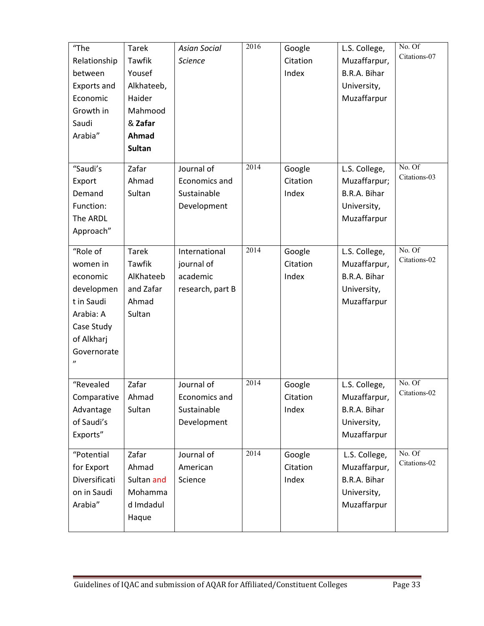| "The<br>Relationship<br>between<br>Exports and<br>Economic<br>Growth in<br>Saudi<br>Arabia"                                               | <b>Tarek</b><br>Tawfik<br>Yousef<br>Alkhateeb,<br>Haider<br>Mahmood<br>& Zafar<br>Ahmad<br><b>Sultan</b> | <b>Asian Social</b><br><b>Science</b>                       | 2016 | Google<br>Citation<br>Index | L.S. College,<br>Muzaffarpur,<br>B.R.A. Bihar<br>University,<br>Muzaffarpur | No. Of<br>Citations-07 |
|-------------------------------------------------------------------------------------------------------------------------------------------|----------------------------------------------------------------------------------------------------------|-------------------------------------------------------------|------|-----------------------------|-----------------------------------------------------------------------------|------------------------|
| "Saudi's<br>Export<br>Demand<br>Function:<br>The ARDL<br>Approach"                                                                        | Zafar<br>Ahmad<br>Sultan                                                                                 | Journal of<br>Economics and<br>Sustainable<br>Development   | 2014 | Google<br>Citation<br>Index | L.S. College,<br>Muzaffarpur;<br>B.R.A. Bihar<br>University,<br>Muzaffarpur | No. Of<br>Citations-03 |
| "Role of<br>women in<br>economic<br>developmen<br>t in Saudi<br>Arabia: A<br>Case Study<br>of Alkharj<br>Governorate<br>$^{\prime\prime}$ | <b>Tarek</b><br>Tawfik<br>AlKhateeb<br>and Zafar<br>Ahmad<br>Sultan                                      | International<br>journal of<br>academic<br>research, part B | 2014 | Google<br>Citation<br>Index | L.S. College,<br>Muzaffarpur,<br>B.R.A. Bihar<br>University,<br>Muzaffarpur | No. Of<br>Citations-02 |
| "Revealed<br>Comparative<br>Advantage<br>of Saudi's<br>Exports"                                                                           | Zafar<br>Ahmad<br>Sultan                                                                                 | Journal of<br>Economics and<br>Sustainable<br>Development   | 2014 | Google<br>Citation<br>Index | L.S. College,<br>Muzaffarpur,<br>B.R.A. Bihar<br>University,<br>Muzaffarpur | No. Of<br>Citations-02 |
| "Potential<br>for Export<br>Diversificati<br>on in Saudi<br>Arabia"                                                                       | Zafar<br>Ahmad<br>Sultan and<br>Mohamma<br>d Imdadul<br>Haque                                            | Journal of<br>American<br>Science                           | 2014 | Google<br>Citation<br>Index | L.S. College,<br>Muzaffarpur,<br>B.R.A. Bihar<br>University,<br>Muzaffarpur | No. Of<br>Citations-02 |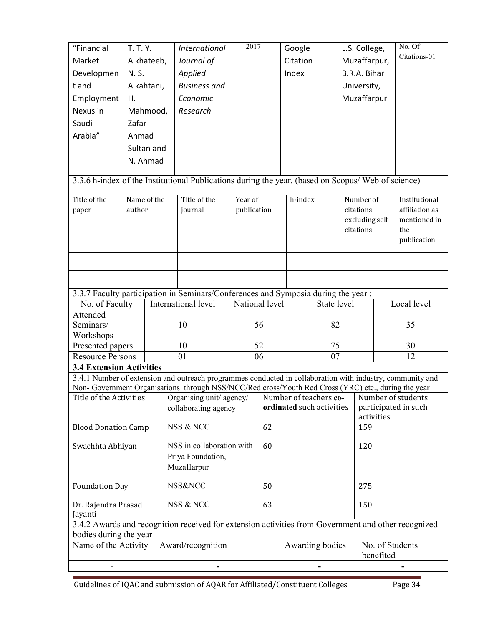| "Financial                                                                                          | T. T. Y.    |  | <b>International</b>                                                                                      |         | 2017           | Google                    |                        |              | L.S. College,  |              | No. Of               |
|-----------------------------------------------------------------------------------------------------|-------------|--|-----------------------------------------------------------------------------------------------------------|---------|----------------|---------------------------|------------------------|--------------|----------------|--------------|----------------------|
| Market                                                                                              | Alkhateeb,  |  | Journal of                                                                                                |         | Citation       |                           |                        | Muzaffarpur, |                | Citations-01 |                      |
| Developmen                                                                                          | N. S.       |  | Applied                                                                                                   |         |                | Index                     |                        |              | B.R.A. Bihar   |              |                      |
| t and                                                                                               | Alkahtani,  |  | <b>Business and</b>                                                                                       |         |                |                           |                        |              | University,    |              |                      |
| Employment                                                                                          | Η.          |  | Economic                                                                                                  |         |                |                           |                        |              | Muzaffarpur    |              |                      |
| Nexus in                                                                                            | Mahmood,    |  | Research                                                                                                  |         |                |                           |                        |              |                |              |                      |
| Saudi                                                                                               | Zafar       |  |                                                                                                           |         |                |                           |                        |              |                |              |                      |
| Arabia"                                                                                             | Ahmad       |  |                                                                                                           |         |                |                           |                        |              |                |              |                      |
|                                                                                                     | Sultan and  |  |                                                                                                           |         |                |                           |                        |              |                |              |                      |
|                                                                                                     | N. Ahmad    |  |                                                                                                           |         |                |                           |                        |              |                |              |                      |
|                                                                                                     |             |  |                                                                                                           |         |                |                           |                        |              |                |              |                      |
|                                                                                                     |             |  | 3.3.6 h-index of the Institutional Publications during the year. (based on Scopus/ Web of science)        |         |                |                           |                        |              |                |              |                      |
| Title of the                                                                                        | Name of the |  | Title of the                                                                                              | Year of |                |                           | h-index                |              | Number of      |              | Institutional        |
| paper                                                                                               | author      |  | journal                                                                                                   |         | publication    |                           |                        |              | citations      |              | affiliation as       |
|                                                                                                     |             |  |                                                                                                           |         |                |                           |                        |              | excluding self |              | mentioned in         |
|                                                                                                     |             |  |                                                                                                           |         |                |                           |                        |              | citations      |              | the                  |
|                                                                                                     |             |  |                                                                                                           |         |                |                           |                        |              |                |              | publication          |
|                                                                                                     |             |  |                                                                                                           |         |                |                           |                        |              |                |              |                      |
|                                                                                                     |             |  |                                                                                                           |         |                |                           |                        |              |                |              |                      |
|                                                                                                     |             |  |                                                                                                           |         |                |                           |                        |              |                |              |                      |
|                                                                                                     |             |  | 3.3.7 Faculty participation in Seminars/Conferences and Symposia during the year:                         |         |                |                           |                        |              |                |              |                      |
| $\overline{\text{No}}$ . of Faculty                                                                 |             |  | International level                                                                                       |         | National level |                           | State level            |              |                |              | Local level          |
| Attended                                                                                            |             |  |                                                                                                           |         |                |                           |                        |              |                |              |                      |
| Seminars/                                                                                           |             |  | 10                                                                                                        |         | 56             |                           | 82                     |              |                |              | 35                   |
| Workshops<br>Presented papers                                                                       |             |  | 10                                                                                                        |         | 52             |                           | 75                     |              |                |              | 30                   |
| <b>Resource Persons</b>                                                                             |             |  | 01                                                                                                        |         | 06             |                           | 07                     |              |                |              | 12                   |
| <b>3.4 Extension Activities</b>                                                                     |             |  |                                                                                                           |         |                |                           |                        |              |                |              |                      |
|                                                                                                     |             |  | 3.4.1 Number of extension and outreach programmes conducted in collaboration with industry, community and |         |                |                           |                        |              |                |              |                      |
|                                                                                                     |             |  | Non- Government Organisations through NSS/NCC/Red cross/Youth Red Cross (YRC) etc., during the year       |         |                |                           |                        |              |                |              |                      |
| Title of the Activities                                                                             |             |  | Organising unit/ agency/                                                                                  |         |                |                           | Number of teachers co- |              |                |              | Number of students   |
|                                                                                                     |             |  | collaborating agency                                                                                      |         |                | ordinated such activities |                        |              | activities     |              | participated in such |
| <b>Blood Donation Camp</b>                                                                          |             |  | NSS & NCC                                                                                                 |         | 62             |                           |                        |              | 159            |              |                      |
|                                                                                                     |             |  |                                                                                                           |         |                |                           |                        |              |                |              |                      |
| Swachhta Abhiyan                                                                                    |             |  | NSS in collaboration with                                                                                 |         | 60             |                           |                        |              | 120            |              |                      |
|                                                                                                     |             |  | Priya Foundation,                                                                                         |         |                |                           |                        |              |                |              |                      |
| Muzaffarpur                                                                                         |             |  |                                                                                                           |         |                |                           |                        |              |                |              |                      |
| <b>Foundation Day</b>                                                                               |             |  | <b>NSS&amp;NCC</b>                                                                                        |         | 50             |                           |                        |              | 275            |              |                      |
|                                                                                                     |             |  | NSS & NCC                                                                                                 |         | 63             |                           |                        |              | 150            |              |                      |
| Dr. Rajendra Prasad<br>Jayanti                                                                      |             |  |                                                                                                           |         |                |                           |                        |              |                |              |                      |
| 3.4.2 Awards and recognition received for extension activities from Government and other recognized |             |  |                                                                                                           |         |                |                           |                        |              |                |              |                      |
| bodies during the year                                                                              |             |  |                                                                                                           |         |                |                           |                        |              |                |              |                      |
| Name of the Activity                                                                                |             |  | Award/recognition                                                                                         |         |                |                           | Awarding bodies        |              |                |              | No. of Students      |
|                                                                                                     |             |  |                                                                                                           |         |                |                           |                        |              | benefited      |              |                      |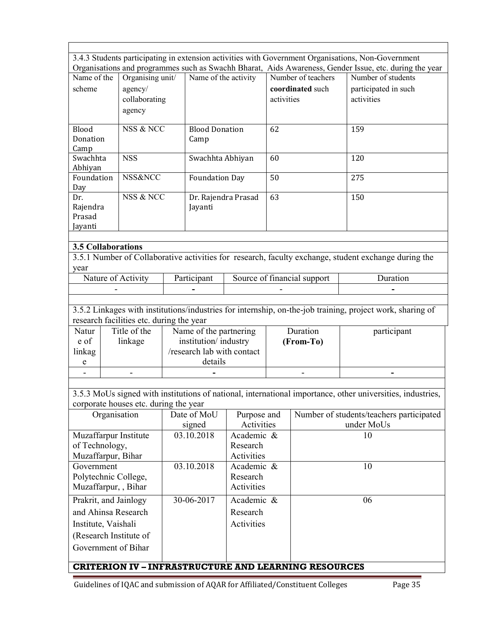|                                                   |                     |                                          |  |                            |             |            |                                                             | 3.4.3 Students participating in extension activities with Government Organisations, Non-Government<br>Organisations and programmes such as Swachh Bharat, Aids Awareness, Gender Issue, etc. during the year |  |
|---------------------------------------------------|---------------------|------------------------------------------|--|----------------------------|-------------|------------|-------------------------------------------------------------|--------------------------------------------------------------------------------------------------------------------------------------------------------------------------------------------------------------|--|
| Name of the                                       |                     | Organising unit/                         |  | Name of the activity       |             |            | Number of teachers                                          | Number of students                                                                                                                                                                                           |  |
| scheme                                            |                     | agency/                                  |  |                            |             |            | coordinated such                                            | participated in such                                                                                                                                                                                         |  |
|                                                   |                     | collaborating                            |  |                            |             | activities |                                                             | activities                                                                                                                                                                                                   |  |
|                                                   |                     | agency                                   |  |                            |             |            |                                                             |                                                                                                                                                                                                              |  |
|                                                   |                     |                                          |  |                            |             |            |                                                             |                                                                                                                                                                                                              |  |
| Blood                                             |                     | NSS & NCC                                |  | <b>Blood Donation</b>      |             | 62         |                                                             | 159                                                                                                                                                                                                          |  |
| Donation                                          |                     |                                          |  | Camp                       |             |            |                                                             |                                                                                                                                                                                                              |  |
| Camp                                              |                     |                                          |  |                            |             |            |                                                             |                                                                                                                                                                                                              |  |
| Swachhta                                          |                     | <b>NSS</b>                               |  | Swachhta Abhiyan           |             | 60         |                                                             | 120                                                                                                                                                                                                          |  |
| Abhiyan<br>Foundation                             |                     | NSS&NCC                                  |  |                            |             | 50         |                                                             | 275                                                                                                                                                                                                          |  |
| Day                                               |                     |                                          |  | <b>Foundation Day</b>      |             |            |                                                             |                                                                                                                                                                                                              |  |
| Dr.                                               |                     | NSS & NCC                                |  | Dr. Rajendra Prasad        |             | 63         |                                                             | 150                                                                                                                                                                                                          |  |
| Rajendra                                          |                     |                                          |  | Jayanti                    |             |            |                                                             |                                                                                                                                                                                                              |  |
| Prasad                                            |                     |                                          |  |                            |             |            |                                                             |                                                                                                                                                                                                              |  |
| Jayanti                                           |                     |                                          |  |                            |             |            |                                                             |                                                                                                                                                                                                              |  |
|                                                   |                     |                                          |  |                            |             |            |                                                             |                                                                                                                                                                                                              |  |
| <b>3.5 Collaborations</b>                         |                     |                                          |  |                            |             |            |                                                             |                                                                                                                                                                                                              |  |
|                                                   |                     |                                          |  |                            |             |            |                                                             | 3.5.1 Number of Collaborative activities for research, faculty exchange, student exchange during the                                                                                                         |  |
| year                                              |                     |                                          |  |                            |             |            |                                                             |                                                                                                                                                                                                              |  |
|                                                   |                     | Nature of Activity                       |  | Participant                |             |            | Source of financial support                                 | Duration                                                                                                                                                                                                     |  |
|                                                   |                     |                                          |  |                            |             |            |                                                             |                                                                                                                                                                                                              |  |
|                                                   |                     |                                          |  |                            |             |            |                                                             |                                                                                                                                                                                                              |  |
|                                                   |                     |                                          |  |                            |             |            |                                                             | 3.5.2 Linkages with institutions/industries for internship, on-the-job training, project work, sharing of                                                                                                    |  |
|                                                   |                     | research facilities etc. during the year |  |                            |             |            |                                                             |                                                                                                                                                                                                              |  |
| Natur                                             |                     | Title of the                             |  | Name of the partnering     |             |            | Duration                                                    | participant                                                                                                                                                                                                  |  |
| e of                                              |                     | linkage                                  |  | institution/industry       |             |            | (From-To)                                                   |                                                                                                                                                                                                              |  |
| linkag                                            |                     |                                          |  | /research lab with contact |             |            |                                                             |                                                                                                                                                                                                              |  |
| ${\bf e}$                                         |                     |                                          |  | details                    |             |            |                                                             |                                                                                                                                                                                                              |  |
|                                                   |                     |                                          |  |                            |             |            |                                                             |                                                                                                                                                                                                              |  |
|                                                   |                     |                                          |  |                            |             |            |                                                             |                                                                                                                                                                                                              |  |
|                                                   |                     |                                          |  |                            |             |            |                                                             | 3.5.3 MoUs signed with institutions of national, international importance, other universities, industries,                                                                                                   |  |
|                                                   |                     | corporate houses etc. during the year    |  |                            |             |            |                                                             |                                                                                                                                                                                                              |  |
|                                                   | Organisation        |                                          |  | Date of MoU                | Purpose and |            |                                                             | Number of students/teachers participated                                                                                                                                                                     |  |
|                                                   |                     |                                          |  | signed                     | Activities  |            |                                                             | under MoUs                                                                                                                                                                                                   |  |
|                                                   |                     | Muzaffarpur Institute                    |  | 03.10.2018                 | Academic &  |            |                                                             | 10                                                                                                                                                                                                           |  |
| of Technology,                                    |                     |                                          |  |                            | Research    |            |                                                             |                                                                                                                                                                                                              |  |
| Muzaffarpur, Bihar                                |                     |                                          |  |                            | Activities  |            |                                                             |                                                                                                                                                                                                              |  |
| Government                                        |                     |                                          |  | 03.10.2018                 | Academic &  |            |                                                             | 10                                                                                                                                                                                                           |  |
| Polytechnic College,                              |                     |                                          |  |                            | Research    |            |                                                             |                                                                                                                                                                                                              |  |
| Muzaffarpur, Bihar                                |                     |                                          |  |                            | Activities  |            |                                                             |                                                                                                                                                                                                              |  |
| 30-06-2017<br>Academic &<br>Prakrit, and Jainlogy |                     |                                          |  |                            |             |            |                                                             | 06                                                                                                                                                                                                           |  |
| and Ahinsa Research                               |                     |                                          |  |                            | Research    |            |                                                             |                                                                                                                                                                                                              |  |
|                                                   | Institute, Vaishali |                                          |  |                            | Activities  |            |                                                             |                                                                                                                                                                                                              |  |
|                                                   |                     | (Research Institute of                   |  |                            |             |            |                                                             |                                                                                                                                                                                                              |  |
| Government of Bihar                               |                     |                                          |  |                            |             |            |                                                             |                                                                                                                                                                                                              |  |
|                                                   |                     |                                          |  |                            |             |            |                                                             |                                                                                                                                                                                                              |  |
|                                                   |                     |                                          |  |                            |             |            | <b>CRITERION IV - INFRASTRUCTURE AND LEARNING RESOURCES</b> |                                                                                                                                                                                                              |  |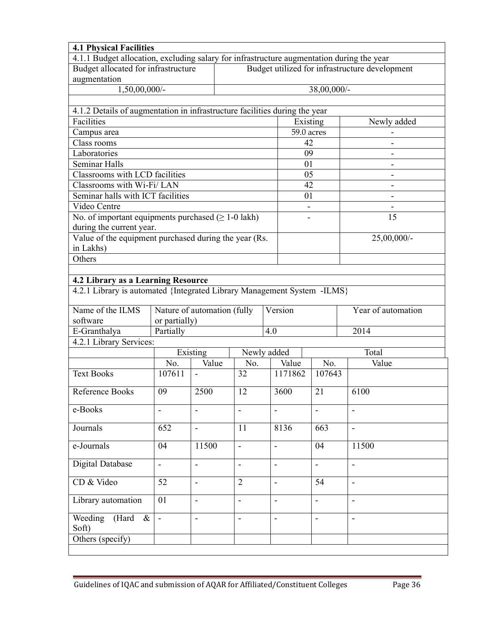| <b>4.1 Physical Facilities</b>                                                            |                                                                                                           |                              |                |                |            |                 |                              |  |  |  |
|-------------------------------------------------------------------------------------------|-----------------------------------------------------------------------------------------------------------|------------------------------|----------------|----------------|------------|-----------------|------------------------------|--|--|--|
| 4.1.1 Budget allocation, excluding salary for infrastructure augmentation during the year |                                                                                                           |                              |                |                |            |                 |                              |  |  |  |
|                                                                                           | Budget allocated for infrastructure<br>Budget utilized for infrastructure development                     |                              |                |                |            |                 |                              |  |  |  |
| augmentation                                                                              |                                                                                                           |                              |                |                |            |                 |                              |  |  |  |
| 1,50,00,000/-                                                                             |                                                                                                           |                              |                |                |            | 38,00,000/-     |                              |  |  |  |
|                                                                                           |                                                                                                           |                              |                |                |            |                 |                              |  |  |  |
| 4.1.2 Details of augmentation in infrastructure facilities during the year                |                                                                                                           |                              |                |                |            |                 |                              |  |  |  |
| Facilities                                                                                |                                                                                                           |                              |                |                | Existing   |                 | Newly added                  |  |  |  |
| Campus area                                                                               |                                                                                                           |                              |                |                | 59.0 acres |                 |                              |  |  |  |
| Class rooms                                                                               |                                                                                                           |                              |                |                | 42         |                 | -                            |  |  |  |
| Laboratories                                                                              |                                                                                                           |                              |                |                | 09         |                 |                              |  |  |  |
| Seminar Halls                                                                             |                                                                                                           |                              |                |                | 01         |                 |                              |  |  |  |
| Classrooms with LCD facilities                                                            |                                                                                                           |                              |                |                | 05         |                 | -                            |  |  |  |
| Classrooms with Wi-Fi/LAN                                                                 |                                                                                                           |                              |                |                | 42         |                 | $\qquad \qquad \blacksquare$ |  |  |  |
| Seminar halls with ICT facilities                                                         |                                                                                                           |                              |                |                | 01         |                 |                              |  |  |  |
| Video Centre                                                                              |                                                                                                           |                              |                |                |            |                 |                              |  |  |  |
| No. of important equipments purchased $( \geq 1-0$ lakh)                                  |                                                                                                           |                              |                |                |            |                 | $\overline{15}$              |  |  |  |
| during the current year.                                                                  |                                                                                                           |                              |                |                |            |                 |                              |  |  |  |
| Value of the equipment purchased during the year (Rs.                                     |                                                                                                           |                              |                |                |            |                 | $25,00,000/$ -               |  |  |  |
| in Lakhs)                                                                                 |                                                                                                           |                              |                |                |            |                 |                              |  |  |  |
| Others                                                                                    |                                                                                                           |                              |                |                |            |                 |                              |  |  |  |
|                                                                                           |                                                                                                           |                              |                |                |            |                 |                              |  |  |  |
| 4.2 Library as a Learning Resource                                                        |                                                                                                           |                              |                |                |            |                 |                              |  |  |  |
| 4.2.1 Library is automated {Integrated Library Management System -ILMS}                   |                                                                                                           |                              |                |                |            |                 |                              |  |  |  |
| Name of the ILMS                                                                          |                                                                                                           | Nature of automation (fully  |                |                | Version    |                 | Year of automation           |  |  |  |
| software                                                                                  | or partially)                                                                                             |                              |                |                |            |                 |                              |  |  |  |
| E-Granthalya                                                                              | Partially                                                                                                 |                              |                | 4.0            |            |                 | 2014                         |  |  |  |
| 4.2.1 Library Services:                                                                   |                                                                                                           |                              |                |                |            |                 |                              |  |  |  |
|                                                                                           |                                                                                                           | Existing                     | Newly added    |                |            |                 | Total                        |  |  |  |
|                                                                                           | No.                                                                                                       | Value                        | No.            |                | Value      | No.             | Value                        |  |  |  |
| <b>Text Books</b>                                                                         | 107611                                                                                                    | $\blacksquare$               | 32             |                | 1171862    | 107643          |                              |  |  |  |
|                                                                                           |                                                                                                           |                              |                |                |            |                 |                              |  |  |  |
| Reference Books                                                                           | 09                                                                                                        | 2500                         | 12             |                | 3600       | 21              | 6100                         |  |  |  |
| e-Books                                                                                   | $\overline{\phantom{0}}$                                                                                  | $\qquad \qquad \blacksquare$ |                | $\blacksquare$ |            | -               | $\overline{\phantom{a}}$     |  |  |  |
| Journals                                                                                  | 652                                                                                                       | $\blacksquare$               | 11             |                | 8136       | 663             | $\blacksquare$               |  |  |  |
| e-Journals                                                                                | 04                                                                                                        | 11500                        | $\blacksquare$ | $\blacksquare$ |            | 04              | 11500                        |  |  |  |
|                                                                                           |                                                                                                           |                              |                |                |            |                 |                              |  |  |  |
| <b>Digital Database</b>                                                                   | $\blacksquare$<br>$\blacksquare$<br>$\blacksquare$<br>$\blacksquare$<br>$\blacksquare$<br>$\blacksquare$  |                              |                |                |            |                 |                              |  |  |  |
| CD & Video                                                                                | 52                                                                                                        | $\blacksquare$               | $\overline{2}$ | $\blacksquare$ |            | $\overline{54}$ | $\blacksquare$               |  |  |  |
| Library automation                                                                        | $\overline{01}$<br>$\blacksquare$<br>$\blacksquare$<br>$\blacksquare$<br>$\blacksquare$<br>$\blacksquare$ |                              |                |                |            |                 |                              |  |  |  |
| Weeding (Hard $\&$<br>Soft)                                                               | $\blacksquare$                                                                                            | $\overline{a}$               | $\blacksquare$ | $\blacksquare$ |            | $\frac{1}{2}$   | $\blacksquare$               |  |  |  |
| Others (specify)                                                                          |                                                                                                           |                              |                |                |            |                 |                              |  |  |  |
|                                                                                           |                                                                                                           |                              |                |                |            |                 |                              |  |  |  |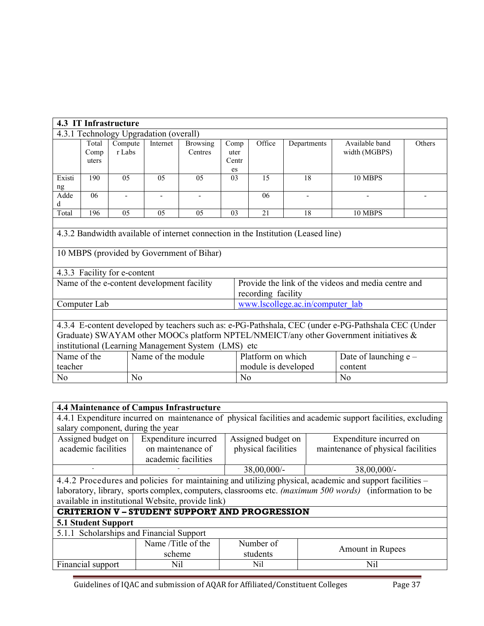| 4.3 IT Infrastructure                                                                                                                                                                                                                                                                                                                    |                                                                                                                                                                |                                            |                |                            |                             |                                                            |                                  |                                                     |  |  |  |  |  |
|------------------------------------------------------------------------------------------------------------------------------------------------------------------------------------------------------------------------------------------------------------------------------------------------------------------------------------------|----------------------------------------------------------------------------------------------------------------------------------------------------------------|--------------------------------------------|----------------|----------------------------|-----------------------------|------------------------------------------------------------|----------------------------------|-----------------------------------------------------|--|--|--|--|--|
| 4.3.1 Technology Upgradation (overall)                                                                                                                                                                                                                                                                                                   |                                                                                                                                                                |                                            |                |                            |                             |                                                            |                                  |                                                     |  |  |  |  |  |
|                                                                                                                                                                                                                                                                                                                                          | Total<br>Comp<br>uters                                                                                                                                         | Compute<br>r Labs                          | Internet       | <b>Browsing</b><br>Centres | Comp<br>uter<br>Centr<br>es | Office                                                     | Available band<br>width (MGBPS)  | Others                                              |  |  |  |  |  |
| Existi<br>ng                                                                                                                                                                                                                                                                                                                             | 190                                                                                                                                                            | 0 <sub>5</sub>                             | 0 <sub>5</sub> | 0 <sub>5</sub>             | 03                          | 18<br>10 MBPS<br>15                                        |                                  |                                                     |  |  |  |  |  |
| Adde<br>d                                                                                                                                                                                                                                                                                                                                | 06                                                                                                                                                             |                                            | ٠              |                            |                             | 06<br>$\overline{\phantom{a}}$<br>$\overline{\phantom{0}}$ |                                  |                                                     |  |  |  |  |  |
| Total                                                                                                                                                                                                                                                                                                                                    | 196                                                                                                                                                            | 05                                         | 0 <sub>5</sub> | 0 <sub>5</sub>             | 03                          | 21                                                         | 18                               | 10 MBPS                                             |  |  |  |  |  |
|                                                                                                                                                                                                                                                                                                                                          | 4.3.2 Bandwidth available of internet connection in the Institution (Leased line)<br>10 MBPS (provided by Government of Bihar)<br>4.3.3 Facility for e-content |                                            |                |                            |                             |                                                            |                                  |                                                     |  |  |  |  |  |
|                                                                                                                                                                                                                                                                                                                                          |                                                                                                                                                                | Name of the e-content development facility |                |                            |                             | recording facility                                         |                                  | Provide the link of the videos and media centre and |  |  |  |  |  |
|                                                                                                                                                                                                                                                                                                                                          | Computer Lab                                                                                                                                                   |                                            |                |                            |                             |                                                            | www.lscollege.ac.in/computer_lab |                                                     |  |  |  |  |  |
| 4.3.4 E-content developed by teachers such as: e-PG-Pathshala, CEC (under e-PG-Pathshala CEC (Under<br>Graduate) SWAYAM other MOOCs platform NPTEL/NMEICT/any other Government initiatives &<br>institutional (Learning Management System (LMS) etc<br>Name of the<br>Name of the module<br>Platform on which<br>Date of launching $e -$ |                                                                                                                                                                |                                            |                |                            |                             |                                                            |                                  |                                                     |  |  |  |  |  |
| teacher                                                                                                                                                                                                                                                                                                                                  |                                                                                                                                                                |                                            |                |                            |                             | module is developed                                        |                                  | content                                             |  |  |  |  |  |
| N <sub>0</sub>                                                                                                                                                                                                                                                                                                                           |                                                                                                                                                                | N <sub>0</sub>                             |                |                            | N <sub>0</sub>              |                                                            |                                  | N <sub>0</sub>                                      |  |  |  |  |  |

| <b>4.4 Maintenance of Campus Infrastructure</b>                                                             |                                                                       |                     |                                                                                                        |  |  |  |  |  |  |  |  |
|-------------------------------------------------------------------------------------------------------------|-----------------------------------------------------------------------|---------------------|--------------------------------------------------------------------------------------------------------|--|--|--|--|--|--|--|--|
| 4.4.1 Expenditure incurred on maintenance of physical facilities and academic support facilities, excluding |                                                                       |                     |                                                                                                        |  |  |  |  |  |  |  |  |
| salary component, during the year                                                                           |                                                                       |                     |                                                                                                        |  |  |  |  |  |  |  |  |
| Assigned budget on                                                                                          | Expenditure incurred<br>Assigned budget on<br>Expenditure incurred on |                     |                                                                                                        |  |  |  |  |  |  |  |  |
| academic facilities                                                                                         | on maintenance of                                                     | physical facilities | maintenance of physical facilities                                                                     |  |  |  |  |  |  |  |  |
|                                                                                                             | academic facilities                                                   |                     |                                                                                                        |  |  |  |  |  |  |  |  |
|                                                                                                             | $38,00,000/$ -<br>$38,00,000/$ -                                      |                     |                                                                                                        |  |  |  |  |  |  |  |  |
| 4.4.2 Procedures and policies for maintaining and utilizing physical, academic and support facilities -     |                                                                       |                     |                                                                                                        |  |  |  |  |  |  |  |  |
|                                                                                                             |                                                                       |                     | laboratory, library, sports complex, computers, classrooms etc. (maximum 500 words) (information to be |  |  |  |  |  |  |  |  |
|                                                                                                             | available in institutional Website, provide link)                     |                     |                                                                                                        |  |  |  |  |  |  |  |  |
|                                                                                                             | <b>CRITERION V - STUDENT SUPPORT AND PROGRESSION</b>                  |                     |                                                                                                        |  |  |  |  |  |  |  |  |
| <b>5.1 Student Support</b>                                                                                  |                                                                       |                     |                                                                                                        |  |  |  |  |  |  |  |  |
| 5.1.1 Scholarships and Financial Support                                                                    |                                                                       |                     |                                                                                                        |  |  |  |  |  |  |  |  |
|                                                                                                             | Name /Title of the                                                    | Number of           |                                                                                                        |  |  |  |  |  |  |  |  |
|                                                                                                             | scheme                                                                | students            | Amount in Rupees                                                                                       |  |  |  |  |  |  |  |  |
| Financial support                                                                                           | Nil                                                                   | Nil                 | Nil                                                                                                    |  |  |  |  |  |  |  |  |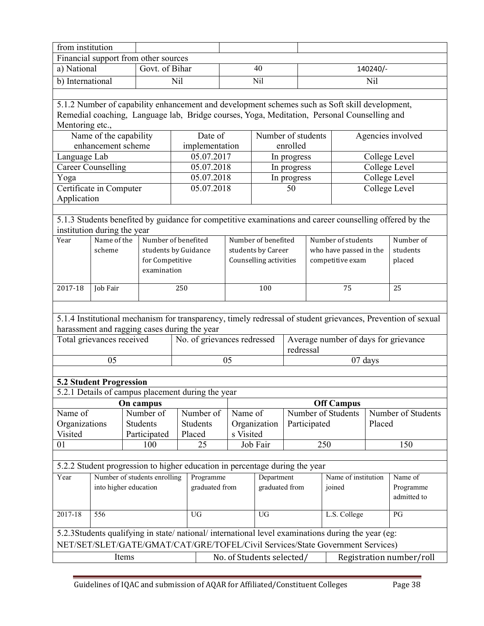| from institution                                                                                                                                                                   |                        |       |                                |     |                                                                             |                           |                        |              |     |                                                                                                         |        |                                                                                                              |
|------------------------------------------------------------------------------------------------------------------------------------------------------------------------------------|------------------------|-------|--------------------------------|-----|-----------------------------------------------------------------------------|---------------------------|------------------------|--------------|-----|---------------------------------------------------------------------------------------------------------|--------|--------------------------------------------------------------------------------------------------------------|
| Financial support from other sources                                                                                                                                               |                        |       |                                |     |                                                                             |                           |                        |              |     |                                                                                                         |        |                                                                                                              |
| a) National                                                                                                                                                                        |                        |       | Govt. of Bihar                 |     | 40                                                                          |                           |                        |              |     | 140240/-                                                                                                |        |                                                                                                              |
| $\overline{b}$ ) International                                                                                                                                                     |                        |       |                                | Nil |                                                                             | Nil                       |                        |              | Nil |                                                                                                         |        |                                                                                                              |
|                                                                                                                                                                                    |                        |       |                                |     |                                                                             |                           |                        |              |     |                                                                                                         |        |                                                                                                              |
|                                                                                                                                                                                    |                        |       |                                |     |                                                                             |                           |                        |              |     | 5.1.2 Number of capability enhancement and development schemes such as Soft skill development,          |        |                                                                                                              |
|                                                                                                                                                                                    |                        |       |                                |     |                                                                             |                           |                        |              |     | Remedial coaching, Language lab, Bridge courses, Yoga, Meditation, Personal Counselling and             |        |                                                                                                              |
| Mentoring etc.,                                                                                                                                                                    |                        |       |                                |     |                                                                             |                           |                        |              |     |                                                                                                         |        |                                                                                                              |
|                                                                                                                                                                                    | Name of the capability |       |                                |     | Date of                                                                     |                           | Number of students     |              |     |                                                                                                         |        | Agencies involved                                                                                            |
|                                                                                                                                                                                    | enhancement scheme     |       |                                |     | implementation                                                              |                           |                        | enrolled     |     |                                                                                                         |        |                                                                                                              |
| Language Lab                                                                                                                                                                       |                        |       |                                |     | 05.07.2017                                                                  |                           |                        | In progress  |     |                                                                                                         |        | College Level                                                                                                |
| <b>Career Counselling</b>                                                                                                                                                          |                        |       |                                |     | 05.07.2018                                                                  |                           |                        | In progress  |     |                                                                                                         |        | College Level                                                                                                |
| Yoga                                                                                                                                                                               |                        |       |                                |     | 05.07.2018                                                                  |                           |                        | In progress  |     |                                                                                                         |        | College Level                                                                                                |
| Certificate in Computer                                                                                                                                                            |                        |       |                                |     | 05.07.2018                                                                  |                           |                        | 50           |     |                                                                                                         |        | College Level                                                                                                |
| Application                                                                                                                                                                        |                        |       |                                |     |                                                                             |                           |                        |              |     |                                                                                                         |        |                                                                                                              |
|                                                                                                                                                                                    |                        |       |                                |     |                                                                             |                           |                        |              |     |                                                                                                         |        |                                                                                                              |
|                                                                                                                                                                                    |                        |       |                                |     |                                                                             |                           |                        |              |     | 5.1.3 Students benefited by guidance for competitive examinations and career counselling offered by the |        |                                                                                                              |
| institution during the year                                                                                                                                                        |                        |       |                                |     |                                                                             |                           |                        |              |     |                                                                                                         |        |                                                                                                              |
| Year                                                                                                                                                                               | Name of the            |       | Number of benefited            |     |                                                                             |                           | Number of benefited    |              |     | Number of students                                                                                      |        | Number of                                                                                                    |
|                                                                                                                                                                                    | scheme                 |       | students by Guidance           |     |                                                                             |                           | students by Career     |              |     | who have passed in the                                                                                  |        | students                                                                                                     |
|                                                                                                                                                                                    |                        |       | for Competitive<br>examination |     |                                                                             |                           | Counselling activities |              |     | competitive exam                                                                                        |        | placed                                                                                                       |
|                                                                                                                                                                                    |                        |       |                                |     |                                                                             |                           |                        |              |     |                                                                                                         |        |                                                                                                              |
| 2017-18                                                                                                                                                                            | Job Fair               |       |                                | 250 |                                                                             |                           | 100                    |              |     | 75                                                                                                      |        | 25                                                                                                           |
|                                                                                                                                                                                    |                        |       |                                |     |                                                                             |                           |                        |              |     |                                                                                                         |        |                                                                                                              |
|                                                                                                                                                                                    |                        |       |                                |     |                                                                             |                           |                        |              |     |                                                                                                         |        |                                                                                                              |
|                                                                                                                                                                                    |                        |       |                                |     |                                                                             |                           |                        |              |     |                                                                                                         |        | 5.1.4 Institutional mechanism for transparency, timely redressal of student grievances, Prevention of sexual |
| harassment and ragging cases during the year                                                                                                                                       |                        |       |                                |     |                                                                             |                           |                        |              |     |                                                                                                         |        |                                                                                                              |
| Total grievances received                                                                                                                                                          |                        |       |                                |     | No. of grievances redressed                                                 |                           |                        |              |     | Average number of days for grievance                                                                    |        |                                                                                                              |
|                                                                                                                                                                                    |                        |       |                                |     |                                                                             |                           |                        | redressal    |     |                                                                                                         |        |                                                                                                              |
|                                                                                                                                                                                    | 05                     |       |                                |     |                                                                             | 05                        |                        |              |     | 07 days                                                                                                 |        |                                                                                                              |
|                                                                                                                                                                                    |                        |       |                                |     |                                                                             |                           |                        |              |     |                                                                                                         |        |                                                                                                              |
| <b>5.2 Student Progression</b>                                                                                                                                                     |                        |       |                                |     |                                                                             |                           |                        |              |     |                                                                                                         |        |                                                                                                              |
|                                                                                                                                                                                    |                        |       |                                |     | $\overline{5.2.1}$ Details of campus placement during the year              |                           |                        |              |     |                                                                                                         |        |                                                                                                              |
|                                                                                                                                                                                    |                        |       | On campus                      |     |                                                                             |                           |                        |              |     | <b>Off Campus</b>                                                                                       |        | Number of Students                                                                                           |
| Name of                                                                                                                                                                            |                        |       | Number of<br><b>Students</b>   |     | Number of                                                                   | Name of                   |                        |              |     | Number of Students                                                                                      |        |                                                                                                              |
| Organizations<br>Visited                                                                                                                                                           |                        |       | Participated                   |     | Students<br>Placed                                                          | s Visited                 | Organization           | Participated |     |                                                                                                         | Placed |                                                                                                              |
| 01                                                                                                                                                                                 |                        |       | 100                            |     | 25                                                                          |                           | Job Fair               |              |     | 250                                                                                                     |        | 150                                                                                                          |
|                                                                                                                                                                                    |                        |       |                                |     |                                                                             |                           |                        |              |     |                                                                                                         |        |                                                                                                              |
|                                                                                                                                                                                    |                        |       |                                |     | 5.2.2 Student progression to higher education in percentage during the year |                           |                        |              |     |                                                                                                         |        |                                                                                                              |
| Year                                                                                                                                                                               |                        |       |                                |     | Programme                                                                   |                           | Department             |              |     | Name of institution                                                                                     |        | Name of                                                                                                      |
| Number of students enrolling<br>graduated from<br>graduated from<br>into higher education<br>joined                                                                                |                        |       |                                |     |                                                                             |                           |                        | Programme    |     |                                                                                                         |        |                                                                                                              |
| admitted to                                                                                                                                                                        |                        |       |                                |     |                                                                             |                           |                        |              |     |                                                                                                         |        |                                                                                                              |
|                                                                                                                                                                                    |                        |       |                                |     |                                                                             |                           |                        |              |     |                                                                                                         |        |                                                                                                              |
| 2017-18                                                                                                                                                                            | 556                    |       |                                |     | <b>UG</b>                                                                   |                           | <b>UG</b>              |              |     | L.S. College                                                                                            |        | PG                                                                                                           |
|                                                                                                                                                                                    |                        |       |                                |     |                                                                             |                           |                        |              |     |                                                                                                         |        |                                                                                                              |
| 5.2.3Students qualifying in state/national/international level examinations during the year (eg:<br>NET/SET/SLET/GATE/GMAT/CAT/GRE/TOFEL/Civil Services/State Government Services) |                        |       |                                |     |                                                                             |                           |                        |              |     |                                                                                                         |        |                                                                                                              |
|                                                                                                                                                                                    |                        | Items |                                |     |                                                                             |                           |                        |              |     |                                                                                                         |        |                                                                                                              |
|                                                                                                                                                                                    |                        |       |                                |     |                                                                             | No. of Students selected/ |                        |              |     |                                                                                                         |        | Registration number/roll                                                                                     |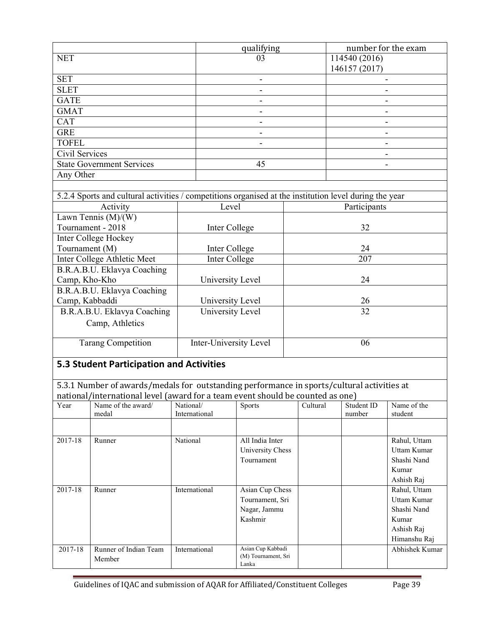| qualifying<br>number for the exam                                                                      |                        |                |                 |               |                          |  |  |
|--------------------------------------------------------------------------------------------------------|------------------------|----------------|-----------------|---------------|--------------------------|--|--|
| <b>NET</b>                                                                                             | 114540 (2016)<br>03    |                |                 |               |                          |  |  |
|                                                                                                        |                        |                |                 | 146157 (2017) |                          |  |  |
| <b>SET</b>                                                                                             |                        |                |                 |               |                          |  |  |
| <b>SLET</b>                                                                                            |                        |                |                 |               |                          |  |  |
| <b>GATE</b>                                                                                            |                        |                |                 |               |                          |  |  |
| <b>GMAT</b>                                                                                            |                        |                |                 |               |                          |  |  |
| <b>CAT</b>                                                                                             |                        | $\blacksquare$ |                 |               | $\overline{\phantom{a}}$ |  |  |
| <b>GRE</b>                                                                                             |                        | $\blacksquare$ |                 |               | $\blacksquare$           |  |  |
| <b>TOFEL</b>                                                                                           |                        |                |                 |               |                          |  |  |
| Civil Services                                                                                         |                        |                |                 |               |                          |  |  |
| <b>State Government Services</b>                                                                       |                        | 45             |                 |               |                          |  |  |
| Any Other                                                                                              |                        |                |                 |               |                          |  |  |
|                                                                                                        |                        |                |                 |               |                          |  |  |
| 5.2.4 Sports and cultural activities / competitions organised at the institution level during the year |                        |                |                 |               |                          |  |  |
| Activity                                                                                               |                        | Level          |                 |               | Participants             |  |  |
| Lawn Tennis $(M)/(W)$                                                                                  |                        |                |                 |               |                          |  |  |
| Tournament - 2018                                                                                      |                        | Inter College  |                 |               | 32                       |  |  |
| Inter College Hockey                                                                                   |                        |                |                 |               |                          |  |  |
| Tournament (M)                                                                                         | Inter College<br>24    |                |                 |               |                          |  |  |
| Inter College Athletic Meet                                                                            | Inter College<br>207   |                |                 |               |                          |  |  |
| B.R.A.B.U. Eklavya Coaching                                                                            |                        |                |                 |               |                          |  |  |
| Camp, Kho-Kho                                                                                          | University Level<br>24 |                |                 |               |                          |  |  |
| B.R.A.B.U. Eklavya Coaching                                                                            |                        |                |                 |               |                          |  |  |
| Camp, Kabbaddi                                                                                         | University Level<br>26 |                |                 |               |                          |  |  |
| B.R.A.B.U. Eklavya Coaching                                                                            | University Level       |                | $\overline{32}$ |               |                          |  |  |
| Camp, Athletics                                                                                        |                        |                |                 |               |                          |  |  |
|                                                                                                        |                        |                |                 |               |                          |  |  |
| <b>Tarang Competition</b><br>Inter-University Level<br>06                                              |                        |                |                 |               |                          |  |  |
|                                                                                                        |                        |                |                 |               |                          |  |  |
| <b>5.3 Student Participation and Activities</b>                                                        |                        |                |                 |               |                          |  |  |
|                                                                                                        |                        |                |                 |               |                          |  |  |
| 5.3.1 Number of awards/medals for outstanding performance in sports/cultural activities at             |                        |                |                 |               |                          |  |  |
| national/international level (award for a team event should be counted as one)                         |                        |                |                 |               |                          |  |  |
| Year Name of the award National Sports Cultural Student ID                                             |                        |                |                 |               | $\Box$ Name of the       |  |  |

| Year    | Name of the award/<br>medal | National/<br>International | Sports              | Cultural | Student ID<br>number | Name of the<br>student |
|---------|-----------------------------|----------------------------|---------------------|----------|----------------------|------------------------|
|         |                             |                            |                     |          |                      |                        |
| 2017-18 | Runner                      | National                   | All India Inter     |          |                      | Rahul, Uttam           |
|         |                             |                            | University Chess    |          |                      | Uttam Kumar            |
|         |                             |                            | Tournament          |          |                      | Shashi Nand            |
|         |                             |                            |                     |          |                      | Kumar                  |
|         |                             |                            |                     |          |                      | Ashish Raj             |
| 2017-18 | Runner                      | International              | Asian Cup Chess     |          |                      | Rahul, Uttam           |
|         |                             |                            | Tournament, Sri     |          |                      | Uttam Kumar            |
|         |                             |                            | Nagar, Jammu        |          |                      | Shashi Nand            |
|         |                             |                            | Kashmir             |          |                      | Kumar                  |
|         |                             |                            |                     |          |                      | Ashish Raj             |
|         |                             |                            |                     |          |                      | Himanshu Raj           |
| 2017-18 | Runner of Indian Team       | International              | Asian Cup Kabbadi   |          |                      | Abhishek Kumar         |
|         | Member                      |                            | (M) Tournament, Sri |          |                      |                        |
|         |                             |                            | Lanka               |          |                      |                        |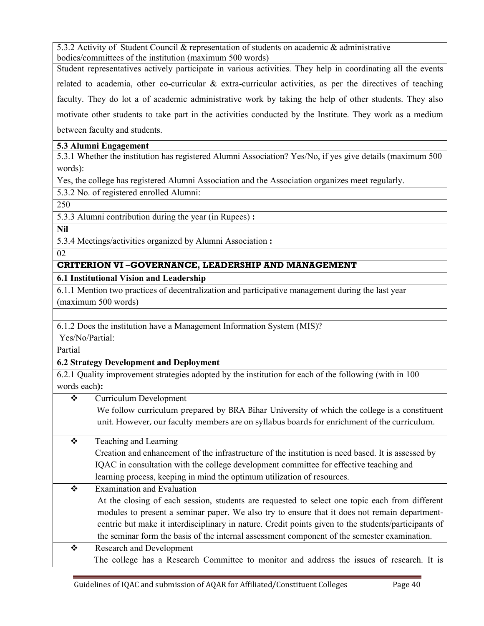5.3.2 Activity of Student Council & representation of students on academic & administrative bodies/committees of the institution (maximum 500 words)

Student representatives actively participate in various activities. They help in coordinating all the events related to academia, other co-curricular  $\&$  extra-curricular activities, as per the directives of teaching faculty. They do lot a of academic administrative work by taking the help of other students. They also motivate other students to take part in the activities conducted by the Institute. They work as a medium between faculty and students.

# **5.3 Alumni Engagement**

5.3.1 Whether the institution has registered Alumni Association? Yes/No, if yes give details (maximum 500 words):

Yes, the college has registered Alumni Association and the Association organizes meet regularly.

5.3.2 No. of registered enrolled Alumni:

250

5.3.3 Alumni contribution during the year (in Rupees) **:** 

**Nil**

5.3.4 Meetings/activities organized by Alumni Association **:** 

02

# **CRITERION VI –GOVERNANCE, LEADERSHIP AND MANAGEMENT**

**6.1 Institutional Vision and Leadership** 

6.1.1 Mention two practices of decentralization and participative management during the last year (maximum 500 words)

6.1.2 Does the institution have a Management Information System (MIS)?

Yes/No/Partial:

Partial

**6.2 Strategy Development and Deployment** 

6.2.1 Quality improvement strategies adopted by the institution for each of the following (with in 100 words each**):** 

Curriculum Development

We follow curriculum prepared by BRA Bihar University of which the college is a constituent unit. However, our faculty members are on syllabus boards for enrichment of the curriculum.

# $\div$  Teaching and Learning

 Creation and enhancement of the infrastructure of the institution is need based. It is assessed by IQAC in consultation with the college development committee for effective teaching and learning process, keeping in mind the optimum utilization of resources.

 $\div$  Examination and Evaluation

At the closing of each session, students are requested to select one topic each from different modules to present a seminar paper. We also try to ensure that it does not remain departmentcentric but make it interdisciplinary in nature. Credit points given to the students/participants of the seminar form the basis of the internal assessment component of the semester examination.

 Research and Development The college has a Research Committee to monitor and address the issues of research. It is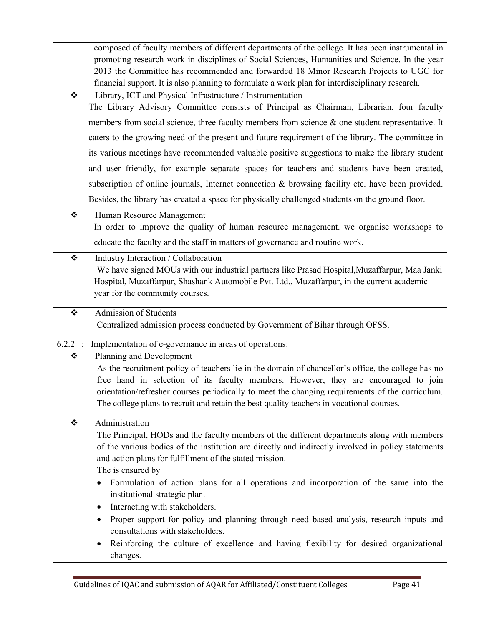|           | composed of faculty members of different departments of the college. It has been instrumental in<br>promoting research work in disciplines of Social Sciences, Humanities and Science. In the year<br>2013 the Committee has recommended and forwarded 18 Minor Research Projects to UGC for<br>financial support. It is also planning to formulate a work plan for interdisciplinary research. |
|-----------|-------------------------------------------------------------------------------------------------------------------------------------------------------------------------------------------------------------------------------------------------------------------------------------------------------------------------------------------------------------------------------------------------|
| ❖         | Library, ICT and Physical Infrastructure / Instrumentation                                                                                                                                                                                                                                                                                                                                      |
|           | The Library Advisory Committee consists of Principal as Chairman, Librarian, four faculty                                                                                                                                                                                                                                                                                                       |
|           | members from social science, three faculty members from science & one student representative. It                                                                                                                                                                                                                                                                                                |
|           | caters to the growing need of the present and future requirement of the library. The committee in                                                                                                                                                                                                                                                                                               |
|           | its various meetings have recommended valuable positive suggestions to make the library student                                                                                                                                                                                                                                                                                                 |
|           | and user friendly, for example separate spaces for teachers and students have been created,                                                                                                                                                                                                                                                                                                     |
|           | subscription of online journals, Internet connection & browsing facility etc. have been provided.                                                                                                                                                                                                                                                                                               |
|           | Besides, the library has created a space for physically challenged students on the ground floor.                                                                                                                                                                                                                                                                                                |
| ❖         | Human Resource Management                                                                                                                                                                                                                                                                                                                                                                       |
|           | In order to improve the quality of human resource management, we organise workshops to                                                                                                                                                                                                                                                                                                          |
|           | educate the faculty and the staff in matters of governance and routine work.                                                                                                                                                                                                                                                                                                                    |
| ❖         | Industry Interaction / Collaboration                                                                                                                                                                                                                                                                                                                                                            |
|           | We have signed MOUs with our industrial partners like Prasad Hospital, Muzaffarpur, Maa Janki                                                                                                                                                                                                                                                                                                   |
|           | Hospital, Muzaffarpur, Shashank Automobile Pvt. Ltd., Muzaffarpur, in the current academic<br>year for the community courses.                                                                                                                                                                                                                                                                   |
|           |                                                                                                                                                                                                                                                                                                                                                                                                 |
| ❖         | <b>Admission of Students</b><br>Centralized admission process conducted by Government of Bihar through OFSS.                                                                                                                                                                                                                                                                                    |
|           |                                                                                                                                                                                                                                                                                                                                                                                                 |
| $6.2.2$ : | Implementation of e-governance in areas of operations:                                                                                                                                                                                                                                                                                                                                          |
| ❖         | Planning and Development<br>As the recruitment policy of teachers lie in the domain of chancellor's office, the college has no                                                                                                                                                                                                                                                                  |
|           | free hand in selection of its faculty members. However, they are encouraged to join                                                                                                                                                                                                                                                                                                             |
|           | orientation/refresher courses periodically to meet the changing requirements of the curriculum.                                                                                                                                                                                                                                                                                                 |
|           | The college plans to recruit and retain the best quality teachers in vocational courses.                                                                                                                                                                                                                                                                                                        |
| ❖         | Administration                                                                                                                                                                                                                                                                                                                                                                                  |
|           | The Principal, HODs and the faculty members of the different departments along with members                                                                                                                                                                                                                                                                                                     |
|           | of the various bodies of the institution are directly and indirectly involved in policy statements                                                                                                                                                                                                                                                                                              |
|           | and action plans for fulfillment of the stated mission.<br>The is ensured by                                                                                                                                                                                                                                                                                                                    |
|           | Formulation of action plans for all operations and incorporation of the same into the<br>$\bullet$                                                                                                                                                                                                                                                                                              |
|           | institutional strategic plan.                                                                                                                                                                                                                                                                                                                                                                   |
|           | Interacting with stakeholders.<br>٠                                                                                                                                                                                                                                                                                                                                                             |
|           | Proper support for policy and planning through need based analysis, research inputs and<br>$\bullet$                                                                                                                                                                                                                                                                                            |
|           |                                                                                                                                                                                                                                                                                                                                                                                                 |
|           | consultations with stakeholders.<br>Reinforcing the culture of excellence and having flexibility for desired organizational<br>$\bullet$                                                                                                                                                                                                                                                        |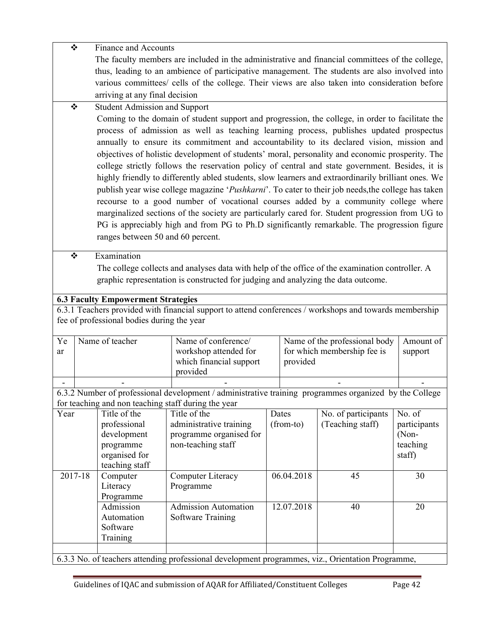|      | ❖       | <b>Finance and Accounts</b>                                                                     |                                                                                                                                                               |       |            |                               |                     |  |  |
|------|---------|-------------------------------------------------------------------------------------------------|---------------------------------------------------------------------------------------------------------------------------------------------------------------|-------|------------|-------------------------------|---------------------|--|--|
|      |         | The faculty members are included in the administrative and financial committees of the college, |                                                                                                                                                               |       |            |                               |                     |  |  |
|      |         | thus, leading to an ambience of participative management. The students are also involved into   |                                                                                                                                                               |       |            |                               |                     |  |  |
|      |         | various committees/ cells of the college. Their views are also taken into consideration before  |                                                                                                                                                               |       |            |                               |                     |  |  |
|      |         | arriving at any final decision                                                                  |                                                                                                                                                               |       |            |                               |                     |  |  |
|      |         | <b>Student Admission and Support</b>                                                            |                                                                                                                                                               |       |            |                               |                     |  |  |
| ❖    |         |                                                                                                 |                                                                                                                                                               |       |            |                               |                     |  |  |
|      |         |                                                                                                 | Coming to the domain of student support and progression, the college, in order to facilitate the                                                              |       |            |                               |                     |  |  |
|      |         |                                                                                                 | process of admission as well as teaching learning process, publishes updated prospectus                                                                       |       |            |                               |                     |  |  |
|      |         |                                                                                                 | annually to ensure its commitment and accountability to its declared vision, mission and                                                                      |       |            |                               |                     |  |  |
|      |         |                                                                                                 | objectives of holistic development of students' moral, personality and economic prosperity. The                                                               |       |            |                               |                     |  |  |
|      |         |                                                                                                 | college strictly follows the reservation policy of central and state government. Besides, it is                                                               |       |            |                               |                     |  |  |
|      |         |                                                                                                 | highly friendly to differently abled students, slow learners and extraordinarily brilliant ones. We                                                           |       |            |                               |                     |  |  |
|      |         |                                                                                                 | publish year wise college magazine 'Pushkarni'. To cater to their job needs, the college has taken                                                            |       |            |                               |                     |  |  |
|      |         |                                                                                                 | recourse to a good number of vocational courses added by a community college where                                                                            |       |            |                               |                     |  |  |
|      |         |                                                                                                 | marginalized sections of the society are particularly cared for. Student progression from UG to                                                               |       |            |                               |                     |  |  |
|      |         |                                                                                                 | PG is appreciably high and from PG to Ph.D significantly remarkable. The progression figure                                                                   |       |            |                               |                     |  |  |
|      |         | ranges between 50 and 60 percent.                                                               |                                                                                                                                                               |       |            |                               |                     |  |  |
|      |         |                                                                                                 |                                                                                                                                                               |       |            |                               |                     |  |  |
| ❖    |         | Examination                                                                                     |                                                                                                                                                               |       |            |                               |                     |  |  |
|      |         |                                                                                                 | The college collects and analyses data with help of the office of the examination controller. A                                                               |       |            |                               |                     |  |  |
|      |         |                                                                                                 | graphic representation is constructed for judging and analyzing the data outcome.                                                                             |       |            |                               |                     |  |  |
|      |         |                                                                                                 |                                                                                                                                                               |       |            |                               |                     |  |  |
|      |         | <b>6.3 Faculty Empowerment Strategies</b>                                                       |                                                                                                                                                               |       |            |                               |                     |  |  |
|      |         |                                                                                                 | 6.3.1 Teachers provided with financial support to attend conferences / workshops and towards membership                                                       |       |            |                               |                     |  |  |
|      |         | fee of professional bodies during the year                                                      |                                                                                                                                                               |       |            |                               |                     |  |  |
|      |         |                                                                                                 |                                                                                                                                                               |       |            |                               |                     |  |  |
| Ye   |         | Name of teacher                                                                                 | Name of conference/                                                                                                                                           |       |            | Name of the professional body | Amount of           |  |  |
| ar   |         |                                                                                                 | workshop attended for                                                                                                                                         |       |            | for which membership fee is   | support             |  |  |
|      |         |                                                                                                 | which financial support<br>provided                                                                                                                           |       |            |                               |                     |  |  |
|      |         |                                                                                                 | provided                                                                                                                                                      |       |            |                               |                     |  |  |
|      |         |                                                                                                 |                                                                                                                                                               |       |            |                               |                     |  |  |
|      |         |                                                                                                 | 6.3.2 Number of professional development / administrative training programmes organized by the College<br>for teaching and non teaching staff during the year |       |            |                               |                     |  |  |
| Year |         | Title of the                                                                                    | Title of the                                                                                                                                                  | Dates |            | No. of participants           | No. $\overline{of}$ |  |  |
|      |         | professional                                                                                    | administrative training                                                                                                                                       |       | (from-to)  | (Teaching staff)              | participants        |  |  |
|      |         | development                                                                                     | programme organised for                                                                                                                                       |       |            |                               | (Non-               |  |  |
|      |         | programme                                                                                       | non-teaching staff                                                                                                                                            |       |            |                               | teaching            |  |  |
|      |         | organised for                                                                                   |                                                                                                                                                               |       |            |                               | staff)              |  |  |
|      |         | teaching staff                                                                                  |                                                                                                                                                               |       |            |                               |                     |  |  |
|      | 2017-18 | Computer                                                                                        | Computer Literacy                                                                                                                                             |       | 06.04.2018 | 45                            | 30                  |  |  |
|      |         | Literacy                                                                                        | Programme                                                                                                                                                     |       |            |                               |                     |  |  |
|      |         | Programme                                                                                       |                                                                                                                                                               |       |            |                               |                     |  |  |
|      |         | Admission                                                                                       | <b>Admission Automation</b>                                                                                                                                   |       | 12.07.2018 | 40                            | 20                  |  |  |
|      |         | Automation                                                                                      | <b>Software Training</b>                                                                                                                                      |       |            |                               |                     |  |  |
|      |         | Software                                                                                        |                                                                                                                                                               |       |            |                               |                     |  |  |
|      |         | Training                                                                                        |                                                                                                                                                               |       |            |                               |                     |  |  |
|      |         |                                                                                                 |                                                                                                                                                               |       |            |                               |                     |  |  |
|      |         |                                                                                                 | 6.3.3 No. of teachers attending professional development programmes, viz., Orientation Programme,                                                             |       |            |                               |                     |  |  |
|      |         |                                                                                                 |                                                                                                                                                               |       |            |                               |                     |  |  |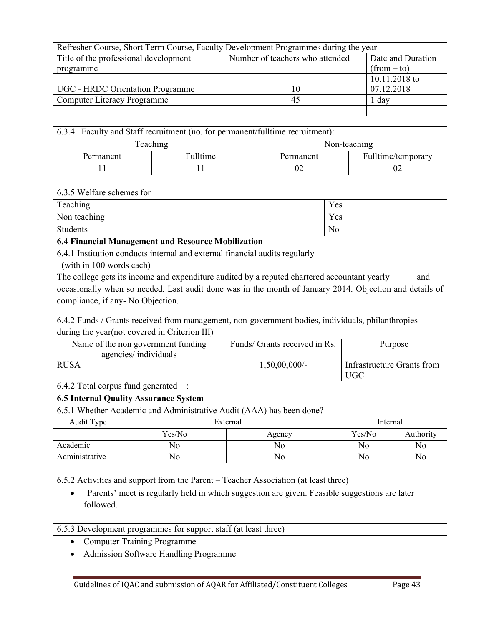| Title of the professional development<br>Number of teachers who attended<br>Date and Duration<br>$(from - to)$<br>programme<br>10.11.2018 to<br>07.12.2018<br>UGC - HRDC Orientation Programme<br>10<br>45<br><b>Computer Literacy Programme</b><br>1 day<br>6.3.4 Faculty and Staff recruitment (no. for permanent/fulltime recruitment):<br>Teaching<br>Non-teaching<br>Fulltime<br>Fulltime/temporary<br>Permanent<br>Permanent<br>11<br>11<br>02<br>02<br>6.3.5 Welfare schemes for<br>Teaching<br>Yes<br>Non teaching<br>Yes<br><b>Students</b><br>N <sub>0</sub><br>6.4 Financial Management and Resource Mobilization<br>6.4.1 Institution conducts internal and external financial audits regularly<br>(with in 100 words each)<br>The college gets its income and expenditure audited by a reputed chartered accountant yearly<br>and<br>occasionally when so needed. Last audit done was in the month of January 2014. Objection and details of<br>compliance, if any-No Objection.<br>6.4.2 Funds / Grants received from management, non-government bodies, individuals, philanthropies<br>during the year(not covered in Criterion III)<br>Name of the non government funding<br>Funds/ Grants received in Rs.<br>Purpose<br>agencies/individuals<br><b>RUSA</b><br><b>Infrastructure Grants from</b><br>1,50,00,000/-<br><b>UGC</b><br>6.4.2 Total corpus fund generated<br><b>6.5 Internal Quality Assurance System</b><br>6.5.1 Whether Academic and Administrative Audit (AAA) has been done?<br>External<br>Internal<br>Audit Type<br>Yes/No<br>Yes/No<br>Authority<br>Agency<br>Academic<br>N <sub>0</sub><br>N <sub>o</sub><br>N <sub>0</sub><br>N <sub>o</sub><br>Administrative<br>N <sub>0</sub><br>N <sub>0</sub><br>N <sub>0</sub><br>N <sub>0</sub><br>6.5.2 Activities and support from the Parent - Teacher Association (at least three)<br>Parents' meet is regularly held in which suggestion are given. Feasible suggestions are later<br>followed. | Refresher Course, Short Term Course, Faculty Development Programmes during the year |  |  |  |  |  |  |  |
|-----------------------------------------------------------------------------------------------------------------------------------------------------------------------------------------------------------------------------------------------------------------------------------------------------------------------------------------------------------------------------------------------------------------------------------------------------------------------------------------------------------------------------------------------------------------------------------------------------------------------------------------------------------------------------------------------------------------------------------------------------------------------------------------------------------------------------------------------------------------------------------------------------------------------------------------------------------------------------------------------------------------------------------------------------------------------------------------------------------------------------------------------------------------------------------------------------------------------------------------------------------------------------------------------------------------------------------------------------------------------------------------------------------------------------------------------------------------------------------------------------------------------------------------------------------------------------------------------------------------------------------------------------------------------------------------------------------------------------------------------------------------------------------------------------------------------------------------------------------------------------------------------------------------------------------------------------------------------------------|-------------------------------------------------------------------------------------|--|--|--|--|--|--|--|
|                                                                                                                                                                                                                                                                                                                                                                                                                                                                                                                                                                                                                                                                                                                                                                                                                                                                                                                                                                                                                                                                                                                                                                                                                                                                                                                                                                                                                                                                                                                                                                                                                                                                                                                                                                                                                                                                                                                                                                                   |                                                                                     |  |  |  |  |  |  |  |
|                                                                                                                                                                                                                                                                                                                                                                                                                                                                                                                                                                                                                                                                                                                                                                                                                                                                                                                                                                                                                                                                                                                                                                                                                                                                                                                                                                                                                                                                                                                                                                                                                                                                                                                                                                                                                                                                                                                                                                                   |                                                                                     |  |  |  |  |  |  |  |
|                                                                                                                                                                                                                                                                                                                                                                                                                                                                                                                                                                                                                                                                                                                                                                                                                                                                                                                                                                                                                                                                                                                                                                                                                                                                                                                                                                                                                                                                                                                                                                                                                                                                                                                                                                                                                                                                                                                                                                                   |                                                                                     |  |  |  |  |  |  |  |
|                                                                                                                                                                                                                                                                                                                                                                                                                                                                                                                                                                                                                                                                                                                                                                                                                                                                                                                                                                                                                                                                                                                                                                                                                                                                                                                                                                                                                                                                                                                                                                                                                                                                                                                                                                                                                                                                                                                                                                                   |                                                                                     |  |  |  |  |  |  |  |
|                                                                                                                                                                                                                                                                                                                                                                                                                                                                                                                                                                                                                                                                                                                                                                                                                                                                                                                                                                                                                                                                                                                                                                                                                                                                                                                                                                                                                                                                                                                                                                                                                                                                                                                                                                                                                                                                                                                                                                                   |                                                                                     |  |  |  |  |  |  |  |
|                                                                                                                                                                                                                                                                                                                                                                                                                                                                                                                                                                                                                                                                                                                                                                                                                                                                                                                                                                                                                                                                                                                                                                                                                                                                                                                                                                                                                                                                                                                                                                                                                                                                                                                                                                                                                                                                                                                                                                                   |                                                                                     |  |  |  |  |  |  |  |
|                                                                                                                                                                                                                                                                                                                                                                                                                                                                                                                                                                                                                                                                                                                                                                                                                                                                                                                                                                                                                                                                                                                                                                                                                                                                                                                                                                                                                                                                                                                                                                                                                                                                                                                                                                                                                                                                                                                                                                                   |                                                                                     |  |  |  |  |  |  |  |
|                                                                                                                                                                                                                                                                                                                                                                                                                                                                                                                                                                                                                                                                                                                                                                                                                                                                                                                                                                                                                                                                                                                                                                                                                                                                                                                                                                                                                                                                                                                                                                                                                                                                                                                                                                                                                                                                                                                                                                                   |                                                                                     |  |  |  |  |  |  |  |
|                                                                                                                                                                                                                                                                                                                                                                                                                                                                                                                                                                                                                                                                                                                                                                                                                                                                                                                                                                                                                                                                                                                                                                                                                                                                                                                                                                                                                                                                                                                                                                                                                                                                                                                                                                                                                                                                                                                                                                                   |                                                                                     |  |  |  |  |  |  |  |
|                                                                                                                                                                                                                                                                                                                                                                                                                                                                                                                                                                                                                                                                                                                                                                                                                                                                                                                                                                                                                                                                                                                                                                                                                                                                                                                                                                                                                                                                                                                                                                                                                                                                                                                                                                                                                                                                                                                                                                                   |                                                                                     |  |  |  |  |  |  |  |
|                                                                                                                                                                                                                                                                                                                                                                                                                                                                                                                                                                                                                                                                                                                                                                                                                                                                                                                                                                                                                                                                                                                                                                                                                                                                                                                                                                                                                                                                                                                                                                                                                                                                                                                                                                                                                                                                                                                                                                                   |                                                                                     |  |  |  |  |  |  |  |
|                                                                                                                                                                                                                                                                                                                                                                                                                                                                                                                                                                                                                                                                                                                                                                                                                                                                                                                                                                                                                                                                                                                                                                                                                                                                                                                                                                                                                                                                                                                                                                                                                                                                                                                                                                                                                                                                                                                                                                                   |                                                                                     |  |  |  |  |  |  |  |
|                                                                                                                                                                                                                                                                                                                                                                                                                                                                                                                                                                                                                                                                                                                                                                                                                                                                                                                                                                                                                                                                                                                                                                                                                                                                                                                                                                                                                                                                                                                                                                                                                                                                                                                                                                                                                                                                                                                                                                                   |                                                                                     |  |  |  |  |  |  |  |
|                                                                                                                                                                                                                                                                                                                                                                                                                                                                                                                                                                                                                                                                                                                                                                                                                                                                                                                                                                                                                                                                                                                                                                                                                                                                                                                                                                                                                                                                                                                                                                                                                                                                                                                                                                                                                                                                                                                                                                                   |                                                                                     |  |  |  |  |  |  |  |
|                                                                                                                                                                                                                                                                                                                                                                                                                                                                                                                                                                                                                                                                                                                                                                                                                                                                                                                                                                                                                                                                                                                                                                                                                                                                                                                                                                                                                                                                                                                                                                                                                                                                                                                                                                                                                                                                                                                                                                                   |                                                                                     |  |  |  |  |  |  |  |
|                                                                                                                                                                                                                                                                                                                                                                                                                                                                                                                                                                                                                                                                                                                                                                                                                                                                                                                                                                                                                                                                                                                                                                                                                                                                                                                                                                                                                                                                                                                                                                                                                                                                                                                                                                                                                                                                                                                                                                                   |                                                                                     |  |  |  |  |  |  |  |
|                                                                                                                                                                                                                                                                                                                                                                                                                                                                                                                                                                                                                                                                                                                                                                                                                                                                                                                                                                                                                                                                                                                                                                                                                                                                                                                                                                                                                                                                                                                                                                                                                                                                                                                                                                                                                                                                                                                                                                                   |                                                                                     |  |  |  |  |  |  |  |
|                                                                                                                                                                                                                                                                                                                                                                                                                                                                                                                                                                                                                                                                                                                                                                                                                                                                                                                                                                                                                                                                                                                                                                                                                                                                                                                                                                                                                                                                                                                                                                                                                                                                                                                                                                                                                                                                                                                                                                                   |                                                                                     |  |  |  |  |  |  |  |
|                                                                                                                                                                                                                                                                                                                                                                                                                                                                                                                                                                                                                                                                                                                                                                                                                                                                                                                                                                                                                                                                                                                                                                                                                                                                                                                                                                                                                                                                                                                                                                                                                                                                                                                                                                                                                                                                                                                                                                                   |                                                                                     |  |  |  |  |  |  |  |
|                                                                                                                                                                                                                                                                                                                                                                                                                                                                                                                                                                                                                                                                                                                                                                                                                                                                                                                                                                                                                                                                                                                                                                                                                                                                                                                                                                                                                                                                                                                                                                                                                                                                                                                                                                                                                                                                                                                                                                                   |                                                                                     |  |  |  |  |  |  |  |
|                                                                                                                                                                                                                                                                                                                                                                                                                                                                                                                                                                                                                                                                                                                                                                                                                                                                                                                                                                                                                                                                                                                                                                                                                                                                                                                                                                                                                                                                                                                                                                                                                                                                                                                                                                                                                                                                                                                                                                                   |                                                                                     |  |  |  |  |  |  |  |
|                                                                                                                                                                                                                                                                                                                                                                                                                                                                                                                                                                                                                                                                                                                                                                                                                                                                                                                                                                                                                                                                                                                                                                                                                                                                                                                                                                                                                                                                                                                                                                                                                                                                                                                                                                                                                                                                                                                                                                                   |                                                                                     |  |  |  |  |  |  |  |
|                                                                                                                                                                                                                                                                                                                                                                                                                                                                                                                                                                                                                                                                                                                                                                                                                                                                                                                                                                                                                                                                                                                                                                                                                                                                                                                                                                                                                                                                                                                                                                                                                                                                                                                                                                                                                                                                                                                                                                                   |                                                                                     |  |  |  |  |  |  |  |
|                                                                                                                                                                                                                                                                                                                                                                                                                                                                                                                                                                                                                                                                                                                                                                                                                                                                                                                                                                                                                                                                                                                                                                                                                                                                                                                                                                                                                                                                                                                                                                                                                                                                                                                                                                                                                                                                                                                                                                                   |                                                                                     |  |  |  |  |  |  |  |
|                                                                                                                                                                                                                                                                                                                                                                                                                                                                                                                                                                                                                                                                                                                                                                                                                                                                                                                                                                                                                                                                                                                                                                                                                                                                                                                                                                                                                                                                                                                                                                                                                                                                                                                                                                                                                                                                                                                                                                                   |                                                                                     |  |  |  |  |  |  |  |
|                                                                                                                                                                                                                                                                                                                                                                                                                                                                                                                                                                                                                                                                                                                                                                                                                                                                                                                                                                                                                                                                                                                                                                                                                                                                                                                                                                                                                                                                                                                                                                                                                                                                                                                                                                                                                                                                                                                                                                                   |                                                                                     |  |  |  |  |  |  |  |
|                                                                                                                                                                                                                                                                                                                                                                                                                                                                                                                                                                                                                                                                                                                                                                                                                                                                                                                                                                                                                                                                                                                                                                                                                                                                                                                                                                                                                                                                                                                                                                                                                                                                                                                                                                                                                                                                                                                                                                                   |                                                                                     |  |  |  |  |  |  |  |
|                                                                                                                                                                                                                                                                                                                                                                                                                                                                                                                                                                                                                                                                                                                                                                                                                                                                                                                                                                                                                                                                                                                                                                                                                                                                                                                                                                                                                                                                                                                                                                                                                                                                                                                                                                                                                                                                                                                                                                                   |                                                                                     |  |  |  |  |  |  |  |
|                                                                                                                                                                                                                                                                                                                                                                                                                                                                                                                                                                                                                                                                                                                                                                                                                                                                                                                                                                                                                                                                                                                                                                                                                                                                                                                                                                                                                                                                                                                                                                                                                                                                                                                                                                                                                                                                                                                                                                                   |                                                                                     |  |  |  |  |  |  |  |
|                                                                                                                                                                                                                                                                                                                                                                                                                                                                                                                                                                                                                                                                                                                                                                                                                                                                                                                                                                                                                                                                                                                                                                                                                                                                                                                                                                                                                                                                                                                                                                                                                                                                                                                                                                                                                                                                                                                                                                                   |                                                                                     |  |  |  |  |  |  |  |
|                                                                                                                                                                                                                                                                                                                                                                                                                                                                                                                                                                                                                                                                                                                                                                                                                                                                                                                                                                                                                                                                                                                                                                                                                                                                                                                                                                                                                                                                                                                                                                                                                                                                                                                                                                                                                                                                                                                                                                                   |                                                                                     |  |  |  |  |  |  |  |
|                                                                                                                                                                                                                                                                                                                                                                                                                                                                                                                                                                                                                                                                                                                                                                                                                                                                                                                                                                                                                                                                                                                                                                                                                                                                                                                                                                                                                                                                                                                                                                                                                                                                                                                                                                                                                                                                                                                                                                                   |                                                                                     |  |  |  |  |  |  |  |
|                                                                                                                                                                                                                                                                                                                                                                                                                                                                                                                                                                                                                                                                                                                                                                                                                                                                                                                                                                                                                                                                                                                                                                                                                                                                                                                                                                                                                                                                                                                                                                                                                                                                                                                                                                                                                                                                                                                                                                                   |                                                                                     |  |  |  |  |  |  |  |
|                                                                                                                                                                                                                                                                                                                                                                                                                                                                                                                                                                                                                                                                                                                                                                                                                                                                                                                                                                                                                                                                                                                                                                                                                                                                                                                                                                                                                                                                                                                                                                                                                                                                                                                                                                                                                                                                                                                                                                                   |                                                                                     |  |  |  |  |  |  |  |
|                                                                                                                                                                                                                                                                                                                                                                                                                                                                                                                                                                                                                                                                                                                                                                                                                                                                                                                                                                                                                                                                                                                                                                                                                                                                                                                                                                                                                                                                                                                                                                                                                                                                                                                                                                                                                                                                                                                                                                                   |                                                                                     |  |  |  |  |  |  |  |
|                                                                                                                                                                                                                                                                                                                                                                                                                                                                                                                                                                                                                                                                                                                                                                                                                                                                                                                                                                                                                                                                                                                                                                                                                                                                                                                                                                                                                                                                                                                                                                                                                                                                                                                                                                                                                                                                                                                                                                                   |                                                                                     |  |  |  |  |  |  |  |
|                                                                                                                                                                                                                                                                                                                                                                                                                                                                                                                                                                                                                                                                                                                                                                                                                                                                                                                                                                                                                                                                                                                                                                                                                                                                                                                                                                                                                                                                                                                                                                                                                                                                                                                                                                                                                                                                                                                                                                                   |                                                                                     |  |  |  |  |  |  |  |
|                                                                                                                                                                                                                                                                                                                                                                                                                                                                                                                                                                                                                                                                                                                                                                                                                                                                                                                                                                                                                                                                                                                                                                                                                                                                                                                                                                                                                                                                                                                                                                                                                                                                                                                                                                                                                                                                                                                                                                                   |                                                                                     |  |  |  |  |  |  |  |
|                                                                                                                                                                                                                                                                                                                                                                                                                                                                                                                                                                                                                                                                                                                                                                                                                                                                                                                                                                                                                                                                                                                                                                                                                                                                                                                                                                                                                                                                                                                                                                                                                                                                                                                                                                                                                                                                                                                                                                                   |                                                                                     |  |  |  |  |  |  |  |
|                                                                                                                                                                                                                                                                                                                                                                                                                                                                                                                                                                                                                                                                                                                                                                                                                                                                                                                                                                                                                                                                                                                                                                                                                                                                                                                                                                                                                                                                                                                                                                                                                                                                                                                                                                                                                                                                                                                                                                                   |                                                                                     |  |  |  |  |  |  |  |
|                                                                                                                                                                                                                                                                                                                                                                                                                                                                                                                                                                                                                                                                                                                                                                                                                                                                                                                                                                                                                                                                                                                                                                                                                                                                                                                                                                                                                                                                                                                                                                                                                                                                                                                                                                                                                                                                                                                                                                                   |                                                                                     |  |  |  |  |  |  |  |
|                                                                                                                                                                                                                                                                                                                                                                                                                                                                                                                                                                                                                                                                                                                                                                                                                                                                                                                                                                                                                                                                                                                                                                                                                                                                                                                                                                                                                                                                                                                                                                                                                                                                                                                                                                                                                                                                                                                                                                                   |                                                                                     |  |  |  |  |  |  |  |
|                                                                                                                                                                                                                                                                                                                                                                                                                                                                                                                                                                                                                                                                                                                                                                                                                                                                                                                                                                                                                                                                                                                                                                                                                                                                                                                                                                                                                                                                                                                                                                                                                                                                                                                                                                                                                                                                                                                                                                                   |                                                                                     |  |  |  |  |  |  |  |
| 6.5.3 Development programmes for support staff (at least three)                                                                                                                                                                                                                                                                                                                                                                                                                                                                                                                                                                                                                                                                                                                                                                                                                                                                                                                                                                                                                                                                                                                                                                                                                                                                                                                                                                                                                                                                                                                                                                                                                                                                                                                                                                                                                                                                                                                   |                                                                                     |  |  |  |  |  |  |  |
| <b>Computer Training Programme</b><br>$\bullet$                                                                                                                                                                                                                                                                                                                                                                                                                                                                                                                                                                                                                                                                                                                                                                                                                                                                                                                                                                                                                                                                                                                                                                                                                                                                                                                                                                                                                                                                                                                                                                                                                                                                                                                                                                                                                                                                                                                                   |                                                                                     |  |  |  |  |  |  |  |
| Admission Software Handling Programme                                                                                                                                                                                                                                                                                                                                                                                                                                                                                                                                                                                                                                                                                                                                                                                                                                                                                                                                                                                                                                                                                                                                                                                                                                                                                                                                                                                                                                                                                                                                                                                                                                                                                                                                                                                                                                                                                                                                             |                                                                                     |  |  |  |  |  |  |  |
|                                                                                                                                                                                                                                                                                                                                                                                                                                                                                                                                                                                                                                                                                                                                                                                                                                                                                                                                                                                                                                                                                                                                                                                                                                                                                                                                                                                                                                                                                                                                                                                                                                                                                                                                                                                                                                                                                                                                                                                   |                                                                                     |  |  |  |  |  |  |  |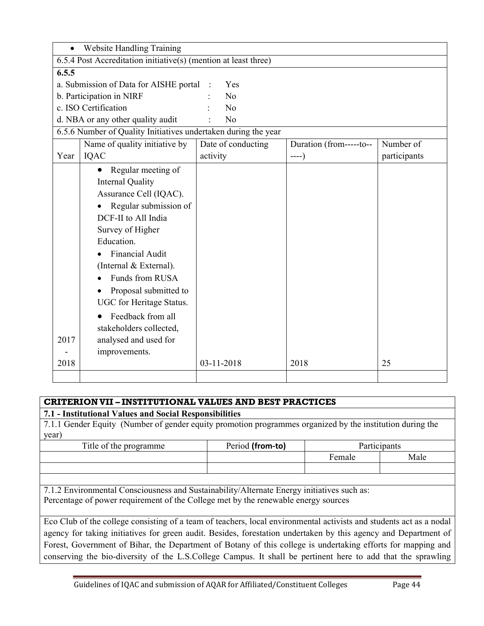| $\bullet$ | <b>Website Handling Training</b>                                |                    |                          |              |  |  |  |  |
|-----------|-----------------------------------------------------------------|--------------------|--------------------------|--------------|--|--|--|--|
|           | 6.5.4 Post Accreditation initiative(s) (mention at least three) |                    |                          |              |  |  |  |  |
| 6.5.5     |                                                                 |                    |                          |              |  |  |  |  |
|           | a. Submission of Data for AISHE portal                          | Yes                |                          |              |  |  |  |  |
|           | b. Participation in NIRF<br>N <sub>0</sub>                      |                    |                          |              |  |  |  |  |
|           | c. ISO Certification                                            | No                 |                          |              |  |  |  |  |
|           | d. NBA or any other quality audit                               | No                 |                          |              |  |  |  |  |
|           | 6.5.6 Number of Quality Initiatives undertaken during the year  |                    |                          |              |  |  |  |  |
|           | Name of quality initiative by                                   | Date of conducting | Duration (from------to-- | Number of    |  |  |  |  |
| Year      | IQAC                                                            | activity           | ----)                    | participants |  |  |  |  |
|           | Regular meeting of                                              |                    |                          |              |  |  |  |  |
|           | <b>Internal Quality</b>                                         |                    |                          |              |  |  |  |  |
|           | Assurance Cell (IQAC).                                          |                    |                          |              |  |  |  |  |
|           | Regular submission of                                           |                    |                          |              |  |  |  |  |
|           | DCF-II to All India                                             |                    |                          |              |  |  |  |  |
|           | Survey of Higher                                                |                    |                          |              |  |  |  |  |
|           | Education.                                                      |                    |                          |              |  |  |  |  |
|           | <b>Financial Audit</b>                                          |                    |                          |              |  |  |  |  |
|           | (Internal & External).                                          |                    |                          |              |  |  |  |  |
|           | Funds from RUSA                                                 |                    |                          |              |  |  |  |  |
|           | Proposal submitted to                                           |                    |                          |              |  |  |  |  |
|           | UGC for Heritage Status.                                        |                    |                          |              |  |  |  |  |
|           | Feedback from all                                               |                    |                          |              |  |  |  |  |
|           | stakeholders collected,                                         |                    |                          |              |  |  |  |  |
| 2017      | analysed and used for                                           |                    |                          |              |  |  |  |  |
|           | improvements.                                                   |                    |                          |              |  |  |  |  |
| 2018      |                                                                 | 03-11-2018         | 2018                     | 25           |  |  |  |  |
|           |                                                                 |                    |                          |              |  |  |  |  |

# **CRITERION VII – INSTITUTIONAL VALUES AND BEST PRACTICES**

# **7.1 - Institutional Values and Social Responsibilities**

7.1.1 Gender Equity (Number of gender equity promotion programmes organized by the institution during the year)

| Female |      |
|--------|------|
|        | Male |
|        |      |

7.1.2 Environmental Consciousness and Sustainability/Alternate Energy initiatives such as: Percentage of power requirement of the College met by the renewable energy sources

Eco Club of the college consisting of a team of teachers, local environmental activists and students act as a nodal agency for taking initiatives for green audit. Besides, forestation undertaken by this agency and Department of Forest, Government of Bihar, the Department of Botany of this college is undertaking efforts for mapping and conserving the bio-diversity of the L.S.College Campus. It shall be pertinent here to add that the sprawling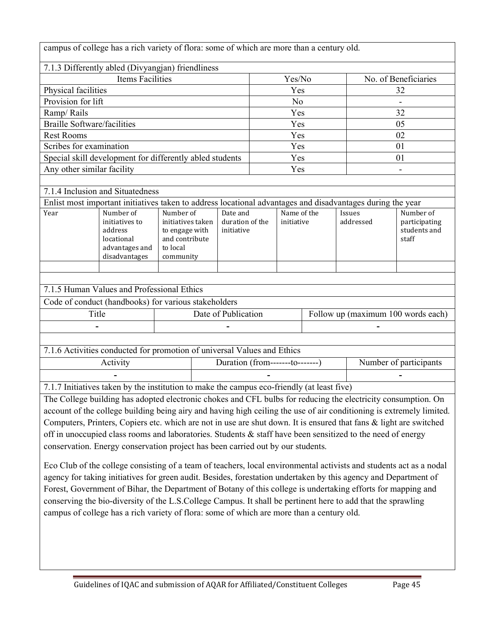campus of college has a rich variety of flora: some of which are more than a century old.

| 7.1.3 Differently abled (Divyangian) friendliness                                                          |                                                                                         |                                                                                                                                          |                                    |                        |                           |  |                      |                                                     |
|------------------------------------------------------------------------------------------------------------|-----------------------------------------------------------------------------------------|------------------------------------------------------------------------------------------------------------------------------------------|------------------------------------|------------------------|---------------------------|--|----------------------|-----------------------------------------------------|
| <b>Items Facilities</b>                                                                                    |                                                                                         |                                                                                                                                          |                                    | Yes/No                 |                           |  | No. of Beneficiaries |                                                     |
| Physical facilities                                                                                        |                                                                                         |                                                                                                                                          |                                    | Yes                    |                           |  | 32                   |                                                     |
| Provision for lift                                                                                         |                                                                                         |                                                                                                                                          |                                    |                        | N <sub>o</sub>            |  |                      |                                                     |
| Ramp/Rails                                                                                                 |                                                                                         |                                                                                                                                          |                                    | Yes                    |                           |  | 32                   |                                                     |
| <b>Braille Software/facilities</b>                                                                         |                                                                                         |                                                                                                                                          |                                    | Yes                    |                           |  | 05                   |                                                     |
| <b>Rest Rooms</b>                                                                                          |                                                                                         |                                                                                                                                          |                                    | Yes                    |                           |  | 02                   |                                                     |
| Scribes for examination                                                                                    |                                                                                         |                                                                                                                                          |                                    | Yes                    |                           |  | 01                   |                                                     |
|                                                                                                            |                                                                                         | Special skill development for differently abled students                                                                                 |                                    |                        | Yes                       |  |                      | 01                                                  |
| Any other similar facility                                                                                 |                                                                                         |                                                                                                                                          |                                    |                        | Yes                       |  |                      | $\blacksquare$                                      |
|                                                                                                            |                                                                                         |                                                                                                                                          |                                    |                        |                           |  |                      |                                                     |
| 7.1.4 Inclusion and Situatedness                                                                           |                                                                                         |                                                                                                                                          |                                    |                        |                           |  |                      |                                                     |
| Enlist most important initiatives taken to address locational advantages and disadvantages during the year |                                                                                         |                                                                                                                                          |                                    |                        |                           |  |                      |                                                     |
| Year                                                                                                       | Number of<br>initiatives to<br>address<br>locational<br>advantages and<br>disadvantages | Number of<br>Date and<br>duration of the<br>initiatives taken<br>to engage with<br>initiative<br>and contribute<br>to local<br>community |                                    |                        | Name of the<br>initiative |  | Issues<br>addressed  | Number of<br>participating<br>students and<br>staff |
|                                                                                                            |                                                                                         |                                                                                                                                          |                                    |                        |                           |  |                      |                                                     |
|                                                                                                            |                                                                                         |                                                                                                                                          |                                    |                        |                           |  |                      |                                                     |
|                                                                                                            | 7.1.5 Human Values and Professional Ethics                                              |                                                                                                                                          |                                    |                        |                           |  |                      |                                                     |
|                                                                                                            |                                                                                         | Code of conduct (handbooks) for various stakeholders                                                                                     |                                    |                        |                           |  |                      |                                                     |
| Date of Publication<br>Title                                                                               |                                                                                         |                                                                                                                                          | Follow up (maximum 100 words each) |                        |                           |  |                      |                                                     |
|                                                                                                            |                                                                                         |                                                                                                                                          |                                    |                        |                           |  |                      |                                                     |
|                                                                                                            |                                                                                         |                                                                                                                                          |                                    |                        |                           |  |                      |                                                     |
|                                                                                                            |                                                                                         | 7.1.6 Activities conducted for promotion of universal Values and Ethics                                                                  |                                    |                        |                           |  |                      |                                                     |
| Activity<br>Duration (from--------to-------)                                                               |                                                                                         |                                                                                                                                          |                                    | Number of participants |                           |  |                      |                                                     |

7.1.7 Initiatives taken by the institution to make the campus eco-friendly (at least five)

The College building has adopted electronic chokes and CFL bulbs for reducing the electricity consumption. On account of the college building being airy and having high ceiling the use of air conditioning is extremely limited. Computers, Printers, Copiers etc. which are not in use are shut down. It is ensured that fans & light are switched off in unoccupied class rooms and laboratories. Students  $\&$  staff have been sensitized to the need of energy conservation. Energy conservation project has been carried out by our students.

**- - -** 

Eco Club of the college consisting of a team of teachers, local environmental activists and students act as a nodal agency for taking initiatives for green audit. Besides, forestation undertaken by this agency and Department of Forest, Government of Bihar, the Department of Botany of this college is undertaking efforts for mapping and conserving the bio-diversity of the L.S.College Campus. It shall be pertinent here to add that the sprawling campus of college has a rich variety of flora: some of which are more than a century old.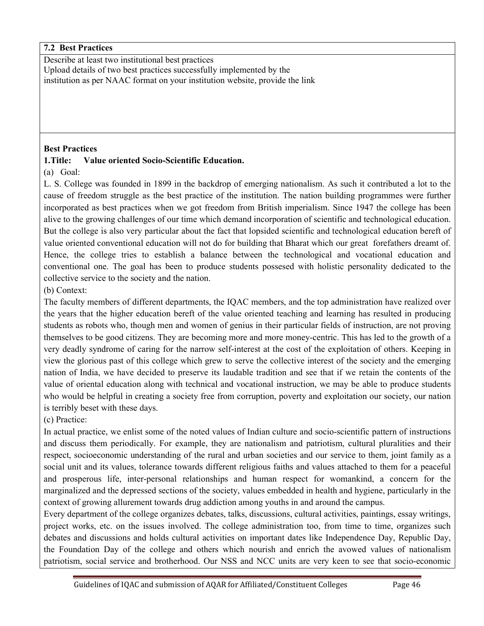## **7.2 Best Practices**

Describe at least two institutional best practices

Upload details of two best practices successfully implemented by the institution as per NAAC format on your institution website, provide the link

### **Best Practices**

## **1.Title: Value oriented Socio-Scientific Education.**

(a) Goal:

L. S. College was founded in 1899 in the backdrop of emerging nationalism. As such it contributed a lot to the cause of freedom struggle as the best practice of the institution. The nation building programmes were further incorporated as best practices when we got freedom from British imperialism. Since 1947 the college has been alive to the growing challenges of our time which demand incorporation of scientific and technological education. But the college is also very particular about the fact that lopsided scientific and technological education bereft of value oriented conventional education will not do for building that Bharat which our great forefathers dreamt of. Hence, the college tries to establish a balance between the technological and vocational education and conventional one. The goal has been to produce students possesed with holistic personality dedicated to the collective service to the society and the nation.

(b) Context:

The faculty members of different departments, the IQAC members, and the top administration have realized over the years that the higher education bereft of the value oriented teaching and learning has resulted in producing students as robots who, though men and women of genius in their particular fields of instruction, are not proving themselves to be good citizens. They are becoming more and more money-centric. This has led to the growth of a very deadly syndrome of caring for the narrow self-interest at the cost of the exploitation of others. Keeping in view the glorious past of this college which grew to serve the collective interest of the society and the emerging nation of India, we have decided to preserve its laudable tradition and see that if we retain the contents of the value of oriental education along with technical and vocational instruction, we may be able to produce students who would be helpful in creating a society free from corruption, poverty and exploitation our society, our nation is terribly beset with these days.

(c) Practice:

In actual practice, we enlist some of the noted values of Indian culture and socio-scientific pattern of instructions and discuss them periodically. For example, they are nationalism and patriotism, cultural pluralities and their respect, socioeconomic understanding of the rural and urban societies and our service to them, joint family as a social unit and its values, tolerance towards different religious faiths and values attached to them for a peaceful and prosperous life, inter-personal relationships and human respect for womankind, a concern for the marginalized and the depressed sections of the society, values embedded in health and hygiene, particularly in the context of growing allurement towards drug addiction among youths in and around the campus.

Every department of the college organizes debates, talks, discussions, cultural activities, paintings, essay writings, project works, etc. on the issues involved. The college administration too, from time to time, organizes such debates and discussions and holds cultural activities on important dates like Independence Day, Republic Day, the Foundation Day of the college and others which nourish and enrich the avowed values of nationalism patriotism, social service and brotherhood. Our NSS and NCC units are very keen to see that socio-economic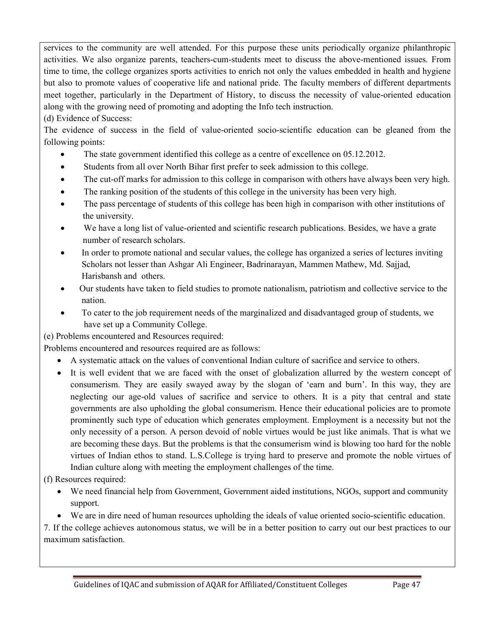services to the community are well attended. For this purpose these units periodically organize philanthropic activities. We also organize parents, teachers-cum-students meet to discuss the above-mentioned issues. From time to time, the college organizes sports activities to enrich not only the values embedded in health and hygiene but also to promote values of cooperative life and national pride. The faculty members of different departments meet together, particularly in the Department of History, to discuss the necessity of value-oriented education along with the growing need of promoting and adopting the Info tech instruction.

(d) Evidence of Success:

The evidence of success in the field of value-oriented socio-scientific education can be gleaned from the following points:

- The state government identified this college as a centre of excellence on 05.12.2012.
- Students from all over North Bihar first prefer to seek admission to this college.
- The cut-off marks for admission to this college in comparison with others have always been very high.
- The ranking position of the students of this college in the university has been very high.
- The pass percentage of students of this college has been high in comparison with other institutions of the university.
- We have a long list of value-oriented and scientific research publications. Besides, we have a grate number of research scholars.
- In order to promote national and secular values, the college has organized a series of lectures inviting Scholars not lesser than Ashgar Ali Engineer, Badrinarayan, Mammen Mathew, Md. Sajjad, Harisbansh and others.
- Our students have taken to field studies to promote nationalism, patriotism and collective service to the nation.
- To cater to the job requirement needs of the marginalized and disadvantaged group of students, we have set up a Community College.

(e) Problems encountered and Resources required:

Problems encountered and resources required are as follows:

- A systematic attack on the values of conventional Indian culture of sacrifice and service to others.
- It is well evident that we are faced with the onset of globalization allurred by the western concept of consumerism. They are easily swayed away by the slogan of 'earn and burn'. In this way, they are neglecting our age-old values of sacrifice and service to others. It is a pity that central and state governments are also upholding the global consumerism. Hence their educational policies are to promote prominently such type of education which generates employment. Employment is a necessity but not the only necessity of a person. A person devoid of noble virtues would be just like animals. That is what we are becoming these days. But the problems is that the consumerism wind is blowing too hard for the noble virtues of Indian ethos to stand. L.S.College is trying hard to preserve and promote the noble virtues of Indian culture along with meeting the employment challenges of the time.

(f) Resources required:

- We need financial help from Government, Government aided institutions, NGOs, support and community support.
- We are in dire need of human resources upholding the ideals of value oriented socio-scientific education.

7. If the college achieves autonomous status, we will be in a better position to carry out our best practices to our maximum satisfaction.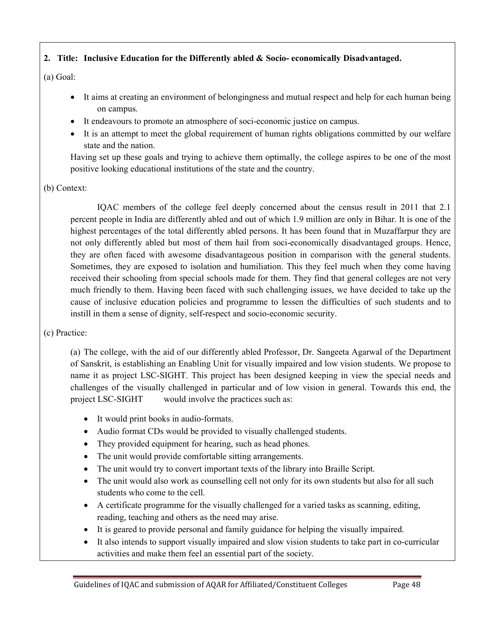# **2. Title: Inclusive Education for the Differently abled & Socio- economically Disadvantaged.**

## (a) Goal:

- It aims at creating an environment of belongingness and mutual respect and help for each human being on campus.
- It endeavours to promote an atmosphere of soci-economic justice on campus.
- It is an attempt to meet the global requirement of human rights obligations committed by our welfare state and the nation.

Having set up these goals and trying to achieve them optimally, the college aspires to be one of the most positive looking educational institutions of the state and the country.

# (b) Context:

IQAC members of the college feel deeply concerned about the census result in 2011 that 2.1 percent people in India are differently abled and out of which 1.9 million are only in Bihar. It is one of the highest percentages of the total differently abled persons. It has been found that in Muzaffarpur they are not only differently abled but most of them hail from soci-economically disadvantaged groups. Hence, they are often faced with awesome disadvantageous position in comparison with the general students. Sometimes, they are exposed to isolation and humiliation. This they feel much when they come having received their schooling from special schools made for them. They find that general colleges are not very much friendly to them. Having been faced with such challenging issues, we have decided to take up the cause of inclusive education policies and programme to lessen the difficulties of such students and to instill in them a sense of dignity, self-respect and socio-economic security.

# (c) Practice:

(a) The college, with the aid of our differently abled Professor, Dr. Sangeeta Agarwal of the Department of Sanskrit, is establishing an Enabling Unit for visually impaired and low vision students. We propose to name it as project LSC-SIGHT. This project has been designed keeping in view the special needs and challenges of the visually challenged in particular and of low vision in general. Towards this end, the project LSC-SIGHT would involve the practices such as:

- It would print books in audio-formats.
- Audio format CDs would be provided to visually challenged students.
- They provided equipment for hearing, such as head phones.
- The unit would provide comfortable sitting arrangements.
- The unit would try to convert important texts of the library into Braille Script.
- The unit would also work as counselling cell not only for its own students but also for all such students who come to the cell.
- A certificate programme for the visually challenged for a varied tasks as scanning, editing, reading, teaching and others as the need may arise.
- It is geared to provide personal and family guidance for helping the visually impaired.
- It also intends to support visually impaired and slow vision students to take part in co-curricular activities and make them feel an essential part of the society.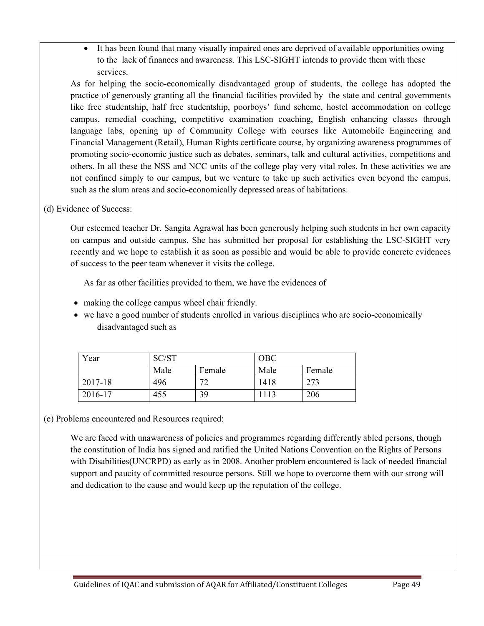• It has been found that many visually impaired ones are deprived of available opportunities owing to the lack of finances and awareness. This LSC-SIGHT intends to provide them with these services.

As for helping the socio-economically disadvantaged group of students, the college has adopted the practice of generously granting all the financial facilities provided by the state and central governments like free studentship, half free studentship, poorboys' fund scheme, hostel accommodation on college campus, remedial coaching, competitive examination coaching, English enhancing classes through language labs, opening up of Community College with courses like Automobile Engineering and Financial Management (Retail), Human Rights certificate course, by organizing awareness programmes of promoting socio-economic justice such as debates, seminars, talk and cultural activities, competitions and others. In all these the NSS and NCC units of the college play very vital roles. In these activities we are not confined simply to our campus, but we venture to take up such activities even beyond the campus, such as the slum areas and socio-economically depressed areas of habitations.

(d) Evidence of Success:

Our esteemed teacher Dr. Sangita Agrawal has been generously helping such students in her own capacity on campus and outside campus. She has submitted her proposal for establishing the LSC-SIGHT very recently and we hope to establish it as soon as possible and would be able to provide concrete evidences of success to the peer team whenever it visits the college.

As far as other facilities provided to them, we have the evidences of

- making the college campus wheel chair friendly.
- we have a good number of students enrolled in various disciplines who are socio-economically disadvantaged such as

| Year    | SC/ST |        | <b>OBC</b> |        |  |
|---------|-------|--------|------------|--------|--|
|         | Male  | Female | Male       | Female |  |
| 2017-18 | 496   | רד     | 1418       | 273    |  |
| 2016-17 | 455   | 39     | 1113       | 206    |  |

(e) Problems encountered and Resources required:

We are faced with unawareness of policies and programmes regarding differently abled persons, though the constitution of India has signed and ratified the United Nations Convention on the Rights of Persons with Disabilities(UNCRPD) as early as in 2008. Another problem encountered is lack of needed financial support and paucity of committed resource persons. Still we hope to overcome them with our strong will and dedication to the cause and would keep up the reputation of the college.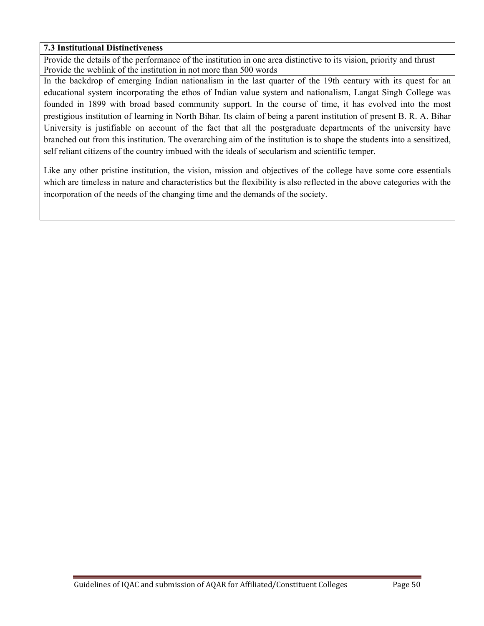## **7.3 Institutional Distinctiveness**

Provide the details of the performance of the institution in one area distinctive to its vision, priority and thrust Provide the weblink of the institution in not more than 500 words

In the backdrop of emerging Indian nationalism in the last quarter of the 19th century with its quest for an educational system incorporating the ethos of Indian value system and nationalism, Langat Singh College was founded in 1899 with broad based community support. In the course of time, it has evolved into the most prestigious institution of learning in North Bihar. Its claim of being a parent institution of present B. R. A. Bihar University is justifiable on account of the fact that all the postgraduate departments of the university have branched out from this institution. The overarching aim of the institution is to shape the students into a sensitized, self reliant citizens of the country imbued with the ideals of secularism and scientific temper.

Like any other pristine institution, the vision, mission and objectives of the college have some core essentials which are timeless in nature and characteristics but the flexibility is also reflected in the above categories with the incorporation of the needs of the changing time and the demands of the society.